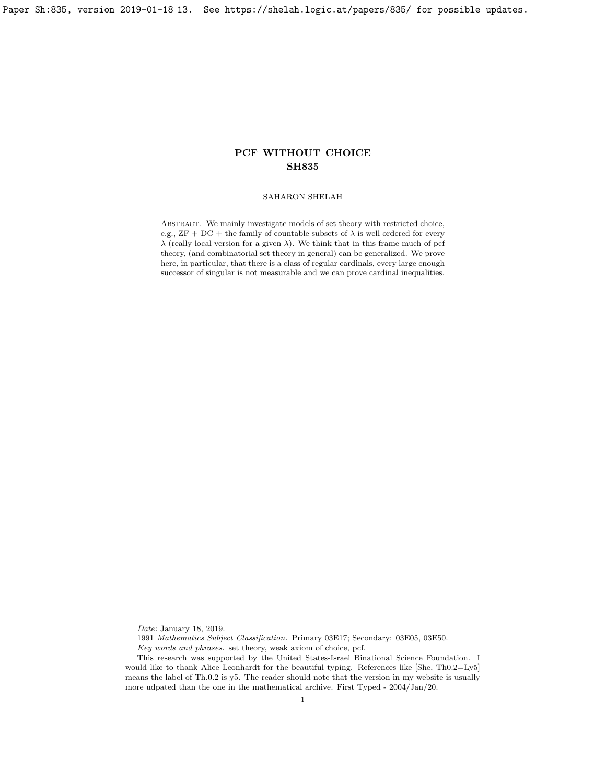Paper Sh:835, version 2019-01-18<sub>-</sub>13. See https://shelah.logic.at/papers/835/ for possible updates.

# PCF WITHOUT CHOICE SH835

## SAHARON SHELAH

ABSTRACT. We mainly investigate models of set theory with restricted choice, e.g., ZF + DC + the family of countable subsets of  $\lambda$  is well ordered for every  $\lambda$  (really local version for a given  $\lambda$ ). We think that in this frame much of pcf theory, (and combinatorial set theory in general) can be generalized. We prove here, in particular, that there is a class of regular cardinals, every large enough successor of singular is not measurable and we can prove cardinal inequalities.

Date: January 18, 2019.

<sup>1991</sup> Mathematics Subject Classification. Primary 03E17; Secondary: 03E05, 03E50.

Key words and phrases. set theory, weak axiom of choice, pcf.

This research was supported by the United States-Israel Binational Science Foundation. I would like to thank Alice Leonhardt for the beautiful typing. References like [\[She,](#page-32-0) Th0.2=Ly5] means the label of Th.0.2 is y5. The reader should note that the version in my website is usually more udpated than the one in the mathematical archive. First Typed - 2004/Jan/20.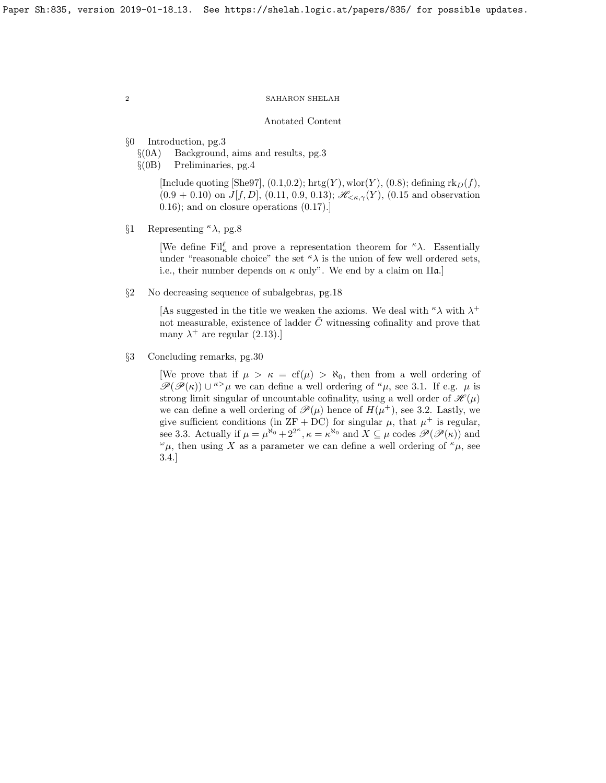#### Anotated Content

- §0 Introduction, pg[.3](#page-2-0)
	- $\S(0)$  Background, aims and results, pg. 3
	- §(0B) Preliminaries, pg[.4](#page-3-0)

[Include quoting [\[She97\]](#page-32-1),  $(0.1, 0.2)$  $(0.1, 0.2)$  $(0.1, 0.2)$ ; hrtg $(Y)$ , wlor $(Y)$ ,  $(0.8)$ ; defining rk $_D(f)$ ,  $(0.9 + 0.10)$  $(0.9 + 0.10)$  $(0.9 + 0.10)$  on  $J[f, D]$ ,  $(0.11, 0.9, 0.13)$  $(0.11, 0.9, 0.13)$  $(0.11, 0.9, 0.13)$ ;  $\mathscr{H}_{\leq \kappa, \gamma}(Y)$ ,  $(0.15$  and observation [0.16\)](#page-5-1); and on closure operations [\(0.17\)](#page-5-2).]

§1 Representing  $\kappa \lambda$ , pg[.8](#page-7-0)

[We define Fil<sup> $\ell$ </sup> and prove a representation theorem for <sup> $\kappa \lambda$ </sup>. Essentially under "reasonable choice" the set  $\kappa \lambda$  is the union of few well ordered sets, i.e., their number depends on  $\kappa$  only". We end by a claim on  $\Pi \mathfrak{a}$ .

§2 No decreasing sequence of subalgebras, pg[.18](#page-17-0)

[As suggested in the title we weaken the axioms. We deal with  $\kappa \lambda$  with  $\lambda^+$ not measurable, existence of ladder  $\overline{C}$  witnessing cofinality and prove that many  $\lambda^+$  are regular [\(2.13\)](#page-24-0).]

§3 Concluding remarks, pg[.30](#page-29-0)

[We prove that if  $\mu > \kappa = cf(\mu) > \aleph_0$ , then from a well ordering of  $\mathscr{P}(\mathscr{P}(\kappa)) \cup \kappa > \mu$  we can define a well ordering of  $\kappa \mu$ , see [3.1.](#page-29-1) If e.g.  $\mu$  is strong limit singular of uncountable cofinality, using a well order of  $\mathcal{H}(\mu)$ we can define a well ordering of  $\mathscr{P}(\mu)$  hence of  $H(\mu^+)$ , see [3.2.](#page-29-2) Lastly, we give sufficient conditions (in  $ZF + DC$ ) for singular  $\mu$ , that  $\mu^+$  is regular, see [3.3.](#page-30-0) Actually if  $\mu = \mu^{\aleph_0} + 2^{2^{\kappa}}, \kappa = \kappa^{\aleph_0}$  and  $X \subseteq \mu$  codes  $\mathscr{P}(\mathscr{P}(\kappa))$  and  $^{\omega}\mu$ , then using X as a parameter we can define a well ordering of  $^{\kappa}\mu$ , see [3.4.](#page-30-1)]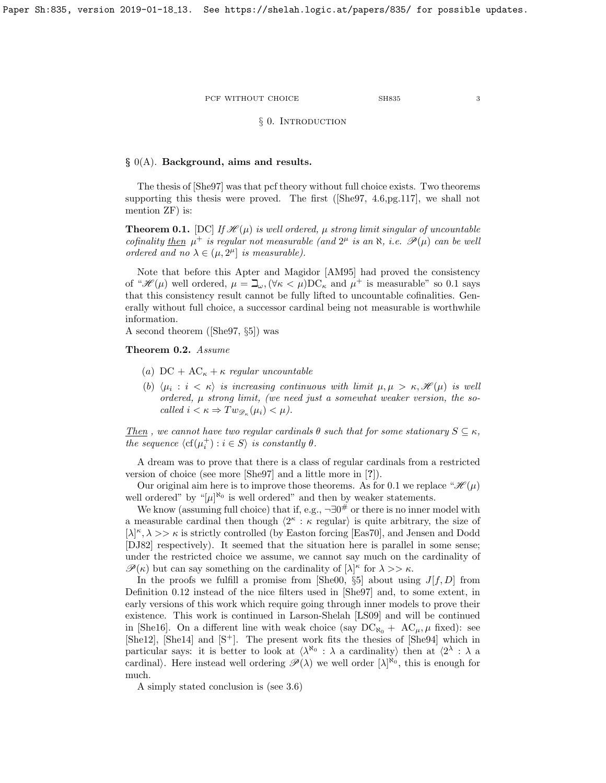## § 0. INTRODUCTION

## <span id="page-2-1"></span><span id="page-2-0"></span> $\S$  0(A). Background, aims and results.

The thesis of [\[She97\]](#page-32-1) was that pcf theory without full choice exists. Two theorems supporting this thesis were proved. The first ([\[She97,](#page-32-1) 4.6,pg.117], we shall not mention ZF) is:

<span id="page-2-2"></span>**Theorem 0.1.** [DC] If  $\mathcal{H}(\mu)$  is well ordered,  $\mu$  strong limit singular of uncountable cofinality then  $\mu^+$  is regular not measurable (and  $2^{\mu}$  is an  $\aleph$ , i.e.  $\mathscr{P}(\mu)$  can be well ordered and no  $\lambda \in (\mu, 2^{\mu}]$  is measurable).

Note that before this Apter and Magidor [\[AM95\]](#page-32-2) had proved the consistency of " $\mathcal{H}(\mu)$  well ordered,  $\mu = \mathbb{L}_{\omega}$ ,  $(\forall \kappa < \mu)$ DC<sub>K</sub> and  $\mu^+$  is measurable" so [0.1](#page-2-2) says that this consistency result cannot be fully lifted to uncountable cofinalities. Generally without full choice, a successor cardinal being not measurable is worthwhile information.

A second theorem ([\[She97,](#page-32-1) §5]) was

<span id="page-2-3"></span>Theorem 0.2. Assume

- (a)  $DC + AC_{\kappa} + \kappa$  regular uncountable
- (b)  $\langle \mu_i : i \langle \kappa \rangle$  is increasing continuous with limit  $\mu, \mu > \kappa, \mathscr{H}(\mu)$  is well ordered, µ strong limit, (we need just a somewhat weaker version, the socalled  $i < \kappa \Rightarrow Tw_{\mathscr{D}_{\kappa}}(\mu_i) < \mu$ .

Then, we cannot have two regular cardinals  $\theta$  such that for some stationary  $S \subseteq \kappa$ , the sequence  $\langle cf(\mu_i^+): i \in S \rangle$  is constantly  $\theta$ .

A dream was to prove that there is a class of regular cardinals from a restricted version of choice (see more [\[She97\]](#page-32-1) and a little more in [?]).

Our original aim here is to improve those theorems. As for [0.1](#page-2-2) we replace " $\mathcal{H}(\mu)$ well ordered" by " $[\mu]^{\aleph_0}$  is well ordered" and then by weaker statements.

We know (assuming full choice) that if, e.g.,  $\neg \exists 0^{\#}$  or there is no inner model with a measurable cardinal then though  $\langle 2^{\kappa} : \kappa \text{ regular} \rangle$  is quite arbitrary, the size of  $[\lambda]^{\kappa}, \lambda >> \kappa$  is strictly controlled (by Easton forcing [\[Eas70\]](#page-32-3), and Jensen and Dodd [\[DJ82\]](#page-32-4) respectively). It seemed that the situation here is parallel in some sense; under the restricted choice we assume, we cannot say much on the cardinality of  $\mathscr{P}(\kappa)$  but can say something on the cardinality of  $[\lambda]^\kappa$  for  $\lambda >> \kappa$ .

In the proofs we fulfill a promise from [\[She00,](#page-32-5)  $\S5$ ] about using  $J[f, D]$  from Definition [0.12](#page-4-5) instead of the nice filters used in [\[She97\]](#page-32-1) and, to some extent, in early versions of this work which require going through inner models to prove their existence. This work is continued in Larson-Shelah [\[LS09\]](#page-32-6) and will be continued in [\[She16\]](#page-32-7). On a different line with weak choice (say  $DC_{\aleph_0} + AC_{\mu}, \mu$  fixed): see [\[She12\]](#page-32-8), [\[She14\]](#page-32-9) and [\[S](#page-32-10)<sup>+</sup>]. The present work fits the thesies of [\[She94\]](#page-32-11) which in particular says: it is better to look at  $\langle \lambda^{\aleph_0} : \lambda$  a cardinality) then at  $\langle 2^{\lambda} : \lambda$  a cardinal). Here instead well ordering  $\mathscr{P}(\lambda)$  we well order  $[\lambda]^{\aleph_0}$ , this is enough for much.

A simply stated conclusion is (see [3.6\)](#page-31-0)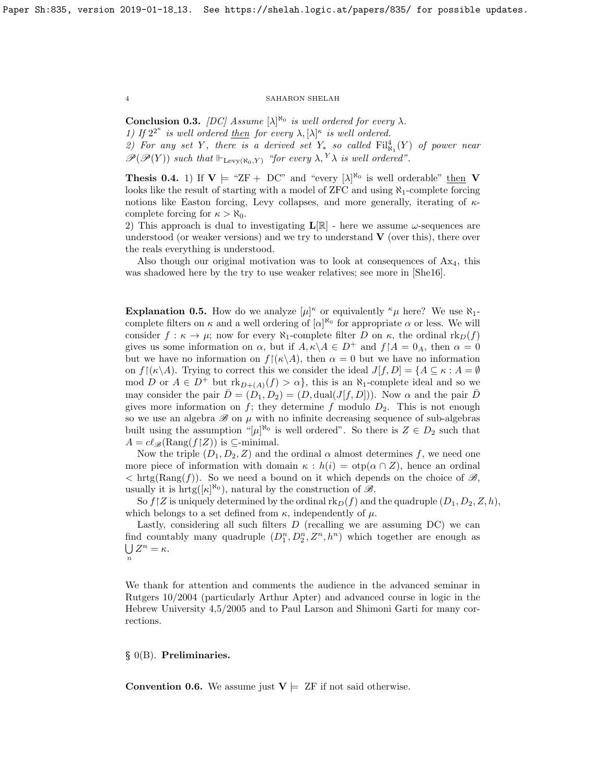**Conclusion 0.3.** [DC] Assume  $[\lambda]^{\aleph_0}$  is well ordered for every  $\lambda$ . 1) If  $2^{2^{\kappa}}$  is well ordered then for every  $\lambda$ ,  $[\lambda]^{\kappa}$  is well ordered.

2) For any set Y, there is a derived set  $Y_*$  so called  $\mathrm{Fil}_{\aleph_1}^4(Y)$  of power near  $\mathscr{P}(\mathscr{P}(Y))$  such that  $\Vdash_{\text{Levy}(\aleph_0,Y)}$  "for every  $\lambda, Y\lambda$  is well ordered".

**Thesis 0.4.** 1) If  $V \models$  "ZF + DC" and "every  $[\lambda]^{\aleph_0}$  is well orderable" then V looks like the result of starting with a model of ZFC and using  $\aleph_1$ -complete forcing notions like Easton forcing, Levy collapses, and more generally, iterating of  $\kappa$ complete forcing for  $\kappa > \aleph_0$ .

2) This approach is dual to investigating  $\mathbf{L}[\mathbb{R}]$  - here we assume  $\omega$ -sequences are understood (or weaker versions) and we try to understand  $\bf{V}$  (over this), there over the reals everything is understood.

Also though our original motivation was to look at consequences of  $Ax<sub>4</sub>$ , this was shadowed here by the try to use weaker relatives; see more in [\[She16\]](#page-32-7).

**Explanation 0.5.** How do we analyze  $[\mu]^{\kappa}$  or equivalently  $^{\kappa}\mu$  here? We use  $\aleph_1$ complete filters on  $\kappa$  and a well ordering of  $[\alpha]^{\aleph_0}$  for appropriate  $\alpha$  or less. We will consider  $f : \kappa \to \mu$ ; now for every  $\aleph_1$ -complete filter D on  $\kappa$ , the ordinal  $\text{rk}_D(f)$ gives us some information on  $\alpha$ , but if  $A, \kappa \backslash A \in D^+$  and  $f \restriction A = 0_A$ , then  $\alpha = 0$ but we have no information on  $f(x \mid A)$ , then  $\alpha = 0$  but we have no information on  $f[(\kappa \backslash A)]$ . Trying to correct this we consider the ideal  $J[f, D] = \{A \subseteq \kappa : A = \emptyset\}$ mod D or  $A \in D^+$  but  $\mathrm{rk}_{D+(A)}(f) > \alpha$ , this is an  $\aleph_1$ -complete ideal and so we may consider the pair  $D = (D_1, D_2) = (D, \text{dual}(J[f, D]))$ . Now  $\alpha$  and the pair D gives more information on f; they determine f modulo  $D_2$ . This is not enough so we use an algebra  ${\mathscr B}$  on  $\mu$  with no infinite decreasing sequence of sub-algebras built using the assumption " $[\mu]^{\aleph_0}$  is well ordered". So there is  $Z \in D_2$  such that  $A = cl_{\mathscr{B}}(\text{Rang}(f|Z))$  is ⊆-minimal.

Now the triple  $(D_1, D_2, Z)$  and the ordinal  $\alpha$  almost determines f, we need one more piece of information with domain  $\kappa : h(i) = \text{otp}(\alpha \cap Z)$ , hence an ordinal  $\langle \text{hrtg}(\text{Rang}(f)) \rangle$ . So we need a bound on it which depends on the choice of  $\mathscr{B}_{\gamma}$ , usually it is  $\mathrm{hrtg}([\kappa]^{\aleph_0})$ , natural by the construction of  $\mathscr{B}$ .

So  $f\,[Z]$  is uniquely determined by the ordinal  $\text{rk}_D(f)$  and the quadruple  $(D_1, D_2, Z, h)$ , which belongs to a set defined from  $\kappa$ , independently of  $\mu$ .

Lastly, considering all such filters  $D$  (recalling we are assuming  $DC$ ) we can find countably many quadruple  $(D_1^n, D_2^n, Z^n, h^n)$  which together are enough as  $\bigcup Z^n = \kappa$ . n

We thank for attention and comments the audience in the advanced seminar in Rutgers 10/2004 (particularly Arthur Apter) and advanced course in logic in the Hebrew University 4,5/2005 and to Paul Larson and Shimoni Garti for many corrections.

## <span id="page-3-0"></span> $\S$  0(B). Preliminaries.

**Convention 0.6.** We assume just  $V \models ZF$  if not said otherwise.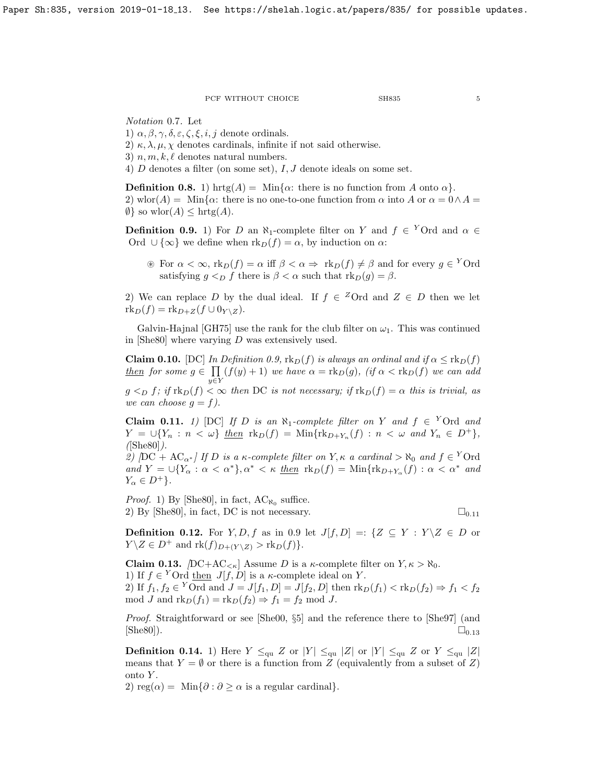Notation 0.7. Let

1)  $\alpha, \beta, \gamma, \delta, \varepsilon, \zeta, \xi, i, j$  denote ordinals.

- 2)  $\kappa, \lambda, \mu, \chi$  denotes cardinals, infinite if not said otherwise.
- 3)  $n, m, k, \ell$  denotes natural numbers.
- 4)  $D$  denotes a filter (on some set),  $I, J$  denote ideals on some set.

<span id="page-4-0"></span>**Definition 0.8.** 1) hrtg $(A) = \text{Min}\{\alpha: \text{there is no function from } A \text{ onto } \alpha\}.$ 2) wlor(A) = Min{ $\alpha$ : there is no one-to-one function from  $\alpha$  into A or  $\alpha = 0 \wedge A =$  $\emptyset$  so wlor(A)  $\leq$  hrtg(A).

<span id="page-4-1"></span>**Definition 0.9.** 1) For D an  $\aleph_1$ -complete filter on Y and  $f \in Y$ Ord and  $\alpha \in Y$ Ord  $\cup \{\infty\}$  we define when  $\mathrm{rk}_D(f) = \alpha$ , by induction on  $\alpha$ :

 $\mathscr{F}$  For  $\alpha < \infty$ ,  $\text{rk}_D(f) = \alpha$  iff  $\beta < \alpha \Rightarrow \text{rk}_D(f) \neq \beta$  and for every  $g \in {}^Y$ Ord satisfying  $g \leq_D f$  there is  $\beta < \alpha$  such that  $\text{rk}_D(g) = \beta$ .

2) We can replace D by the dual ideal. If  $f \in {}^Z\text{Ord}$  and  $Z \in D$  then we let  $\text{rk}_D(f) = \text{rk}_{D+Z}(f \cup 0_{Y \setminus Z}).$ 

Galvin-Hajnal [\[GH75\]](#page-32-12) use the rank for the club filter on  $\omega_1$ . This was continued in [\[She80\]](#page-32-13) where varying  $D$  was extensively used.

<span id="page-4-2"></span>**Claim 0.10.** [DC] In Definition [0.9,](#page-4-1)  $\text{rk}_D(f)$  is always an ordinal and if  $\alpha \leq \text{rk}_D(f)$ <u>then</u> for some  $g \in \prod (f(y) + 1)$  we have  $\alpha = \text{rk}_D(g)$ , (if  $\alpha < \text{rk}_D(f)$  we can add  $y{\in}\bar Y$ 

 $g <_D f$ ; if  $\text{rk}_D(f) < \infty$  then DC is not necessary; if  $\text{rk}_D(f) = \alpha$  this is trivial, as we can choose  $g = f$ ).

<span id="page-4-3"></span>**Claim 0.11.** 1) [DC] If D is an  $\aleph_1$ -complete filter on Y and  $f \in Y$  Ord and  $Y = \bigcup \{ Y_n : n < \omega \}$  then  $\text{rk}_D(f) = \text{Min} \{ \text{rk}_{D+Y_n}(f) : n < \omega \text{ and } Y_n \in D^+ \},$  $(|\text{She80}|)$ .

2) [DC + AC<sub> $\alpha^*$ </sub>] If D is a  $\kappa$ -complete filter on Y,  $\kappa$  a cardinal >  $\aleph_0$  and  $f \in Y$ Ord and  $Y = \bigcup \{ Y_\alpha : \alpha < \alpha^* \}, \alpha^* < \kappa$  then  $\text{rk}_D(f) = \text{Min} \{ \text{rk}_{D+Y_\alpha}(f) : \alpha < \alpha^* \text{ and }$  $Y_{\alpha} \in D^+\}.$ 

*Proof.* 1) By [\[She80\]](#page-32-13), in fact,  $AC_{\aleph_0}$  suffice. 2) By [\[She80\]](#page-32-13), in fact, DC is not necessary.  $\square_{0.11}$  $\square_{0.11}$  $\square_{0.11}$ 

<span id="page-4-5"></span>**Definition 0.12.** For Y, D, f as in [0.9](#page-4-1) let  $J[f, D] =: \{Z \subseteq Y : Y \ | Z \in D \text{ or } Z \in D\}$  $Y \setminus Z \in D^+$  and  $\mathrm{rk}(f)_{D+(Y \setminus Z)} > \mathrm{rk}_D(f)$ .

<span id="page-4-4"></span>**Claim 0.13.**  $[DC+AC_{< \kappa}]$  Assume D is a  $\kappa$ -complete filter on  $Y, \kappa > \aleph_0$ . 1) If  $f \in Y$  Ord then  $J[f, D]$  is a  $\kappa$ -complete ideal on Y. 2) If  $f_1, f_2 \in Y$ Ord and  $J = J[f_1, D] = J[f_2, D]$  then  $\text{rk}_D(f_1) < \text{rk}_D(f_2) \Rightarrow f_1 < f_2$ mod J and  $\text{rk}_D(f_1) = \text{rk}_D(f_2) \Rightarrow f_1 = f_2 \text{ mod } J$ .

Proof. Straightforward or see [\[She00,](#page-32-5) §5] and the reference there to [\[She97\]](#page-32-1) (and [\[She80\]](#page-32-13)).  $\square_{0.13}$  $\square_{0.13}$  $\square_{0.13}$ 

<span id="page-4-6"></span>**Definition 0.14.** 1) Here  $Y \leq_{\text{qu}} Z$  or  $|Y| \leq_{\text{qu}} |Z|$  or  $|Y| \leq_{\text{qu}} Z$  or  $Y \leq_{\text{qu}} |Z|$ means that  $Y = \emptyset$  or there is a function from Z (equivalently from a subset of Z) onto  $Y$ .

2) reg( $\alpha$ ) = Min{ $\partial$  :  $\partial \geq \alpha$  is a regular cardinal}.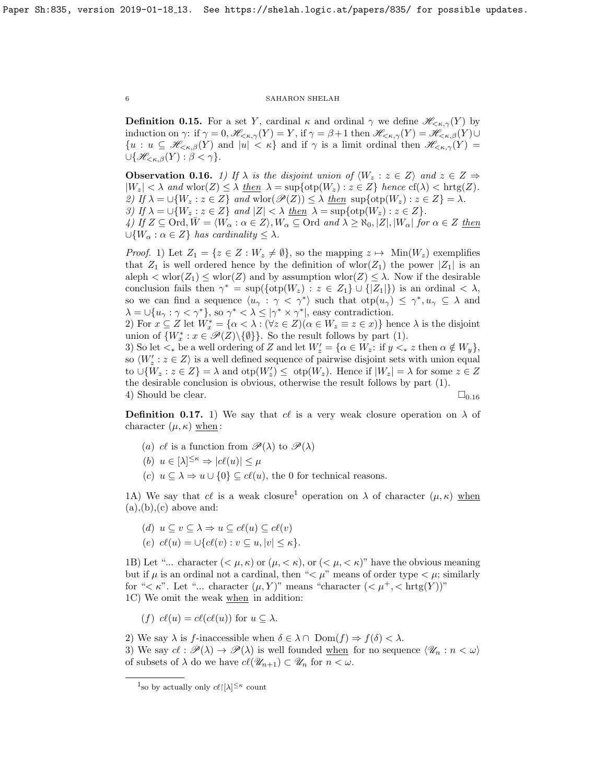<span id="page-5-0"></span>**Definition 0.15.** For a set Y, cardinal  $\kappa$  and ordinal  $\gamma$  we define  $\mathscr{H}_{\leq \kappa,\gamma}(Y)$  by induction on  $\gamma$ : if  $\gamma = 0$ ,  $\mathscr{H}_{\leq \kappa,\gamma}(Y) = Y$ , if  $\gamma = \beta + 1$  then  $\mathscr{H}_{\leq \kappa,\gamma}(Y) = \mathscr{H}_{\leq \kappa,\beta}(Y) \cup$  ${u : u \subseteq \mathscr{H}_{\leq\kappa,\beta}(Y) \text{ and } |u| < \kappa}$  and if  $\gamma$  is a limit ordinal then  $\mathscr{H}_{\leq\kappa,\gamma}(Y)$  $\bigcup \{\mathscr{H}_{\leq\kappa,\beta}(Y):\beta<\gamma\}.$ 

<span id="page-5-1"></span>**Observation 0.16.** 1) If  $\lambda$  is the disjoint union of  $\langle W_z : z \in Z \rangle$  and  $z \in Z \Rightarrow$  $|W_z| < \lambda$  and wlor $(Z) \leq \lambda$  then  $\lambda = \sup\{\text{otp}(W_z) : z \in Z\}$  hence  $\text{cf}(\lambda) < \text{hrtg}(Z)$ . 2) If  $\lambda = \bigcup \{W_z : z \in Z\}$  and  $\text{wlor}(\mathscr{P}(Z)) \leq \lambda$  then  $\text{sup}\{\text{otp}(W_z) : z \in Z\} = \lambda$ . 3) If  $\lambda = \bigcup \{W_z : z \in Z\}$  and  $|Z| < \lambda$  then  $\lambda = \sup \{ \text{otp}(W_z) : z \in Z \}.$ 4) If  $Z \subseteq \text{Ord}, \overline{W} = \langle W_\alpha : \alpha \in Z \rangle, W_\alpha \subseteq \text{Ord} \text{ and } \lambda \geq \aleph_0, |Z|, |W_\alpha| \text{ for } \alpha \in Z \text{ then}$  $\bigcup \{W_\alpha : \alpha \in Z\}$  has cardinality  $\leq \lambda$ .

*Proof.* 1) Let  $Z_1 = \{z \in Z : W_z \neq \emptyset\}$ , so the mapping  $z \mapsto \text{Min}(W_z)$  exemplifies that  $Z_1$  is well ordered hence by the definition of wlor( $Z_1$ ) the power  $|Z_1|$  is an aleph  $\langle \text{wlor}(Z_1) \leq \text{wlor}(Z)$  and by assumption  $\text{wlor}(Z) \leq \lambda$ . Now if the desirable conclusion fails then  $\gamma^* = \sup(\{\text{otp}(W_z) : z \in Z_1\} \cup \{|Z_1|\})$  is an ordinal  $\langle \lambda, \rangle$ so we can find a sequence  $\langle u_\gamma : \gamma < \gamma^* \rangle$  such that  $\text{otp}(u_\gamma) \leq \gamma^*, u_\gamma \subseteq \lambda$  and  $\lambda = \bigcup \{u_{\gamma} : \gamma < \gamma^* \},$  so  $\gamma^* < \lambda \leq |\gamma^* \times \gamma^*|$ , easy contradiction.

2) For  $x \subseteq Z$  let  $W_x^* = \{\alpha < \lambda : (\forall z \in Z)(\alpha \in W_z \equiv z \in x)\}\)$  hence  $\lambda$  is the disjoint union of  $\{W_x^* : x \in \mathscr{P}(Z) \setminus \{\emptyset\}\}\$ . So the result follows by part (1).

3) So let  $\lt_*$  be a well ordering of Z and let  $W'_z = \{ \alpha \in W_z : \text{ if } y \lt_* z \text{ then } \alpha \notin W_y \},$ so  $\langle W'_z : z \in Z \rangle$  is a well defined sequence of pairwise disjoint sets with union equal to  $\bigcup \{W_z : z \in Z\} = \lambda$  and  $otp(W'_z) \leq otp(W_z)$ . Hence if  $|W_z| = \lambda$  for some  $z \in Z$ the desirable conclusion is obvious, otherwise the result follows by part (1). 4) Should be clear.  $\Box_{0.16}$  $\Box_{0.16}$  $\Box_{0.16}$ 

<span id="page-5-2"></span>**Definition 0.17.** 1) We say that cl is a very weak closure operation on  $\lambda$  of character  $(\mu, \kappa)$  when :

- (a) cl is a function from  $\mathscr{P}(\lambda)$  to  $\mathscr{P}(\lambda)$
- (b)  $u \in [\lambda]^{\leq \kappa} \Rightarrow |c\ell(u)| \leq \mu$
- (c)  $u \subseteq \lambda \Rightarrow u \cup \{0\} \subseteq c\ell(u)$ , the 0 for technical reasons.

[1](#page-5-3)A) We say that cl is a weak closure<sup>1</sup> operation on  $\lambda$  of character  $(\mu, \kappa)$  when  $(a), (b), (c)$  above and:

(d)  $u \subseteq v \subseteq \lambda \Rightarrow u \subseteq cl(u) \subseteq cl(v)$ (e)  $c\ell(u) = \bigcup \{c\ell(v) : v \subseteq u, |v| \leq \kappa\}.$ 

1B) Let "... character  $( $\mu, \kappa$  or  $(\mu, < \kappa)$ , or  $( $\mu, < \kappa$ )" have the obvious meaning$$ but if  $\mu$  is an ordinal not a cardinal, then " $\lt \mu$ " means of order type  $\lt \mu$ ; similarly for " $\lt \kappa$ ". Let "... character  $(\mu, Y)$ " means "character  $( $\mu^+$ ,  $<$  hrtg $(Y)$ "$ 1C) We omit the weak when in addition:

(f)  $c\ell(u) = c\ell(c\ell(u))$  for  $u \subseteq \lambda$ .

2) We say  $\lambda$  is f-inaccessible when  $\delta \in \lambda \cap \text{Dom}(f) \Rightarrow f(\delta) < \lambda$ .

3) We say  $cl : \mathscr{P}(\lambda) \to \mathscr{P}(\lambda)$  is well founded when for no sequence  $\langle \mathscr{U}_n : n < \omega \rangle$ of subsets of  $\lambda$  do we have  $cl(\mathscr{U}_{n+1}) \subset \mathscr{U}_n$  for  $n < \omega$ .

<span id="page-5-3"></span><sup>&</sup>lt;sup>1</sup>so by actually only  $c\ell$ [ $\lambda$ ]<sup> $\leq \kappa$ </sup> count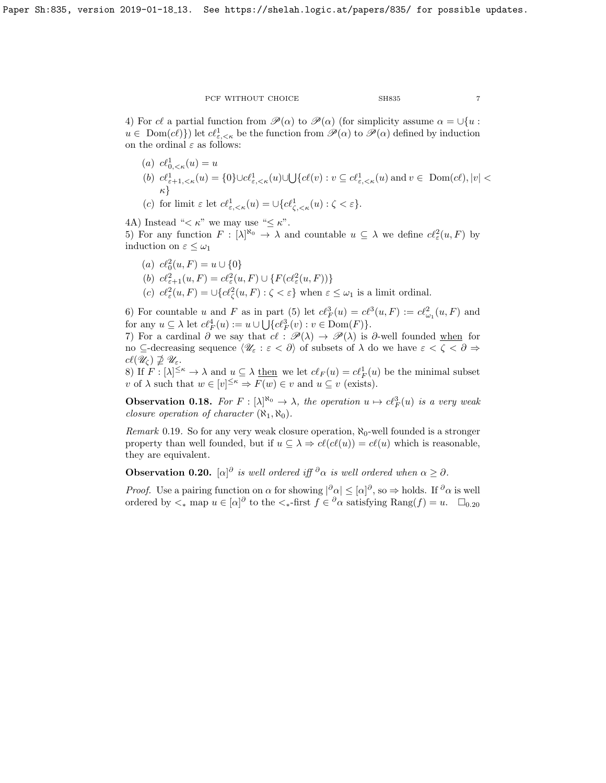4) For cl a partial function from  $\mathcal{P}(\alpha)$  to  $\mathcal{P}(\alpha)$  (for simplicity assume  $\alpha = \bigcup \{u :$  $u \in Dom(c\ell)$  let  $c\ell^1_{\varepsilon,\leq \kappa}$  be the function from  $\mathscr{P}(\alpha)$  to  $\mathscr{P}(\alpha)$  defined by induction on the ordinal  $\varepsilon$  as follows:

- (a)  $c\ell_{0,<\kappa}^1(u) = u$ (b)  $c\ell^1_{\varepsilon+1,\leq \kappa}(u) = \{0\} \cup c\ell^1_{\varepsilon,\leq \kappa}(u) \cup \bigcup \{c\ell(v) : v \subseteq c\ell^1_{\varepsilon,\leq \kappa}(u) \text{ and } v \in \text{ Dom}(c\ell), |v| < \ell^1_{\varepsilon,\leq \kappa}(u) \big)$ κ}
- (c) for limit  $\varepsilon$  let  $c\ell_{\varepsilon, <\kappa}^1(u) = \cup \{c\ell_{\zeta, <\kappa}^1(u) : \zeta < \varepsilon\}.$

4A) Instead " $\lt \kappa$ " we may use " $\leq \kappa$ ".

5) For any function  $F : [\lambda]^{\aleph_0} \to \lambda$  and countable  $u \subseteq \lambda$  we define  $c l^2_{\varepsilon}(u, F)$  by induction on  $\varepsilon \leq \omega_1$ 

\n- (a) 
$$
c\ell_0^2(u, F) = u \cup \{0\}
$$
\n- (b)  $c\ell_{\varepsilon+1}^2(u, F) = c\ell_{\varepsilon}^2(u, F) \cup \{F(c\ell_{\varepsilon}^2(u, F))\}$
\n- (c)  $c\ell_{\varepsilon}^2(u, F) = \bigcup \{c\ell_{\zeta}^2(u, F) : \zeta < \varepsilon\}$  when  $\varepsilon \leq \omega_1$  is a limit ordinal.
\n

6) For countable u and F as in part (5) let  $c\ell_F^3(u) = c\ell^3(u, F) := c\ell_{\omega_1}^2(u, F)$  and for any  $u \subseteq \lambda$  let  $c\ell_F^4(u) := u \cup \bigcup \{c\ell_F^3(v) : v \in \text{Dom}(F)\}.$ 

7) For a cardinal ∂ we say that  $c \ell : \mathscr{P}(\lambda) \to \mathscr{P}(\lambda)$  is ∂-well founded when for no ⊆-decreasing sequence  $\langle \mathscr{U}_{\varepsilon} : \varepsilon < \partial \rangle$  of subsets of  $\lambda$  do we have  $\varepsilon < \zeta < \partial \Rightarrow$  $cl(\mathscr{U}_{\zeta}) \nsupseteq \mathscr{U}_{\varepsilon}.$ 

8) If  $F : [\lambda]^{\leq \kappa} \to \lambda$  and  $u \subseteq \lambda$  then we let  $c\ell_F(u) = c\ell_F^1(u)$  be the minimal subset v of  $\lambda$  such that  $w \in [v]^{\leq \kappa} \Rightarrow F(w) \in v$  and  $u \subseteq v$  (exists).

<span id="page-6-1"></span>**Observation 0.18.** For  $F : [\lambda]^{\aleph_0} \to \lambda$ , the operation  $u \mapsto c\ell_F^3(u)$  is a very weak closure operation of character  $(\aleph_1, \aleph_0)$ .

Remark 0.19. So for any very weak closure operation,  $\aleph_0$ -well founded is a stronger property than well founded, but if  $u \subseteq \lambda \Rightarrow cl(c(\ell(u)) = cl(u)$  which is reasonable, they are equivalent.

<span id="page-6-0"></span>**Observation 0.20.** [ $\alpha$ ]<sup>∂</sup> is well ordered iff <sup>∂</sup> $\alpha$  is well ordered when  $\alpha \geq \partial$ .

*Proof.* Use a pairing function on  $\alpha$  for showing  $|\partial \alpha| \leq [\alpha]\partial$ , so  $\Rightarrow$  holds. If  $\partial \alpha$  is well ordered by  $\lt_*$  map  $u \in [\alpha]^\partial$  to the  $\lt_*$ -first  $f \in \partial \alpha$  satisfying  $\text{Rang}(f) = u$ .  $\square_{0.20}$  $\square_{0.20}$  $\square_{0.20}$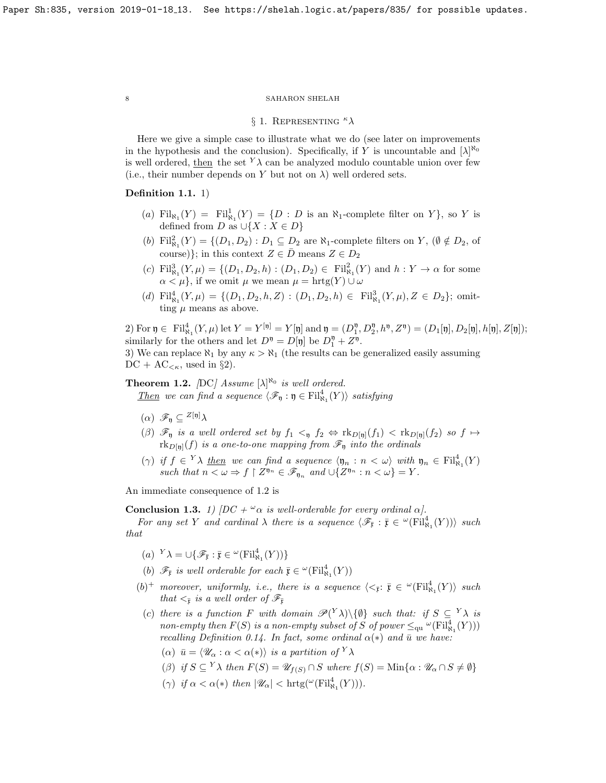## § 1. REPRESENTING  $\kappa \lambda$

<span id="page-7-0"></span>Here we give a simple case to illustrate what we do (see later on improvements in the hypothesis and the conclusion). Specifically, if Y is uncountable and  $[\lambda]^{\aleph_0}$ is well ordered, then the set  $Y_{\lambda}$  can be analyzed modulo countable union over few (i.e., their number depends on Y but not on  $\lambda$ ) well ordered sets.

## Definition 1.1. 1)

- (a)  $\text{Fil}_{\aleph_1}(Y) = \text{Fil}_{\aleph_1}^1(Y) = \{D : D \text{ is an } \aleph_1\text{-complete filter on } Y\},\text{ so } Y \text{ is }$ defined from D as  $\cup \{X : X \in D\}$
- (b)  $Fil_{\aleph_1}^2(Y) = \{(D_1, D_2) : D_1 \subseteq D_2 \text{ are } \aleph_1\text{-complete filters on } Y, (\emptyset \notin D_2, \text{ of } Z)\}$ course)}; in this context  $Z \in \overline{D}$  means  $Z \in D_2$
- (c)  $Fil_{\aleph_1}^3(Y,\mu) = \{ (D_1, D_2, h) : (D_1, D_2) \in Fil_{\aleph_1}^2(Y) \text{ and } h : Y \to \alpha \text{ for some }$  $\alpha < \mu$ , if we omit  $\mu$  we mean  $\mu = \text{hrtg}(Y) \cup \omega$
- (d)  $\text{Fil}_{\aleph_1}^4(Y,\mu) = \{ (D_1, D_2, h, Z) : (D_1, D_2, h) \in \text{Fil}_{\aleph_1}^3(Y,\mu), Z \in D_2 \};$  omitting  $\mu$  means as above.

2) For  $\mathfrak{y} \in \text{Fil}_{\aleph_1}^4(Y, \mu)$  let  $Y = Y^{[\mathfrak{y}]} = Y[\mathfrak{y}]$  and  $\mathfrak{y} = (D_1^{\mathfrak{y}}, D_2^{\mathfrak{y}}, h^{\mathfrak{y}}, Z^{\mathfrak{y}}) = (D_1[\mathfrak{y}], D_2[\mathfrak{y}], h[\mathfrak{y}], Z[\mathfrak{y}])$ ; similarly for the others and let  $D^{\mathfrak{y}} = D[\mathfrak{y}]$  be  $D_1^{\mathfrak{y}} + Z^{\mathfrak{y}}$ . 3) We can replace  $\aleph_1$  by any  $\kappa > \aleph_1$  (the results can be generalized easily assuming

 $DC + AC_{\leq \kappa}$ , used in §2).

<span id="page-7-1"></span>**Theorem 1.2.** [DC] Assume  $[\lambda]^{\aleph_0}$  is well ordered.

Then we can find a sequence  $\langle \mathcal{F}_{\mathfrak{y}} : \mathfrak{y} \in \mathrm{Fil}^4_{\mathcal{N}_1}(Y) \rangle$  satisfying

- $(\alpha)$   $\mathscr{F}_n \subseteq {}^{Z[\mathfrak{y}]}\lambda$
- (β)  $\mathscr{F}_n$  is a well ordered set by  $f_1 <sub>y</sub> f_2 \Leftrightarrow$   $\text{rk}_{D[p]}(f_1) < \text{rk}_{D[p]}(f_2)$  so  $f \mapsto$  $\text{rk}_{D[\mathfrak{y}]}(f)$  is a one-to-one mapping from  $\mathscr{F}_{\mathfrak{y}}$  into the ordinals
- ( $\gamma$ ) if  $f \in {}^Y\lambda$  then we can find a sequence  $\langle \mathfrak{y}_n : n < \omega \rangle$  with  $\mathfrak{y}_n \in \mathrm{Fil}_{\aleph_1}^4(Y)$ such that  $n < \omega \Rightarrow f \restriction Z^{n_n} \in \mathscr{F}_{n_n}$  and  $\cup \{Z^{n_n} : n < \omega\} = Y$ .

An immediate consequence of [1.2](#page-7-1) is

<span id="page-7-2"></span>**Conclusion 1.3.** 1)  $[DC + \omega \alpha \text{ is well-orderable for every ordinal } \alpha].$ 

For any set Y and cardinal  $\lambda$  there is a sequence  $\langle \mathscr{F}_{\bar{x}} : \bar{x} \in {}^{\omega}(\mathrm{Fil}^{4}_{\aleph_{1}}(Y)) \rangle$  such that

(a)  ${}^Y\lambda = \bigcup \{ \mathscr{F}_{\overline{\mathfrak{x}}} : \overline{\mathfrak{x}} \in {}^{\omega}(\mathrm{Fil}^4_{\aleph_1}(Y)) \}$ 

(b)  $\mathscr{F}_{\bar{\mathfrak{x}}}$  is well orderable for each  $\bar{\mathfrak{x}} \in {}^{\omega}(\mathrm{Fil}^4_{\aleph_1}(Y))$ 

- $(b)^+$  moreover, uniformly, i.e., there is a sequence  $\langle \langle \bar{x}; \ \bar{y} \in \mathcal{L}(\mathrm{Fil}^4_{\aleph_1}(Y) \rangle$  such that  $\lt_{\bar{x}}$  is a well order of  $\mathscr{F}_{\bar{x}}$
- (c) there is a function F with domain  $\mathscr{P}(Y\lambda)\setminus\{\emptyset\}$  such that: if  $S \subseteq Y\lambda$  is non-empty then  $F(S)$  is a non-empty subset of S of power  $\leq_{\text{qu}} \text{``(Fil}_{\aleph_1}^4(Y))$ recalling Definition [0.14.](#page-4-6) In fact, some ordinal  $\alpha(*)$  and  $\bar{u}$  we have:
	- ( $\alpha$ )  $\bar{u} = \langle \mathscr{U}_{\alpha} : \alpha < \alpha(*) \rangle$  is a partition of  $Y \lambda$
	- (β) if  $S \subseteq Y$  $\lambda$  then  $F(S) = \mathscr{U}_{f(S)} \cap S$  where  $f(S) = \text{Min}\{\alpha : \mathscr{U}_{\alpha} \cap S \neq \emptyset\}$
	- ( $\gamma$ ) if  $\alpha < \alpha(*)$  then  $|\mathscr{U}_{\alpha}| < \text{hrtg}(\mathscr{C}(\text{Fil}^4_{\aleph_1}(Y))).$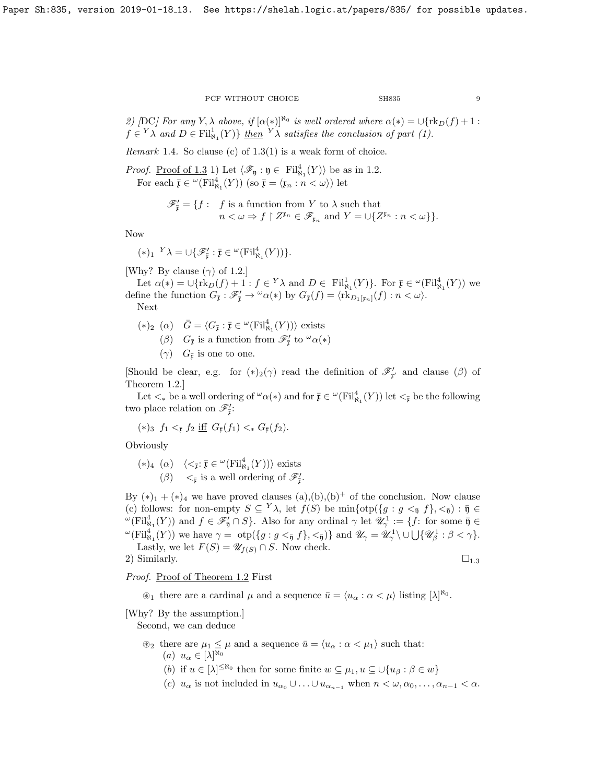2) [DC] For any Y,  $\lambda$  above, if  $[\alpha(*)]^{\aleph_0}$  is well ordered where  $\alpha(*) = \bigcup \{ \text{rk}_D(f) + 1 :$  $f \in {}^Y\lambda$  and  $D \in \mathrm{Fil}^1_{\aleph_1}(Y) \}$  then  ${}^Y\lambda$  satisfies the conclusion of part (1).

Remark 1.4. So clause (c) of  $1.3(1)$  is a weak form of choice.

*Proof.* <u>Proof of [1.3](#page-7-2)</u> 1) Let  $\langle \mathcal{F}_{\mathfrak{y}} : \mathfrak{y} \in \mathrm{Fil}_{\aleph_1}^4(Y) \rangle$  be as in [1.2.](#page-7-1) For each  $\bar{\mathfrak{x}} \in {}^{\omega}(\mathrm{Fil}^4_{\aleph_1}(Y))$  (so  $\bar{\mathfrak{x}} = \langle \mathfrak{x}_n : n < \omega \rangle$ ) let

$$
\mathscr{F}'_{\overline{\mathfrak{x}}} = \{ f : \begin{array}{l} f \text{ is a function from } Y \text{ to } \lambda \text{ such that} \\ n < \omega \Rightarrow f \upharpoonright Z^{\mathfrak{x}_n} \in \mathscr{F}_{\mathfrak{x}_n} \text{ and } Y = \cup \{ Z^{\mathfrak{x}_n} : n < \omega \} \} . \end{array}
$$

Now

$$
(\ast)_1 \ {}^Y\lambda = \cup \{ \mathscr{F}_{\overline{\mathfrak{x}}}^{\prime} : \overline{\mathfrak{x}} \in {}^{\omega}(\mathrm{Fil}^4_{\aleph_1}(Y)) \}.
$$

[Why? By clause  $(\gamma)$  of [1.2.](#page-7-1)]

Let  $\alpha(*) = \bigcup \{ \text{rk}_D(f) + 1 : f \in {}^Y\lambda \text{ and } D \in \text{ Fil}_{\aleph_1}^1(Y) \}$ . For  $\overline{\mathfrak{x}} \in {}^{\omega}(\text{Fil}_{\aleph_1}^4(Y))$  we define the function  $G_{\bar{x}} : \mathscr{F}'_{\bar{x}} \to {}^{\omega}\alpha(*)$  by  $G_{\bar{x}}(f) = \langle \text{rk}_{D_1[x_n]}(f) : n < \omega \rangle$ .

Next

$$
(*)_2 (\alpha) \quad \bar{G} = \langle G_{\bar{\mathfrak{x}}} : \bar{\mathfrak{x}} \in {}^{\omega}(\mathrm{Fil}^4_{\aleph_1}(Y)) \rangle \text{ exists}
$$
  

$$
(\beta) \quad G_{\bar{\mathfrak{x}}} \text{ is a function from } \mathscr{F}'_{\bar{\mathfrak{x}}} \text{ to } {}^{\omega}\alpha(*)
$$

 $(\gamma)$   $G_{\bar{x}}$  is one to one.

[Should be clear, e.g. for  $(*)_2(\gamma)$  read the definition of  $\mathscr{F}'_{r'}$  and clause ( $\beta$ ) of Theorem [1.2.](#page-7-1)]

Let  $\lt_k$  be a well ordering of  $^{\omega}\alpha(*)$  and for  $\overline{\mathfrak x} \in {}^{\omega}(\mathrm{Fil}^4_{\aleph_1}(Y))$  let  $\lt_{\overline{\mathfrak x}}$  be the following two place relation on  $\mathscr{F}'_{\bar{\mathfrak{x}}}$ :

$$
(*)_3 f_1 <_{\bar{\mathfrak{x}}} f_2 \text{ iff } G_{\bar{\mathfrak{x}}}(f_1) <_* G_{\bar{\mathfrak{x}}}(f_2).
$$

Obviously

$$
\begin{array}{ll} (*)_4 \ (\alpha) & \langle <_{\bar{\mathfrak{x}}} : \bar{\mathfrak{x}} \in {}^{\omega}(\mathrm{Fil}^4_{\aleph_1}(Y)) \rangle \text{ exists} \\ (\beta) & <_{\bar{\mathfrak{x}}} \text{ is a well ordering of } \mathscr{F}_{\bar{\mathfrak{x}}}'. \end{array}
$$

By  $(*)_1 + (*)_4$  we have proved clauses  $(a),(b),(b)^+$  of the conclusion. Now clause (c) follows: for non-empty  $S \subseteq Y\lambda$ , let  $f(S)$  be  $\min\{\text{otp}\{g : g \lt_{\overline{\mathfrak y}} f\}, \lt_{\overline{\mathfrak y}}\}$ :  $\overline{\mathfrak y} \in$  $\mathcal{L}(\mathrm{Fil}_{\aleph_1}^4(Y))$  and  $f \in \mathscr{F}_{\overline{\mathfrak{y}}} \cap S$ . Also for any ordinal  $\gamma$  let  $\mathscr{U}^1_\gamma := \{f: \text{ for some } \overline{\mathfrak{y}} \in \mathbb{R}^2\}$  ${}^{\omega}(\mathrm{Fil}_{\aleph_1}^4(Y))$  we have  $\gamma = \ \mathrm{otp} \{ g : g <_{\bar{\mathfrak{y}}} f \}$ ,  $\lt_{\bar{\mathfrak{y}}} f \}$  and  $\mathscr{U}_{\gamma} = \mathscr{U}_{\gamma}^1 \setminus \cup \bigcup \{ \mathscr{U}_{\beta}^1 : \beta < \gamma \}$ . Lastly, we let  $F(S) = \mathscr{U}_{f(S)} \cap S$ . Now check.

2) Similarly.  $\square_{1.3}$  $\square_{1.3}$  $\square_{1.3}$ 

Proof. Proof of Theorem [1.2](#page-7-1) First

 $\mathscr{L}_1$  there are a cardinal  $\mu$  and a sequence  $\bar{u} = \langle u_\alpha : \alpha < \mu \rangle$  listing  $[\lambda]^{\aleph_0}$ .

[Why? By the assumption.]

Second, we can deduce

 $\mathcal{L}_2$  there are  $\mu_1 \leq \mu$  and a sequence  $\bar{u} = \langle u_\alpha : \alpha < \mu_1 \rangle$  such that:  $(a) u_{\alpha} \in [\lambda]^{\aleph_0}$ 

(b) if  $u \in [\lambda]^{\leq \aleph_0}$  then for some finite  $w \subseteq \mu_1, u \subseteq \bigcup \{u_\beta : \beta \in w\}$ 

(c)  $u_{\alpha}$  is not included in  $u_{\alpha_0} \cup ... \cup u_{\alpha_{n-1}}$  when  $n < \omega, \alpha_0, ..., \alpha_{n-1} < \alpha$ .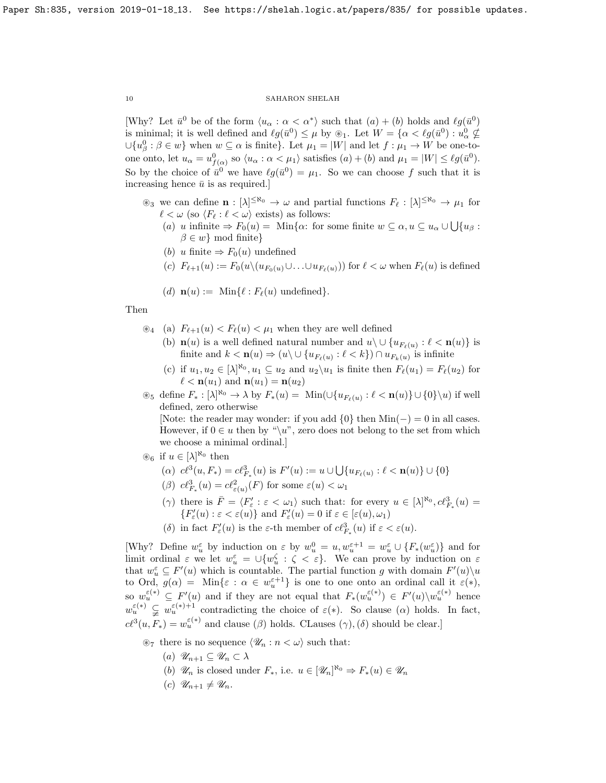[Why? Let  $\bar{u}^0$  be of the form  $\langle u_\alpha : \alpha < \alpha^* \rangle$  such that  $(a) + (b)$  holds and  $\ell g(\bar{u}^0)$ is minimal; it is well defined and  $\ell g(\bar{u}^0) \leq \mu$  by  $\otimes_1$ . Let  $W = \{ \alpha < \ell g(\bar{u}^0) : u_\alpha^0 \notin \mathcal{L} \}$  $\cup \{u_{\beta}^0 : \beta \in w\}$  when  $w \subseteq \alpha$  is finite}. Let  $\mu_1 = |W|$  and let  $f : \mu_1 \to W$  be one-toone onto, let  $u_{\alpha} = u_{f(\alpha)}^0$  so  $\langle u_{\alpha} : \alpha < \mu_1 \rangle$  satisfies  $(a) + (b)$  and  $\mu_1 = |W| \leq \ell g(\bar{u}^0)$ . So by the choice of  $\bar{u}^0$  we have  $\ell g(\bar{u}^0) = \mu_1$ . So we can choose f such that it is increasing hence  $\bar{u}$  is as required.]

- $\circledast_3$  we can define  $\mathbf{n} : [\lambda]^{\leq \aleph_0} \to \omega$  and partial functions  $F_\ell : [\lambda]^{\leq \aleph_0} \to \mu_1$  for  $\ell < \omega$  (so  $\langle F_\ell : \ell < \omega \rangle$  exists) as follows:
	- (a) u infinite  $\Rightarrow F_0(u) = \text{Min}\{\alpha: \text{ for some finite } w \subseteq \alpha, u \subseteq u_\alpha \cup \bigcup \{u_\beta :$  $\beta \in w$ } mod finite}
	- (b) u finite  $\Rightarrow F_0(u)$  undefined
	- (c)  $F_{\ell+1}(u) := F_0(u\setminus (u_{F_0(u)}\cup \ldots \cup u_{F_{\ell}(u)}))$  for  $\ell < \omega$  when  $F_{\ell}(u)$  is defined
	- (d)  $\mathbf{n}(u) := \text{Min}\{\ell : F_{\ell}(u) \text{ undefined}\}.$

## Then

- $\mathcal{L}_4$  (a)  $F_{\ell+1}(u) < F_{\ell}(u) < \mu_1$  when they are well defined
	- (b)  $\mathbf{n}(u)$  is a well defined natural number and  $u \setminus \cup \{u_{F_{\ell}(u)} : \ell < \mathbf{n}(u)\}\$ is finite and  $k < \mathbf{n}(u) \Rightarrow (u \setminus \cup \{u_{F_\ell(u)} : \ell < k\}) \cap u_{F_k(u)}$  is infinite
	- (c) if  $u_1, u_2 \in [\lambda]^{\aleph_0}, u_1 \subseteq u_2$  and  $u_2 \setminus u_1$  is finite then  $F_\ell(u_1) = F_\ell(u_2)$  for  $\ell < \mathbf{n}(u_1)$  and  $\mathbf{n}(u_1) = \mathbf{n}(u_2)$

 $\otimes_5$  define  $F_* : [\lambda]^{N_0} \to \lambda$  by  $F_*(u) = \text{Min}(\cup \{u_{F_\ell(u)} : \ell < \mathbf{n}(u)\} \cup \{0\} \setminus u)$  if well defined, zero otherwise

[Note: the reader may wonder: if you add  $\{0\}$  then  $Min(-) = 0$  in all cases. However, if  $0 \in u$  then by "\u", zero does not belong to the set from which we choose a minimal ordinal.]

- $\mathscr{B}_6$  if  $u \in [\lambda]^{\aleph_0}$  then
	- (a)  $c\ell^3(u, F_*) = c\ell^3_{F_*}(u)$  is  $F'(u) := u \cup \bigcup \{u_{F_\ell(u)} : \ell < \mathbf{n}(u)\} \cup \{0\}$
	- ( $\beta$ )  $c\ell_{F_*}^3(u) = c\ell_{\varepsilon(u)}^2(F)$  for some  $\varepsilon(u) < \omega_1$
	- ( $\gamma$ ) there is  $\bar{F} = \langle F'_\varepsilon : \varepsilon < \omega_1 \rangle$  such that: for every  $u \in [\lambda]^{\aleph_0}, c\ell_{F_*}^3(u) =$  $\{F'_{\varepsilon}(u):\varepsilon<\varepsilon(u)\}$  and  $F'_{\varepsilon}(u)=0$  if  $\varepsilon\in[\varepsilon(u),\omega_1)$
	- (δ) in fact  $F'_{\varepsilon}(u)$  is the  $\varepsilon$ -th member of  $c\ell_{F_*}^3(u)$  if  $\varepsilon < \varepsilon(u)$ .

[Why? Define  $w_u^{\varepsilon}$  by induction on  $\varepsilon$  by  $w_u^0 = u, w_u^{\varepsilon+1} = w_u^{\varepsilon} \cup \{F_*(w_u^{\varepsilon})\}$  and for limit ordinal  $\varepsilon$  we let  $w_u^{\varepsilon} = \bigcup \{w_u^{\zeta} : \zeta < \varepsilon\}$ . We can prove by induction on  $\varepsilon$ that  $w_u^{\varepsilon} \subseteq F'(u)$  which is countable. The partial function g with domain  $F'(u)\setminus u$ to Ord,  $g(\alpha) = \text{Min}\{\varepsilon : \alpha \in w^{\varepsilon+1}_u\}$  is one to one onto an ordinal call it  $\varepsilon(*)$ , so  $w_u^{\varepsilon(*)} \subseteq F'(u)$  and if they are not equal that  $F_*(w_u^{\varepsilon(*)}) \in F'(u) \setminus w_u^{\varepsilon(*)}$  hence  $w_u^{\varepsilon(*)} \subsetneq w_u^{\varepsilon^{(*)}+1}$  contradicting the choice of  $\varepsilon(*)$ . So clause  $(\alpha)$  holds. In fact,  $c\ell^3(u, F_*) = w_u^{\varepsilon(*)}$  and clause ( $\beta$ ) holds. CLauses  $(\gamma)$ ,  $(\delta)$  should be clear.]

- $\otimes_7$  there is no sequence  $\langle \mathscr{U}_n : n < \omega \rangle$  such that:
	- (a)  $\mathscr{U}_{n+1} \subseteq \mathscr{U}_n \subset \lambda$
	- (b)  $\mathscr{U}_n$  is closed under  $F_*$ , i.e.  $u \in [\mathscr{U}_n]^{\aleph_0} \Rightarrow F_*(u) \in \mathscr{U}_n$
	- (c)  $\mathscr{U}_{n+1} \neq \mathscr{U}_n$ .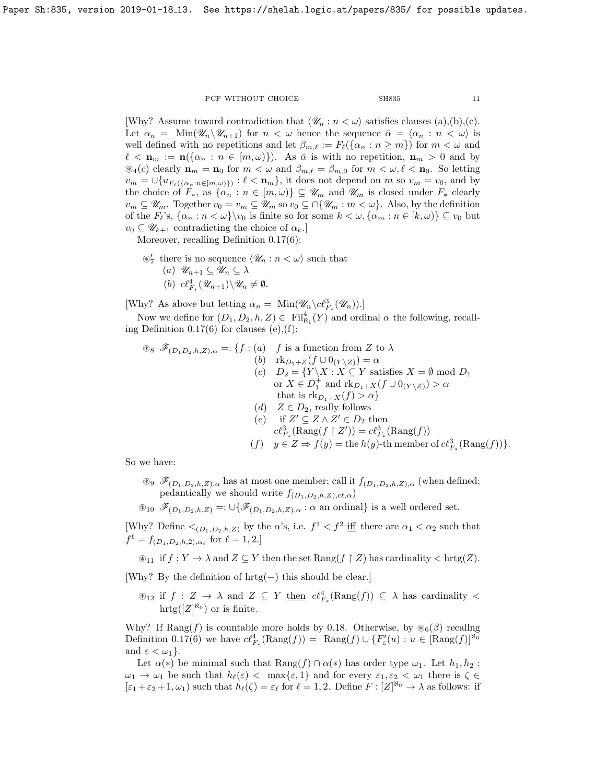[Why? Assume toward contradiction that  $\langle \mathcal{U}_n : n < \omega \rangle$  satisfies clauses (a),(b),(c). Let  $\alpha_n = \text{Min}(\mathscr{U}_n \backslash \mathscr{U}_{n+1})$  for  $n < \omega$  hence the sequence  $\bar{\alpha} = \langle \alpha_n : n < \omega \rangle$  is well defined with no repetitions and let  $\beta_{m,\ell} := F_{\ell}(\{\alpha_n : n \geq m\})$  for  $m < \omega$  and  $\ell < \mathbf{n}_m := \mathbf{n}(\{\alpha_n : n \in [m,\omega)\})$ . As  $\bar{\alpha}$  is with no repetition,  $\mathbf{n}_m > 0$  and by  $\mathcal{A}_{4}(c)$  clearly  $\mathbf{n}_{m} = \mathbf{n}_{0}$  for  $m < \omega$  and  $\beta_{m,\ell} = \beta_{m,0}$  for  $m < \omega, \ell < \mathbf{n}_{0}$ . So letting  $v_m = \bigcup \{ u_{F_\ell(\{\alpha_n : n \in [m,\omega)\})} : \ell < \mathbf{n}_m \},\$ it does not depend on m so  $v_m = v_0$ , and by the choice of  $F_*$ , as  $\{\alpha_n : n \in [m, \omega)\}\subseteq \mathscr{U}_m$  and  $\mathscr{U}_m$  is closed under  $F_*$  clearly  $v_m \subseteq \mathscr{U}_m$ . Together  $v_0 = v_m \subseteq \mathscr{U}_m$  so  $v_0 \subseteq \bigcap \{\mathscr{U}_m : m < \omega\}$ . Also, by the definition of the  $F_\ell$ 's,  $\{\alpha_n : n < \omega\}$ ' $v_0$  is finite so for some  $k < \omega$ ,  $\{\alpha_m : n \in [k, \omega)\} \subseteq v_0$  but  $v_0 \subseteq \mathscr{U}_{k+1}$  contradicting the choice of  $\alpha_k$ .

Moreover, recalling Definition [0.17\(](#page-5-2)6):

 $\mathcal{D}'_7$  there is no sequence  $\langle \mathcal{U}_n : n < \omega \rangle$  such that  $(a) \ \mathscr{U}_{n+1} \subseteq \mathscr{U}_n \subseteq \lambda$ (b)  $c\ell_{F_*}^4(\mathscr{U}_{n+1})\backslash \mathscr{U}_n\neq \emptyset$ .

[Why? As above but letting  $\alpha_n = \text{Min}(\mathscr{U}_n \backslash c\ell^3_{F_*}(\mathscr{U}_n))$ .]

Now we define for  $(D_1, D_2, h, Z) \in \text{Fil}_{\aleph_1}^4(Y)$  and ordinal  $\alpha$  the following, recalling Definition  $0.17(6)$  for clauses  $(e), (f)$ :

$$
\mathcal{F}_{(D_1D_2,h,Z),\alpha} =: \{f : (a) \text{ f is a function from } Z \text{ to } \lambda
$$
\n
$$
(b) \text{ rk}_{D_1+Z}(f \cup 0_{(Y \setminus Z)}) = \alpha
$$
\n
$$
(c) D_2 = \{Y \setminus X : X \subseteq Y \text{ satisfies } X = \emptyset \text{ mod } D_1
$$
\n
$$
\text{or } X \in D_1^+ \text{ and } \text{rk}_{D_1+X}(f \cup 0_{(Y \setminus Z)}) > \alpha
$$
\nthat is  $\text{rk}_{D_1+X}(f) > \alpha\}$   
\n
$$
(d) Z \in D_2, \text{ really follows}
$$
\n
$$
(e) \text{ if } Z' \subseteq Z \land Z' \in D_2 \text{ then}
$$
\n
$$
c\ell_{F_*}^3(\text{Rang}(f \mid Z')) = c\ell_{F_*}^3(\text{Rang}(f))
$$
\n
$$
(f) y \in Z \Rightarrow f(y) = \text{the } h(y) \text{-th member of } c\ell_{F_*}^3(\text{Rang}(f))\}.
$$

So we have:

 $\mathscr{F}_{(D_1,D_2,h,Z),\alpha}$  has at most one member; call it  $f_{(D_1,D_2,h,Z),\alpha}$  (when defined; pedantically we should write  $f_{(D_1,D_2,h,Z),c\ell,\alpha}$ )

 $\mathscr{F}_{(D_1,D_2,h,Z)} =: \bigcup \{ \mathscr{F}_{(D_1,D_2,h,Z),\alpha} : \alpha \text{ an ordinal} \}$  is a well ordered set.

[Why? Define  $\langle (p_1, p_2, h, z) \rangle$  by the  $\alpha$ 's, i.e.  $f^1 \langle f^2 \rangle$  if there are  $\alpha_1 \langle \alpha_2 \rangle$  such that  $f^{\ell} = f_{(D_1, D_2, h, 2), \alpha_{\ell}}$  for  $\ell = 1, 2$ .]

 $\mathcal{L}_{11}$  if  $f: Y \to \lambda$  and  $Z \subseteq Y$  then the set  $\text{Rang}(f \restriction Z)$  has cardinality  $\lt$  hrtg $(Z)$ .

[Why? By the definition of hrtg(−) this should be clear.]

 $\mathcal{L}_{12}$  if  $f : Z \to \lambda$  and  $Z \subseteq Y$  then  $c\ell_{F_*}^4(\text{Rang}(f)) \subseteq \lambda$  has cardinality <  $\mathrm{hrtg}([Z]^{\aleph_0})$  or is finite.

Why? If  $\text{Rang}(f)$  is countable more holds by [0.18.](#page-6-1) Otherwise, by  $\mathcal{B}_6(\beta)$  recalling Definition [0.17\(](#page-5-2)6) we have  $c\ell_{F_*}^4(\text{Rang}(f)) = \text{Rang}(f) \cup \{F'_{\varepsilon}(u) : u \in [\text{Rang}(f)]^{\aleph_0}\}$ and  $\varepsilon < \omega_1$ .

Let  $\alpha(*)$  be minimal such that  $\text{Rang}(f) \cap \alpha(*)$  has order type  $\omega_1$ . Let  $h_1, h_2$ :  $\omega_1 \to \omega_1$  be such that  $h_\ell(\varepsilon) < \max\{\varepsilon, 1\}$  and for every  $\varepsilon_1, \varepsilon_2 < \omega_1$  there is  $\zeta \in$  $[\varepsilon_1 + \varepsilon_2 + 1, \omega_1]$  such that  $h_\ell(\zeta) = \varepsilon_\ell$  for  $\ell = 1, 2$ . Define  $F : [Z]^{\aleph_0} \to \lambda$  as follows: if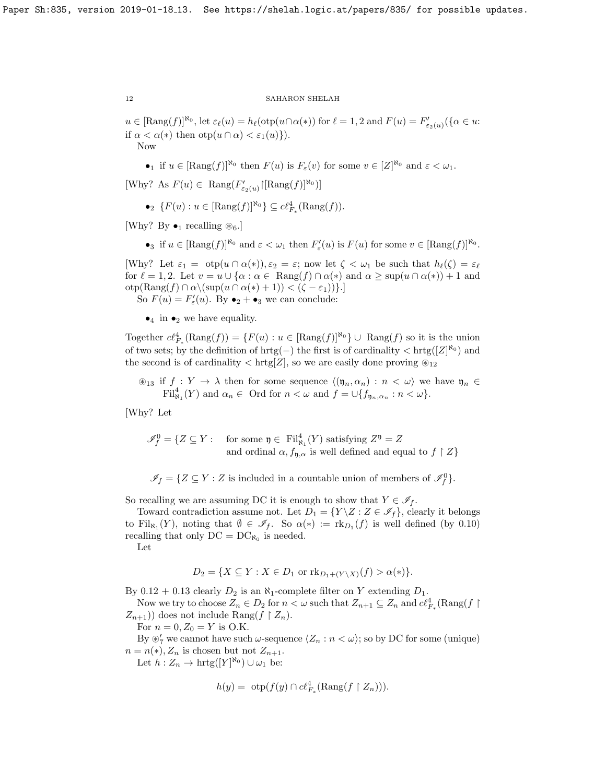$u \in [\text{Rang}(f)]^{\aleph_0}$ , let  $\varepsilon_\ell(u) = h_\ell(\text{otp}(u \cap \alpha(*)) \text{ for } \ell = 1, 2 \text{ and } F(u) = F'_{\varepsilon_2(u)}(\{\alpha \in u : \alpha \in \ell\})$ if  $\alpha < \alpha(*)$  then  $otp(u \cap \alpha) < \varepsilon_1(u)$ . Now

•<sub>1</sub> if  $u \in [\text{Rang}(f)]^{\aleph_0}$  then  $F(u)$  is  $F_{\varepsilon}(v)$  for some  $v \in [Z]^{\aleph_0}$  and  $\varepsilon < \omega_1$ .

[Why? As  $F(u) \in \text{Rang}(F'_{\varepsilon_2(u)}\upharpoonright [\text{Rang}(f)]^{\aleph_0})$ ]

•  $\{F(u): u \in [\text{Rang}(f)]^{\aleph_0}\}\subseteq \mathcal{C}\mathcal{C}_{F_*}^4(\text{Rang}(f)).$ 

[Why? By  $\bullet_1$  recalling  $\circledast_6$ .]

•3 if  $u \in [\text{Rang}(f)]^{\aleph_0}$  and  $\varepsilon < \omega_1$  then  $F'_{\varepsilon}(u)$  is  $F(u)$  for some  $v \in [\text{Rang}(f)]^{\aleph_0}$ .

[Why? Let  $\varepsilon_1 = \text{otp}(u \cap \alpha(*)), \varepsilon_2 = \varepsilon$ ; now let  $\zeta < \omega_1$  be such that  $h_{\ell}(\zeta) = \varepsilon_{\ell}$ for  $\ell = 1, 2$ . Let  $v = u \cup {\alpha : \alpha \in \text{Rang}(f) \cap \alpha(*)$  and  $\alpha \geq \sup(u \cap \alpha(*))+1$  and  $otp(Rang(f) \cap \alpha \setminus (sup(u \cap \alpha(*) + 1)) < (\zeta - \varepsilon_1))\}.$ 

So  $F(u) = F'_{\varepsilon}(u)$ . By  $\bullet_2 + \bullet_3$  we can conclude:

 $\bullet_4$  in  $\bullet_2$  we have equality.

Together  $c\ell_{F_*}^4(\text{Rang}(f)) = \{F(u) : u \in [\text{Rang}(f)]^{\aleph_0}\} \cup \text{Rang}(f)$  so it is the union of two sets; by the definition of  $hrtg(-)$  the first is of cardinality  $\langle hrg([Z]^{\aleph_0})$  and the second is of cardinality  $\langle \text{hrtg}[Z] \rangle$ , so we are easily done proving  $\mathcal{D}_{12}$ 

 $\mathcal{L}_{13}$  if  $f : Y \to \lambda$  then for some sequence  $\langle (\mathfrak{y}_n, \alpha_n) : n \langle \omega \rangle$  we have  $\mathfrak{y}_n \in$  $\mathrm{Fil}_{\aleph_1}^4(Y)$  and  $\alpha_n \in \text{ Ord for } n < \omega$  and  $f = \cup \{f_{\mathfrak{y}_n,\alpha_n} : n < \omega\}.$ 

[Why? Let

 $\mathscr{I}_{f}^{0} = \{ Z \subseteq Y : \text{ for some } \mathfrak{y} \in \text{ Fil}_{\aleph_{1}}^{4}(Y) \text{ satisfying } Z^{\mathfrak{y}} = Z$ and ordinal  $\alpha$ ,  $f_{\mathfrak{n},\alpha}$  is well defined and equal to  $f \upharpoonright Z$ 

 $\mathscr{I}_f = \{ Z \subseteq Y : Z \text{ is included in a countable union of members of } \mathscr{I}_f^0 \}.$ 

So recalling we are assuming DC it is enough to show that  $Y \in \mathscr{I}_f$ .

Toward contradiction assume not. Let  $D_1 = \{Y \mid Z : Z \in \mathscr{I}_f\}$ , clearly it belongs to Fil<sub>N<sub>1</sub></sub> $(Y)$ , noting that  $\emptyset \in \mathscr{I}_f$ . So  $\alpha(*) := \text{rk}_{D_1}(f)$  is well defined (by [0.10\)](#page-4-2) recalling that only  $DC = DC_{\aleph_0}$  is needed.

Let

$$
D_2 = \{ X \subseteq Y : X \in D_1 \text{ or } \text{rk}_{D_1 + (Y \setminus X)}(f) > \alpha(*) \}.
$$

By  $0.12 + 0.13$  $0.12 + 0.13$  clearly  $D_2$  is an  $\aleph_1$ -complete filter on Y extending  $D_1$ .

Now we try to choose  $Z_n \in D_2$  for  $n < \omega$  such that  $Z_{n+1} \subseteq Z_n$  and  $c\ell_{F_*}^4(\text{Rang}(f\restriction$  $Z_{n+1}$ ) does not include Rang( $f \restriction Z_n$ ).

For  $n = 0, Z_0 = Y$  is O.K.

By  $\mathscr{D}'_7$  we cannot have such  $\omega$ -sequence  $\langle Z_n : n < \omega \rangle$ ; so by DC for some (unique)  $n = n(*)$ ,  $Z_n$  is chosen but not  $Z_{n+1}$ .

Let  $h: Z_n \to \text{hrtg}([Y]^{\aleph_0}) \cup \omega_1$  be:

$$
h(y) = \text{otp}(f(y) \cap c\ell_{F_*}^4(\text{Rang}(f \upharpoonright Z_n))).
$$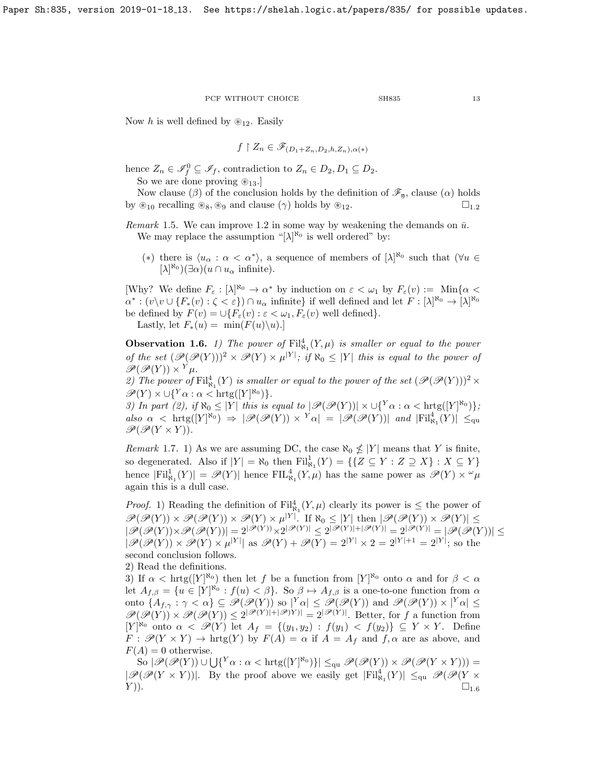Now h is well defined by  $\otimes_{12}$ . Easily

$$
f \upharpoonright Z_n \in \mathscr{F}_{(D_1 + Z_n, D_2, h, Z_n), \alpha(*)}
$$

hence  $Z_n \in \mathscr{I}_f^0 \subseteq \mathscr{I}_f$ , contradiction to  $Z_n \in D_2, D_1 \subseteq D_2$ .

So we are done proving  $\otimes_{13}$ .

Now clause ( $\beta$ ) of the conclusion holds by the definition of  $\mathscr{F}_n$ , clause ( $\alpha$ ) holds by  $\mathcal{L}_{10}$  $\mathcal{L}_{10}$  $\mathcal{L}_{10}$  recalling  $\mathcal{L}_{8}$ ,  $\mathcal{L}_{9}$  and clause  $(\gamma)$  holds by  $\mathcal{L}_{12}$ .  $\Box_{12}$ 

<span id="page-12-1"></span>Remark 1.5. We can improve [1.2](#page-7-1) in some way by weakening the demands on  $\bar{u}$ . We may replace the assumption "[ $\lambda$ ]<sup>N<sub>0</sub></sup> is well ordered" by:

(\*) there is  $\langle u_\alpha : \alpha < \alpha^* \rangle$ , a sequence of members of  $[\lambda]^{R_0}$  such that  $(\forall u \in$  $[\lambda]^{\aleph_0}(\exists \alpha)(u \cap u_\alpha \text{ infinite}).$ 

[Why? We define  $F_{\varepsilon}: [\lambda]^{\aleph_0} \to \alpha^*$  by induction on  $\varepsilon < \omega_1$  by  $F_{\varepsilon}(v) := \mathrm{Min}\{\alpha <$  $\alpha^*: (v\setminus v\cup\{F_*(v):\zeta<\varepsilon\})\cap u_\alpha$  infinite} if well defined and let  $F:[\lambda]^{\aleph_0}\to[\lambda]^{\aleph_0}$ be defined by  $F(v) = \bigcup \{F_{\varepsilon}(v) : \varepsilon < \omega_1, F_{\varepsilon}(v) \text{ well defined}\}.$ 

Lastly, let  $F_*(u) = \min(F(u)\backslash u)$ .

<span id="page-12-0"></span>**Observation 1.6.** 1) The power of  $\text{Fil}_{\aleph_1}^4(Y,\mu)$  is smaller or equal to the power of the set  $(\mathscr{P}(\mathscr{P}(Y)))^2 \times \mathscr{P}(Y) \times \mu^{|Y|}$ ; if  $\aleph_0 \leq |Y|$  this is equal to the power of  $\mathscr{P}(\mathscr{P}(Y)) \times Y_{\mu}$ .

2) The power of  $\mathrm{Fil}_{\aleph_1}^4(Y)$  is smaller or equal to the power of the set  $(\mathscr{P}(\mathscr{P}(Y)))^2 \times$  $\mathscr{P}(Y) \times \bigcup \{^Y \alpha : \alpha < \text{hrtg}([Y]^{\aleph_0})\}.$ 

3) In part (2), if  $\aleph_0 \leq |Y|$  this is equal to  $|\mathscr{P}(\mathscr{P}(Y))| \times \bigcup \{^Y \alpha : \alpha < \text{hrtg}([Y]^{\aleph_0})\};$ also  $\alpha$  < hrtg([Y]<sup>N<sub>0</sub></sup>)  $\Rightarrow$   $|\mathscr{P}(\mathscr{P}(Y)) \times Y\alpha| = |\mathscr{P}(\mathscr{P}(Y))|$  and  $|Fil^4_{N_1}(Y)| \leq_{\text{qu}}$  $\mathscr{P}(\mathscr{P}(Y \times Y)).$ 

Remark 1.7. 1) As we are assuming DC, the case  $\aleph_0 \nleq |Y|$  means that Y is finite, so degenerated. Also if  $|Y| = \aleph_0$  then  $\mathrm{Fil}^1_{\aleph_1}(Y) = \{ \{ Z \subseteq Y : Z \supseteq X \} : X \subseteq Y \}$ hence  $|Fil^1_{\aleph_1}(Y)| = \mathscr{P}(Y)|$  hence  $FIL^4_{\aleph_1}(Y,\mu)$  has the same power as  $\mathscr{P}(Y) \times \omega_\mu$ again this is a dull case.

*Proof.* 1) Reading the definition of  $\text{Fil}^4_{\aleph_1}(Y,\mu)$  clearly its power is  $\leq$  the power of  $\mathscr{P}(\mathscr{P}(Y)) \times \mathscr{P}(\mathscr{P}(Y)) \times \mathscr{P}(Y) \times \mu^{|Y|}$ . If  $\aleph_0 \leq |Y|$  then  $|\mathscr{P}(\mathscr{P}(Y)) \times \mathscr{P}(Y)| \leq$  $|\mathscr{P}(\mathscr{P}(Y)) \times \mathscr{P}(\mathscr{P}(Y))| = 2^{|\mathscr{P}(Y))} \times 2^{|\mathscr{P}(Y)|} \leq 2^{|\mathscr{P}(Y)| + |\mathscr{P}(Y)|} = 2^{|\mathscr{P}(Y)|} = |\mathscr{P}(\mathscr{P}(Y))| \leq$  $|\mathscr{P}(\mathscr{P}(Y)) \times \mathscr{P}(Y) \times \mu^{|Y|}|$  as  $\mathscr{P}(Y) + \mathscr{P}(Y) = 2^{|Y|} \times 2 = 2^{|Y|+1} = 2^{|Y|}$ ; so the second conclusion follows.

2) Read the definitions.

3) If  $\alpha < \text{hrtg}([Y]^{\aleph_0})$  then let f be a function from  $[Y]^{\aleph_0}$  onto  $\alpha$  and for  $\beta < \alpha$ let  $A_{f,\beta} = \{u \in [Y]^{\aleph_0} : f(u) < \beta\}$ . So  $\beta \mapsto A_{f,\beta}$  is a one-to-one function from  $\alpha$ onto  $\{A_{f,\gamma}: \gamma < \alpha\} \subseteq \mathscr{P}(\mathscr{P}(Y))$  so  $|^{Y} \alpha| \leq \mathscr{P}(\mathscr{P}(Y))$  and  $\mathscr{P}(\mathscr{P}(Y)) \times |^{Y} \alpha| \leq$  $\mathscr{P}(\mathscr{P}(Y)) \times \mathscr{P}(\mathscr{P}(Y)) \leq 2^{|\mathscr{P}(Y)|+|\mathscr{P}(Y)|} = 2^{|\mathscr{P}(Y)|}$ . Better, for f a function from  $[Y]^{\aleph_0}$  onto  $\alpha < \mathscr{P}(Y)$  let  $A_f = \{(y_1, y_2) : f(y_1) < f(y_2)\} \subseteq Y \times Y$ . Define  $F : \mathscr{P}(Y \times Y) \to \text{hrtg}(Y)$  by  $F(A) = \alpha$  if  $A = A_f$  and  $f, \alpha$  are as above, and  $F(A) = 0$  otherwise.

 $\text{So } |\mathscr{P}(\mathscr{P}(Y)) \cup \bigcup \{^Y \alpha : \alpha < \text{hrtg}([Y]^{\aleph_0})\}| \leq_{\text{qu}} \mathscr{P}(\mathscr{P}(Y)) \times \mathscr{P}(\mathscr{P}(Y \times Y))) =$  $|\mathscr{P}(\mathscr{P}(Y \times Y))|$ . By the proof above we easily get  $|Fil_{\aleph_1}^4(Y)| \leq_{\text{qu}} \mathscr{P}(\mathscr{P}(Y \times Y))$  $(Y)$ ).  $\square_{1.6}$  $\square_{1.6}$  $\square_{1.6}$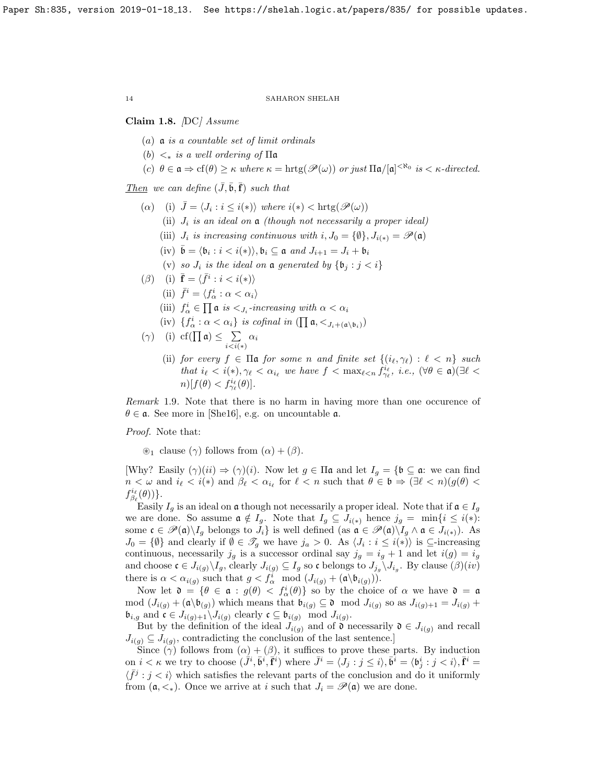<span id="page-13-0"></span>Claim 1.8. [DC] Assume

- (a)  $\mathfrak a$  is a countable set of limit ordinals
- (b)  $\lt_*$  is a well ordering of  $\Pi$ **a**

(c) 
$$
\theta \in \mathfrak{a} \Rightarrow cf(\theta) \geq \kappa
$$
 where  $\kappa = \text{hrtg}(\mathscr{P}(\omega))$  or just  $\Pi \mathfrak{a}/[\mathfrak{a}]^{<\aleph_0}$  is  $\kappa$ -directed.

Then we can define  $(\bar{J}, \bar{\mathfrak{b}}, \bar{\mathbf{f}})$  such that

- (a) (i)  $\bar{J} = \langle J_i : i \leq i(*) \rangle$  where  $i(*) < \text{hrtg}(\mathscr{P}(\omega))$ 
	- (ii)  $J_i$  is an ideal on  $\frak a$  (though not necessarily a proper ideal)
	- (iii)  $J_i$  is increasing continuous with  $i, J_0 = {\emptyset}, J_{i(*)} = \mathscr{P}(\mathfrak{a})$
	- (iv)  $\bar{\mathfrak{b}} = \langle \mathfrak{b}_i : i < i(* \rangle \rangle, \mathfrak{b}_i \subseteq \mathfrak{a}$  and  $J_{i+1} = J_i + \mathfrak{b}_i$
	- (v) so  $J_i$  is the ideal on a generated by  $\{\mathfrak{b}_i : j < i\}$
- ( $\beta$ ) (i)  $\bar{\mathbf{f}} = \langle \bar{f}^i : i < i(*) \rangle$ 
	- (ii)  $\bar{f}^i = \langle f^i_\alpha : \alpha < \alpha_i \rangle$
	- (iii)  $f^i_\alpha \in \prod \mathfrak{a}$  is  $\langle J_i$ -increasing with  $\alpha < \alpha_i$
	- (iv)  $\{f^i_\alpha : \alpha < \alpha_i\}$  is cofinal in  $(\prod \mathfrak{a}, <_{J_i+(\mathfrak{a}\setminus \mathfrak{b}_i)})$

$$
(\gamma) \quad \text{(i)} \ \ \text{cf}(\prod \mathfrak{a}) \le \sum_{i < i(*)} \alpha_i
$$

(ii) for every  $f \in \Pi$ **a** for some n and finite set  $\{(i_\ell, \gamma_\ell) : \ell < n\}$  such that  $i_{\ell} < i(*), \gamma_{\ell} < \alpha_{i_{\ell}}$  we have  $f < \max_{\ell \leq n} f_{\gamma_{\ell}}^{i_{\ell}}, i.e., (\forall \theta \in \mathfrak{a}) (\exists \ell <$  $n)[f(\theta) < f_{\gamma_{\ell}}^{i_{\ell}}(\theta)].$ 

Remark 1.9. Note that there is no harm in having more than one occurence of  $\theta \in \mathfrak{a}$ . See more in [\[She16\]](#page-32-7), e.g. on uncountable  $\mathfrak{a}$ .

Proof. Note that:

 $\circledast_1$  clause  $(\gamma)$  follows from  $(\alpha) + (\beta)$ .

[Why? Easily  $(\gamma)(ii) \Rightarrow (\gamma)(i)$ . Now let  $g \in \Pi \mathfrak{a}$  and let  $I_g = \{ \mathfrak{b} \subseteq \mathfrak{a} : \text{ we can find } \Pi \}$  $n < \omega$  and  $i_{\ell} < i(*)$  and  $\beta_{\ell} < \alpha_{i_{\ell}}$  for  $\ell < n$  such that  $\theta \in \mathfrak{b} \Rightarrow (\exists \ell < n)(g(\theta))$  $f_{\beta_{\ell}}^{i_{\ell}}(\theta))\}.$ 

Easily  $I_q$  is an ideal on  $\mathfrak a$  though not necessarily a proper ideal. Note that if  $\mathfrak a \in I_q$ we are done. So assume  $\mathfrak{a} \notin I_g$ . Note that  $I_g \subseteq J_{i(*)}$  hence  $j_g = \min\{i \leq i(*)\}$ : some  $\mathfrak{c} \in \mathscr{P}(\mathfrak{a}) \setminus I_g$  belongs to  $J_i$  is well defined (as  $\mathfrak{a} \in \mathscr{P}(\mathfrak{a}) \setminus I_g \wedge \mathfrak{a} \in J_{i(*)}$ ). As  $J_0 = \{\emptyset\}$  and clearly if  $\emptyset \in \mathscr{T}_g$  we have  $j_a > 0$ . As  $\langle J_i : i \leq i(*) \rangle$  is  $\subseteq$ -increasing continuous, necessarily  $j_g$  is a successor ordinal say  $j_g = i_g + 1$  and let  $i(g) = i_g$ and choose  $\mathfrak{c} \in J_{i(g)} \backslash I_g$ , clearly  $J_{i(g)} \subseteq I_g$  so  $\mathfrak{c}$  belongs to  $J_{j_g} \backslash J_{i_g}$ . By clause  $(\beta)(iv)$ there is  $\alpha < \alpha_{i(g)}$  such that  $g < f^i_\alpha \mod (J_{i(g)} + (\mathfrak{a} \backslash \mathfrak{b}_{i(g)}))$ .

Now let  $\mathfrak{d} = \{ \theta \in \mathfrak{a} : g(\theta) < f_{\alpha}^i(\theta) \}$  so by the choice of  $\alpha$  we have  $\mathfrak{d} = \mathfrak{a}$ mod  $(J_{i(g)} + (\mathfrak{a} \setminus \mathfrak{b}_{(g)})$  which means that  $\mathfrak{b}_{i(g)} \subseteq \mathfrak{d}$  mod  $J_{i(g)}$  so as  $J_{i(g)+1} = J_{i(g)} +$  $\mathfrak{b}_{i,g}$  and  $\mathfrak{c} \in J_{i(g)+1} \backslash J_{i(g)}$  clearly  $\mathfrak{c} \subseteq \mathfrak{b}_{i(g)}$  mod  $J_{i(g)}$ .

But by the definition of the ideal  $J_{i(g)}$  and of  $\mathfrak d$  necessarily  $\mathfrak d \in J_{i(g)}$  and recall  $J_{i(g)} \subseteq J_{i(g)}$ , contradicting the conclusion of the last sentence.

Since  $(\gamma)$  follows from  $(\alpha) + (\beta)$ , it suffices to prove these parts. By induction on  $i < \kappa$  we try to choose  $(\tilde{J}^i, \tilde{\mathbf{b}}^i, \tilde{\mathbf{f}}^i)$  where  $\bar{J}^i = \langle J_j : j \leq i \rangle, \bar{\mathbf{b}}^i = \langle \mathbf{b}_j^i : j < i \rangle, \bar{\mathbf{f}}^i =$  $\langle \bar{f}^j : j < i \rangle$  which satisfies the relevant parts of the conclusion and do it uniformly from  $(a, \leq_{\ast})$ . Once we arrive at i such that  $J_i = \mathscr{P}(\mathfrak{a})$  we are done.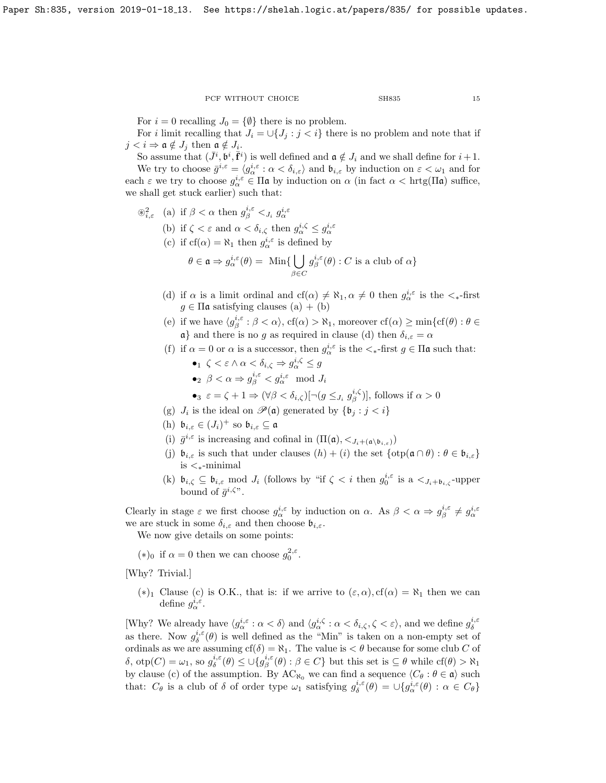For  $i = 0$  recalling  $J_0 = \{ \emptyset \}$  there is no problem.

For *i* limit recalling that  $J_i = \bigcup \{J_j : j < i\}$  there is no problem and note that if  $j < i \Rightarrow \mathfrak{a} \notin J_j$  then  $\mathfrak{a} \notin J_i$ .

So assume that  $(\bar{J}^i, \dot{\mathfrak{b}}^i, \bar{\mathbf{f}}^i)$  is well defined and  $\mathfrak{a} \notin J_i$  and we shall define for  $i+1$ . We try to choose  $\bar{g}^{i,\varepsilon} = \langle g^{i,\varepsilon}_{\alpha} : \alpha < \delta_{i,\varepsilon} \rangle$  and  $\mathfrak{b}_{i,\varepsilon}$  by induction on  $\varepsilon < \omega_1$  and for each  $\varepsilon$  we try to choose  $g_{\alpha}^{i,\varepsilon} \in \Pi$ **a** by induction on  $\alpha$  (in fact  $\alpha < \text{hrtg}(\Pi \mathfrak{a})$  suffice, we shall get stuck earlier) such that:

- $\mathscr{B}_{i,\varepsilon}^2$  (a) if  $\beta < \alpha$  then  $g_{\beta}^{i,\varepsilon} <_{J_i} g_{\alpha}^{i,\varepsilon}$ 
	- (b) if  $\zeta < \varepsilon$  and  $\alpha < \delta_{i,\zeta}$  then  $g_{\alpha}^{i,\zeta} \leq g_{\alpha}^{i,\varepsilon}$
	- (c) if  $cf(\alpha) = \aleph_1$  then  $g^{i,\epsilon}_{\alpha}$  is defined by

$$
\theta \in \mathfrak{a} \Rightarrow g_{\alpha}^{i,\varepsilon}(\theta) = \operatorname{Min} \{ \bigcup_{\beta \in C} g_{\beta}^{i,\varepsilon}(\theta) : C \text{ is a club of } \alpha \}
$$

- (d) if  $\alpha$  is a limit ordinal and  $cf(\alpha) \neq \aleph_1, \alpha \neq 0$  then  $g_{\alpha}^{i,\epsilon}$  is the  $\lt_{\ast}$ -first  $g \in \Pi$ **a** satisfying clauses (a) + (b)
- (e) if we have  $\langle g_{\beta}^{i,\varepsilon} : \beta < \alpha \rangle$ ,  $cf(\alpha) > \aleph_1$ , moreover  $cf(\alpha) \ge \min\{cf(\theta) : \theta \in$  $a$ } and there is no g as required in clause (d) then  $\delta_{i,\varepsilon} = \alpha$
- (f) if  $\alpha = 0$  or  $\alpha$  is a successor, then  $g_{\alpha}^{i,\varepsilon}$  is the  $\lt_{\ast}$ -first  $g \in \Pi$ **a** such that:
	- $\bullet_1 \ \zeta < \varepsilon \wedge \alpha < \delta_{i,\zeta} \Rightarrow g_\alpha^{i,\zeta} \leq g$  $\bullet_2$   $\beta < \alpha \Rightarrow g_{\beta}^{i,\varepsilon} < g_{\alpha}^{i,\varepsilon} \mod J_i$
	- •<sub>3</sub>  $\varepsilon = \zeta + 1 \Rightarrow (\forall \beta < \delta_{i,\zeta})[\neg (g \leq_{J_i} g_{\beta}^{i,\zeta})],$  follows if  $\alpha > 0$
- (g)  $J_i$  is the ideal on  $\mathscr{P}(\mathfrak{a})$  generated by  $\{\mathfrak{b}_j : j < i\}$
- (h)  $\mathfrak{b}_{i,\varepsilon} \in (J_i)^+$  so  $\mathfrak{b}_{i,\varepsilon} \subseteq \mathfrak{a}$
- (i)  $\bar{g}^{i,\varepsilon}$  is increasing and cofinal in  $(\Pi(\mathfrak{a}), <_{J_i+(\mathfrak{a}\setminus \mathfrak{b}_{i,\varepsilon})})$
- (j)  $\mathfrak{b}_{i,\varepsilon}$  is such that under clauses  $(h) + (i)$  the set  $\{\text{otp}(\mathfrak{a} \cap \theta) : \theta \in \mathfrak{b}_{i,\varepsilon}\}\$ is <∗-minimal
- (k)  $\mathfrak{b}_{i,\zeta} \subseteq \mathfrak{b}_{i,\varepsilon} \mod J_i$  (follows by "if  $\zeta < i$  then  $g_0^{i,\varepsilon}$  is a  $\langle J_{i+\mathfrak{b}_{i,\zeta}}$ -upper bound of  $\bar{g}^{i,\zeta}$ .

Clearly in stage  $\varepsilon$  we first choose  $g_{\alpha}^{i,\varepsilon}$  by induction on  $\alpha$ . As  $\beta < \alpha \Rightarrow g_{\beta}^{i,\varepsilon} \neq g_{\alpha}^{i,\varepsilon}$ we are stuck in some  $\delta_{i,\varepsilon}$  and then choose  $\mathfrak{b}_{i,\varepsilon}$ .

We now give details on some points:

(\*)<sub>0</sub> if  $\alpha = 0$  then we can choose  $g_0^{2,\epsilon}$ .

[Why? Trivial.]

(\*)<sub>1</sub> Clause (c) is O.K., that is: if we arrive to  $(\varepsilon, \alpha)$ ,  $cf(\alpha) = \aleph_1$  then we can define  $g_{\alpha}^{i,\varepsilon}$ .

[Why? We already have  $\langle g_{\alpha}^{i,\varepsilon} : \alpha < \delta \rangle$  and  $\langle g_{\alpha}^{i,\zeta} : \alpha < \delta_{i,\zeta}, \zeta < \varepsilon \rangle$ , and we define  $g_{\delta}^{i,\varepsilon}$ as there. Now  $g_{\delta}^{i,\epsilon}(\theta)$  is well defined as the "Min" is taken on a non-empty set of ordinals as we are assuming  $cf(\delta) = \aleph_1$ . The value is  $\lt \theta$  because for some club C of  $\delta$ ,  $otp(C) = \omega_1$ , so  $g_{\delta}^{i,\varepsilon}(\theta) \le \bigcup \{ g_{\beta}^{i,\varepsilon}(\theta) : \beta \in C \}$  but this set is  $\subseteq \theta$  while  $cf(\theta) > \aleph_1$ by clause (c) of the assumption. By  $AC_{\aleph_0}$  we can find a sequence  $\langle C_\theta : \theta \in \mathfrak{a} \rangle$  such that:  $C_{\theta}$  is a club of  $\delta$  of order type  $\omega_1$  satisfying  $g_{\delta}^{i,\varepsilon}(\theta) = \cup \{g_{\alpha}^{i,\varepsilon}(\theta) : \alpha \in C_{\theta}\}\$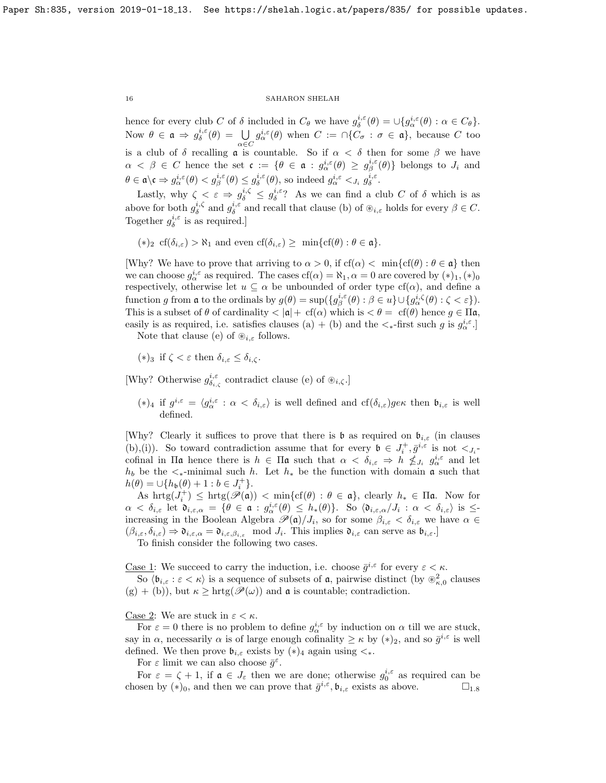hence for every club C of  $\delta$  included in  $C_{\theta}$  we have  $g_{\delta}^{i,\epsilon}(\theta) = \bigcup \{g_{\alpha}^{i,\epsilon}(\theta) : \alpha \in C_{\theta}\}.$ Now  $\theta \in \mathfrak{a} \Rightarrow g_{\delta}^{i,\varepsilon}(\theta) = \bigcup$  $\alpha \in C$  $g_{\alpha}^{i,\varepsilon}(\theta)$  when  $C := \bigcap\{C_{\sigma} : \sigma \in \mathfrak{a}\},\$ because C too is a club of  $\delta$  recalling  $\alpha$  is countable. So if  $\alpha < \delta$  then for some  $\beta$  we have  $\alpha \leq \beta \in C$  hence the set  $\mathfrak{c} := \{ \theta \in \mathfrak{a} : g_{\alpha}^{i,\varepsilon}(\theta) \geq g_{\beta}^{i,\varepsilon}(\theta) \}$  belongs to  $J_i$  and  $\theta \in \mathfrak{a} \backslash \mathfrak{c} \Rightarrow g^{i,\varepsilon}_{\alpha}(\theta) < g^{i,\varepsilon}_{\beta}(\theta) \leq g^{i,\varepsilon}_{\delta}(\theta)$ , so indeed  $g^{i,\varepsilon}_{\alpha} <_{j_i} g^{i,\varepsilon}_{\delta}$ .

Lastly, why  $\zeta \leq \varepsilon \Rightarrow g_{\delta}^{i,\zeta} \leq g_{\delta}^{i,\varepsilon}$ ? As we can find a club C of  $\delta$  which is as above for both  $g_{\delta}^{i,\zeta}$  and  $g_{\delta}^{i,\varepsilon}$  and recall that clause (b) of  $\mathcal{L}_{i,\varepsilon}$  holds for every  $\beta \in C$ . Together  $g_{\delta}^{i,\varepsilon}$  is as required.]

 $(*)_2$  cf( $\delta_{i,\varepsilon}$ ) >  $\aleph_1$  and even cf( $\delta_{i,\varepsilon}$ ) ≥ min{cf( $\theta$ ) :  $\theta \in \mathfrak{a}$ .

[Why? We have to prove that arriving to  $\alpha > 0$ , if  $cf(\alpha) < \min\{cf(\theta) : \theta \in \mathfrak{a}\}\)$  then we can choose  $g_{\alpha}^{i,\varepsilon}$  as required. The cases  $cf(\alpha) = \aleph_1, \alpha = 0$  are covered by  $(*)_1, (*)_0$ respectively, otherwise let  $u \subseteq \alpha$  be unbounded of order type  $cf(\alpha)$ , and define a function g from a to the ordinals by  $g(\theta) = \sup\left\{g^{i,\varepsilon}_{\beta}(\theta) : \beta \in u\right\} \cup \{g^{i,\zeta}_{\alpha}(\theta) : \zeta < \varepsilon\}$ . This is a subset of  $\theta$  of cardinality  $\langle |\mathfrak{a}| + \mathfrak{cf}(\alpha)$  which is  $\langle \theta = \mathfrak{cf}(\theta) \rangle$  hence  $g \in \Pi \mathfrak{a}$ , easily is as required, i.e. satisfies clauses (a) + (b) and the  $\lt_{\ast}$ -first such g is  $g_{\alpha}^{i,\epsilon}$ .

Note that clause (e) of  $\mathcal{L}_{i,\varepsilon}$  follows.

(\*)<sub>3</sub> if  $\zeta < \varepsilon$  then  $\delta_{i,\varepsilon} \leq \delta_{i,\zeta}$ .

[Why? Otherwise  $g_{\delta_{i,\zeta}}^{i,\varepsilon}$  contradict clause (e) of  $\mathcal{B}_{i,\zeta}$ .]

(\*)<sub>4</sub> if  $g^{i,\varepsilon} = \langle g^{i,\varepsilon}_\alpha : \alpha < \delta_{i,\varepsilon} \rangle$  is well defined and  $cf(\delta_{i,\varepsilon})g_{\varepsilon}$  then  $\mathfrak{b}_{i,\varepsilon}$  is well defined.

[Why? Clearly it suffices to prove that there is  $\mathfrak b$  as required on  $\mathfrak b_{i,\varepsilon}$  (in clauses (b),(i)). So toward contradiction assume that for every  $\mathfrak{b} \in J_i^+, \bar{g}^{i,\varepsilon}$  is not  $\lt_{J_i^-}$ cofinal in  $\Pi$ **a** hence there is  $h \in \Pi$ **a** such that  $\alpha < \delta_{i,\varepsilon} \Rightarrow h \nleq J_i$   $g_{\alpha}^{i,\varepsilon}$  and let  $h_b$  be the  $\lt_{\ast}$ -minimal such h. Let  $h_{\ast}$  be the function with domain **a** such that  $h(\theta) = \cup \{h_{\mathfrak{b}}(\theta) + 1 : b \in J_i^+\}.$ 

As  $\mathrm{hrtg}(J_i^+) \leq \mathrm{hrtg}(\mathscr{P}(\mathfrak{a})) < \min\{\mathrm{cf}(\theta) : \theta \in \mathfrak{a}\}\,$ , clearly  $h_* \in \Pi \mathfrak{a}$ . Now for  $\alpha < \delta_{i,\varepsilon}$  let  $\mathfrak{d}_{i,\varepsilon,\alpha} = \{ \theta \in \mathfrak{a} : g_{\alpha}^{i,\varepsilon}(\theta) \leq h_*(\theta) \}.$  So  $\langle \mathfrak{d}_{i,\varepsilon,\alpha}/J_i : \alpha < \delta_{i,\varepsilon} \rangle$  is  $\leq$ increasing in the Boolean Algebra  $\mathscr{P}(\mathfrak{a})/J_i$ , so for some  $\beta_{i,\varepsilon} < \delta_{i,\varepsilon}$  we have  $\alpha \in$  $(\beta_{i,\varepsilon},\delta_{i,\varepsilon}) \Rightarrow \mathfrak{d}_{i,\varepsilon,\alpha} = \mathfrak{d}_{i,\varepsilon,\beta_{i,\varepsilon}} \mod J_i$ . This implies  $\mathfrak{d}_{i,\varepsilon}$  can serve as  $\mathfrak{b}_{i,\varepsilon}$ .

To finish consider the following two cases.

<u>Case 1</u>: We succeed to carry the induction, i.e. choose  $\bar{g}^{i,\varepsilon}$  for every  $\varepsilon < \kappa$ .

So  $\langle \mathfrak{b}_{i,\varepsilon} : \varepsilon < \kappa \rangle$  is a sequence of subsets of **a**, pairwise distinct (by  $\otimes_{\kappa,0}^2$  clauses  $(g) + (b)$ , but  $\kappa \geq \text{hrtg}(\mathscr{P}(\omega))$  and  $\mathfrak{a}$  is countable; contradiction.

Case 2: We are stuck in  $\varepsilon < \kappa$ .

For  $\varepsilon = 0$  there is no problem to define  $g_{\alpha}^{i,\varepsilon}$  by induction on  $\alpha$  till we are stuck, say in  $\alpha$ , necessarily  $\alpha$  is of large enough cofinality  $\geq \kappa$  by  $(*)_2$ , and so  $\bar{g}^{i,\varepsilon}$  is well defined. We then prove  $\mathfrak{b}_{i,\varepsilon}$  exists by  $(*)_4$  again using  $\lt_{\ast}$ .

For  $\varepsilon$  limit we can also choose  $\bar{g}^{\varepsilon}$ .

For  $\varepsilon = \zeta + 1$ , if  $\mathfrak{a} \in J_{\varepsilon}$  then we are done; otherwise  $g_0^{i,\varepsilon}$  as required can be chosen by  $(*)_0$ , and then we can prove that  $\bar{g}^{i,\varepsilon}$ ,  $\mathfrak{b}_{i,\varepsilon}$  exists as above.  $\square_{1,8}$  $\square_{1,8}$  $\square_{1,8}$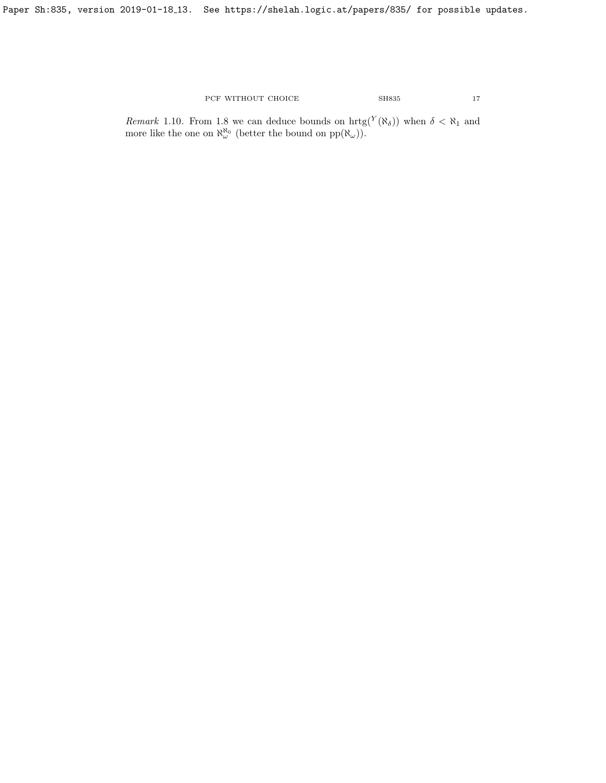Paper Sh:835, version 2019-01-18<sub>-</sub>13. See https://shelah.logic.at/papers/835/ for possible updates.

PCF WITHOUT CHOICE SH835 17

*Remark* 1.10. From [1.8](#page-13-0) we can deduce bounds on  $\text{hrtg}(Y(\aleph_{\delta}))$  when  $\delta < \aleph_1$  and more like the one on  $\aleph_{\omega}^{\aleph_0}$  (better the bound on  $pp(\aleph_{\omega})$ ).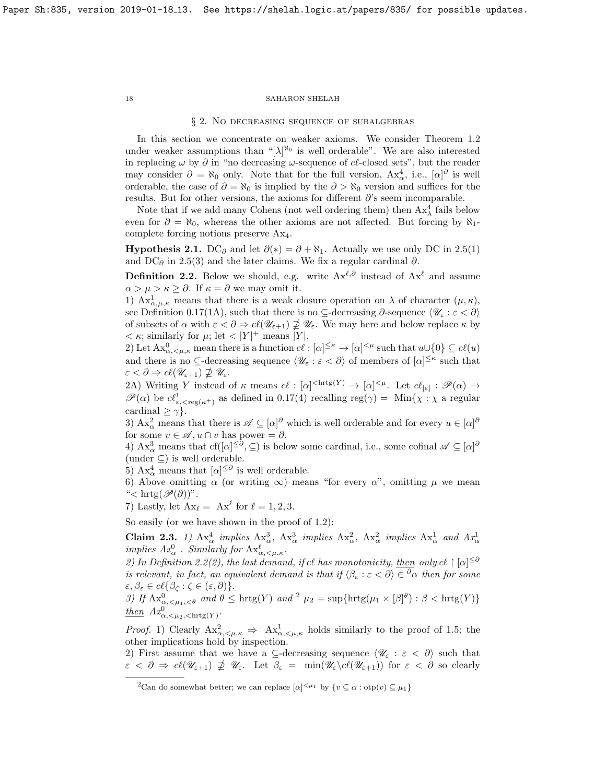#### § 2. No decreasing sequence of subalgebras

In this section we concentrate on weaker axioms. We consider Theorem [1.2](#page-7-1) under weaker assumptions than " $[\lambda]^{\aleph_0}$  is well orderable". We are also interested in replacing  $\omega$  by  $\partial$  in "no decreasing  $\omega$ -sequence of  $c\ell$ -closed sets", but the reader may consider  $\partial = \aleph_0$  only. Note that for the full version,  $Ax^4_\alpha$ , i.e.,  $[\alpha]^\partial$  is well orderable, the case of  $\partial = \aleph_0$  is implied by the  $\partial > \aleph_0$  version and suffices for the results. But for other versions, the axioms for different  $\partial$ 's seem incomparable.

Note that if we add many Cohens (not well ordering them) then  $Ax_{\lambda}^4$  fails below even for  $\partial = \aleph_0$ , whereas the other axioms are not affected. But forcing by  $\aleph_1$ complete forcing notions preserve Ax4.

**Hypothesis 2.1.** DC<sub>∂</sub> and let  $\partial(*) = \partial + \aleph_1$ . Actually we use only DC in [2.5\(](#page-19-0)1) and DC $_{\partial}$  in [2.5\(](#page-19-0)3) and the later claims. We fix a regular cardinal  $\partial$ .

<span id="page-17-1"></span>**Definition 2.2.** Below we should, e.g. write  $Ax^{\ell,\partial}$  instead of  $Ax^{\ell}$  and assume  $\alpha > \mu > \kappa \geq \partial$ . If  $\kappa = \partial$  we may omit it.

1)  $Ax^1_{\alpha,\mu,\kappa}$  means that there is a weak closure operation on  $\lambda$  of character  $(\mu,\kappa)$ , see Definition [0.17\(](#page-5-2)1A), such that there is no ⊆-decreasing  $\partial$ -sequence  $\langle \mathscr{U}_{\varepsilon} : \varepsilon < \partial \rangle$ of subsets of  $\alpha$  with  $\varepsilon < \partial \Rightarrow c\ell(\mathscr{U}_{\varepsilon+1}) \not\supseteq \mathscr{U}_{\varepsilon}$ . We may here and below replace  $\kappa$  by  $<\kappa$ ; similarly for  $\mu$ ; let  $<$  |Y|<sup>+</sup> means |Y|.

2) Let  $\mathbf{A}\mathbf{x}_{\alpha,\leq\mu,\kappa}^0$  mean there is a function  $c\ell : [\alpha]^{\leq\kappa} \to [\alpha]^{<\mu}$  such that  $u \cup \{0\} \subseteq c\ell(u)$ and there is no  $\subseteq$ -decreasing sequence  $\langle \mathscr{U}_{\varepsilon} : \varepsilon < \partial \rangle$  of members of  $[\alpha]^{\leq \kappa}$  such that  $\varepsilon < \partial \Rightarrow c\ell(\mathscr{U}_{\varepsilon+1}) \nsupseteq \mathscr{U}_{\varepsilon}.$ 

2A) Writing Y instead of  $\kappa$  means  $c \ell : [\alpha]^{<\text{hrtg}(Y)} \to [\alpha]^{<\mu}$ . Let  $c \ell_{\lbrack \varepsilon \rbrack} : \mathscr{P}(\alpha) \to$  $\mathscr{P}(\alpha)$  be  $c_{\varepsilon, \text{reg}(\kappa^+)}^1$  as defined in [0.17\(](#page-5-2)4) recalling reg( $\gamma$ ) = Min{ $\chi : \chi$  a regular cardinal  $\geq \gamma$ .

3)  $Ax^2_\alpha$  means that there is  $\mathscr{A} \subseteq [\alpha]^\partial$  which is well orderable and for every  $u \in [\alpha]^\partial$ for some  $v \in \mathscr{A}, u \cap v$  has power =  $\partial$ .

4)  $Ax^3_\alpha$  means that  $cf([a]^{\leq \partial}, \subseteq)$  is below some cardinal, i.e., some cofinal  $\mathscr{A} \subseteq [\alpha]^\partial$ (under  $\subseteq$ ) is well orderable.

5)  $Ax^4_\alpha$  means that  $[\alpha]^{\leq \partial}$  is well orderable.

6) Above omitting  $\alpha$  (or writing  $\infty$ ) means "for every  $\alpha$ ", omitting  $\mu$  we mean "< hrtg $(\mathscr{P}(\partial))$ ".

7) Lastly, let  $A x_{\ell} = A x^{\ell}$  for  $\ell = 1, 2, 3$ .

So easily (or we have shown in the proof of [1.2\)](#page-7-1):

<span id="page-17-3"></span>Claim 2.3. 1)  $Ax^4_{\alpha}$  implies  $Ax^3_{\alpha}$ ,  $Ax^3_{\alpha}$  implies  $Ax^2_{\alpha}$ ,  $Ax^2_{\alpha}$  implies  $Ax^1_{\alpha}$  and  $Ax^1_{\alpha}$ implies  $Ax^0_\alpha$ . Similarly for  $\mathrm{Ax}^\ell_{\alpha,\leq\mu,\kappa}$ .

2) In Definition [2.2\(](#page-17-1)2), the last demand, if cl has monotonicity, then only cl  $\lceil |\alpha| \leq \delta$ is relevant, in fact, an equivalent demand is that if  $\langle \beta_{\varepsilon} : \varepsilon < \partial \rangle \in {}^{\partial} \alpha$  then for some  $\varepsilon, \beta_{\varepsilon} \in cl\{\beta_{\zeta} : \zeta \in (\varepsilon, \partial)\}.$ 

3) If  $\text{Ax}_{\alpha,\leq\mu_1,\leq\theta}^0$  and  $\theta \leq \text{hrtg}(Y)$  and  $\theta \leq \mu_2 = \sup\{\text{hrtg}(\mu_1 \times [\beta]^{\theta}) : \beta < \text{hrtg}(Y)\}\$  $\theta \leq \mu_2 = \sup\{\text{hrtg}(\mu_1 \times [\beta]^{\theta}) : \beta < \text{hrtg}(Y)\}\$  $\theta \leq \mu_2 = \sup\{\text{hrtg}(\mu_1 \times [\beta]^{\theta}) : \beta < \text{hrtg}(Y)\}\$  $\frac{\text{then}}{\text{then}}$   $Ax^0_{\alpha, \leq \mu_2, \leq \text{hrtg}(Y)}$ .

*Proof.* 1) Clearly  $\mathbf{Ax}^2_{\alpha,\leq\mu,\kappa} \Rightarrow \mathbf{Ax}^1_{\alpha,\leq\mu,\kappa}$  holds similarly to the proof of [1.5;](#page-12-1) the other implications hold by inspection.

2) First assume that we have a ⊆-decreasing sequence  $\langle \mathcal{U}_{\varepsilon} : \varepsilon < \partial \rangle$  such that  $\varepsilon < \partial \Rightarrow cl(\mathscr{U}_{\varepsilon+1}) \nsubseteq \mathscr{U}_{\varepsilon}$ . Let  $\beta_{\varepsilon} = \min(\mathscr{U}_{\varepsilon} \setminus cl(\mathscr{U}_{\varepsilon+1}))$  for  $\varepsilon < \partial$  so clearly

<span id="page-17-0"></span>

<span id="page-17-2"></span><sup>&</sup>lt;sup>2</sup>Can do somewhat better; we can replace  $[\alpha]^{\leq \mu_1}$  by  $\{v \subseteq \alpha : \text{otp}(v) \subseteq \mu_1\}$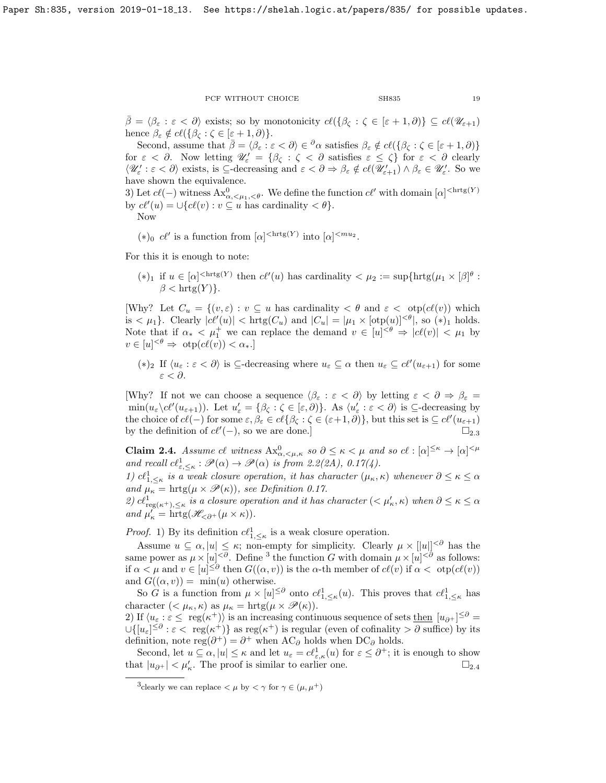$\overline{\beta} = \langle \beta_{\varepsilon} : \varepsilon < \partial \rangle$  exists; so by monotonicity  $c\ell(\{\beta_{\zeta} : \zeta \in [\varepsilon + 1, \partial)\} \subseteq c\ell(\mathscr{U}_{\varepsilon+1})$ hence  $\beta_{\varepsilon} \notin cl({\beta_{\zeta} : \zeta \in [\varepsilon + 1, \partial)}$ .

Second, assume that  $\bar{\beta} = \langle \beta_{\varepsilon} : \varepsilon < \partial \rangle \in {}^{\partial} \alpha$  satisfies  $\beta_{\varepsilon} \notin cl({\beta_{\zeta}} : {\zeta \in [\varepsilon + 1, \partial)}}$ for  $\varepsilon < \partial$ . Now letting  $\mathscr{U}'_{\varepsilon} = \{\beta_{\zeta} : \zeta < \partial \text{ satisfies } \varepsilon \leq \zeta\}$  for  $\varepsilon < \partial$  clearly  $\langle \mathscr{U}_{\varepsilon}': \varepsilon < \partial \rangle$  exists, is  $\subseteq$ -decreasing and  $\varepsilon < \partial \Rightarrow \beta_{\varepsilon} \notin cl(\mathscr{U}'_{\varepsilon+1}) \wedge \beta_{\varepsilon} \in \mathscr{U}'_{\varepsilon}$ . So we have shown the equivalence.

3) Let  $c\ell(-)$  witness  $Ax^0_{\alpha,\leq\mu_1,\leq\theta}$ . We define the function  $c\ell'$  with domain  $[\alpha]^{<\text{hrtg}(Y)}$ by  $c\ell'(u) = \bigcup \{c\ell(v) : v \subseteq u \text{ has cardinality } < \theta\}.$ 

Now

(\*)<sub>0</sub>  $c\ell'$  is a function from  $[\alpha]^{<\text{hrtg}(Y)}$  into  $[\alpha]^{.$ 

For this it is enough to note:

 $(*)_1$  if  $u \in [\alpha]^{< \text{hrtg}(Y)}$  then  $c\ell'(u)$  has cardinality  $< \mu_2 := \sup\{\text{hrtg}(\mu_1 \times [\beta]^\theta : \text{Brtg}(\mu_1 \times [\beta]^\theta)\}$  $\beta < \text{hrtg}(Y)$ .

[Why? Let  $C_u = \{(v, \varepsilon) : v \subseteq u \text{ has cardinality } < \theta \text{ and } \varepsilon < \text{otp}(c\ell(v)) \text{ which}$ is  $\langle \mu_1 \rangle$ . Clearly  $|c\ell'(u)| < \text{hrtg}(C_u)$  and  $|C_u| = |\mu_1 \times [\text{otp}(u)]^{<\theta}|$ , so  $(*)_1$  holds. Note that if  $\alpha_* < \mu_1^+$  we can replace the demand  $v \in [u]^{<\theta} \Rightarrow |c\ell(v)| < \mu_1$  by  $v \in [u]^{<\theta} \Rightarrow \text{otp}(c\ell(v)) < \alpha_*$ .]

(\*)<sub>2</sub> If  $\langle u_{\varepsilon} : \varepsilon < \partial \rangle$  is  $\subseteq$ -decreasing where  $u_{\varepsilon} \subseteq \alpha$  then  $u_{\varepsilon} \subseteq c\ell'(u_{\varepsilon+1})$  for some ε < ∂.

[Why? If not we can choose a sequence  $\langle \beta_{\varepsilon} : \varepsilon < \partial \rangle$  by letting  $\varepsilon < \partial \Rightarrow \beta_{\varepsilon} =$  $\min(u_{\varepsilon}\backslash c\ell'(u_{\varepsilon+1}))$ . Let  $u'_{\varepsilon} = {\beta_{\zeta} : \zeta \in [\varepsilon, \partial]}$ . As  $\langle u'_{\varepsilon} : \varepsilon < \partial \rangle$  is  $\subseteq$ -decreasing by the choice of  $c\ell(-)$  for some  $\varepsilon, \beta_{\varepsilon} \in c\ell\{\beta_{\zeta} : \zeta \in (\varepsilon+1, \partial)\}\)$ , but this set is  $\subseteq c\ell'(u_{\varepsilon+1})$ by the definition of  $c\ell'(-)$ , so we are done.]  $\square_{2,3}$  $\square_{2,3}$  $\square_{2,3}$ 

<span id="page-18-1"></span>**Claim 2.4.** Assume cl witness  $Ax_{\alpha,\leq\mu,\kappa}^0$  so  $\partial \leq \kappa < \mu$  and so cl :  $[\alpha]^{\leq \kappa} \to [\alpha]^{<\mu}$ and recall  $cl_{\varepsilon, \leq \kappa}^1 : \mathscr{P}(\alpha) \to \mathscr{P}(\alpha)$  is from [2.2\(](#page-17-1)2A), [0.17\(](#page-5-2)4).

1)  $cl_{1, \leq \kappa}^1$  is a weak closure operation, it has character  $(\mu_{\kappa}, \kappa)$  whenever  $\partial \leq \kappa \leq \alpha$ and  $\mu_{\kappa} = \text{hrtg}(\mu \times \mathcal{P}(\kappa))$ , see Definition [0.17.](#page-5-2)

2)  $cl_{reg(\kappa^+),\leq\kappa}^1$  is a closure operation and it has character  $( $\mu'_\kappa,\kappa$ )$  when  $\partial \leq \kappa \leq \alpha$ and  $\mu_{\kappa}' = \text{hrtg}(\mathscr{H}_{< \partial^+}(\mu \times \kappa)).$ 

*Proof.* 1) By its definition  $c\ell_{1, \leq \kappa}^1$  is a weak closure operation.

Assume  $u \subseteq \alpha, |u| \leq \kappa$ ; non-empty for simplicity. Clearly  $\mu \times |u||^{< \partial}$  has the same power as  $\mu \times [u]^{<\partial}$ . Define <sup>[3](#page-18-0)</sup> the function G with domain  $\mu \times [u]^{<\partial}$  as follows: if  $\alpha < \mu$  and  $v \in [u]^{\leq \partial}$  then  $G((\alpha, v))$  is the  $\alpha$ -th member of  $c\ell(v)$  if  $\alpha < \text{otp}(c\ell(v))$ and  $G((\alpha, v)) = \min(u)$  otherwise.

So G is a function from  $\mu \times [u]^{\leq \partial}$  onto  $c\ell^1_{1,\leq \kappa}(u)$ . This proves that  $c\ell^1_{1,\leq \kappa}$  has character  $( $\mu_{\kappa}, \kappa$ ) as  $\mu_{\kappa} = \text{hrtg}(\mu \times \mathscr{P}(\kappa)).$$ 

2) If  $\langle u_{\varepsilon} : \varepsilon \leq \text{ reg}(\kappa^+) \rangle$  is an increasing continuous sequence of sets then  $[u_{\partial^+}]^{\leq \partial}$  $\cup\{[u_{\varepsilon}]^{\leq\partial}:\varepsilon<\text{ reg}(\kappa^+)\}\$ as reg $(\kappa^+)$  is regular (even of cofinality  $>\partial$  suffice) by its definition, note  $\text{reg}(\partial^+) = \partial^+$  when  $AC_{\partial}$  holds when  $DC_{\partial}$  holds.

Second, let  $u \subseteq \alpha, |u| \leq \kappa$  and let  $u_{\varepsilon} = c\ell_{\varepsilon,\kappa}^1(u)$  for  $\varepsilon \leq \partial^+$ ; it is enough to show that  $|u_{\partial^+}| < \mu'_\kappa$ . The proof is similar to earlier one.  $\square_{2,4}$  $\square_{2,4}$  $\square_{2,4}$ 

<span id="page-18-0"></span><sup>&</sup>lt;sup>3</sup>clearly we can replace  $\lt \mu$  by  $\lt \gamma$  for  $\gamma \in (\mu, \mu^+)$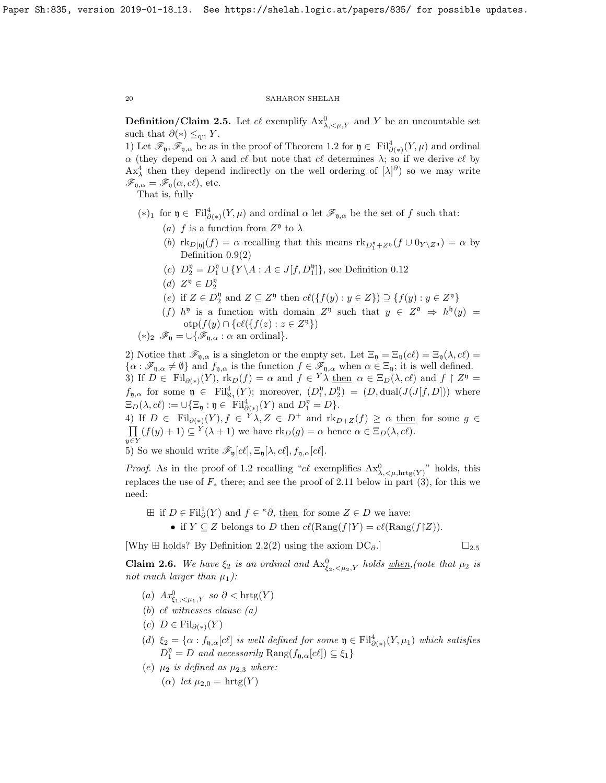<span id="page-19-0"></span>**Definition/Claim 2.5.** Let  $cl$  exemplify  $Ax^0_{\lambda, \leq \mu, Y}$  and Y be an uncountable set such that  $\partial(*) \leq_{\text{qu}} Y$ .

1) Let  $\mathscr{F}_{\mathfrak{y}}, \mathscr{F}_{\mathfrak{y},\alpha}$  be as in the proof of Theorem [1.2](#page-7-1) for  $\mathfrak{y} \in \mathrm{Fil}^4_{\partial(\ast)}(Y,\mu)$  and ordinal  $\alpha$  (they depend on  $\lambda$  and c $\ell$  but note that c $\ell$  determines  $\lambda$ ; so if we derive c $\ell$  by  $Ax^4_\lambda$  then they depend indirectly on the well ordering of  $[\lambda]^\partial$  so we may write  $\mathscr{F}_{\mathfrak{y},\alpha} = \mathscr{F}_{\mathfrak{y}}(\alpha, c\ell)$ , etc.

That is, fully

- $(*)_1$  for  $\mathfrak{y} \in \text{Fil}^4_{\partial(*)}(Y,\mu)$  and ordinal  $\alpha$  let  $\mathscr{F}_{\mathfrak{y},\alpha}$  be the set of f such that:
	- (a) f is a function from  $Z^{\mathfrak{y}}$  to  $\lambda$
	- (b)  $\text{rk}_{D[\mathfrak{y}]}(f) = \alpha$  recalling that this means  $\text{rk}_{D_1^{\mathfrak{y}} + Z^{\mathfrak{y}}}(f \cup 0_{Y \setminus Z^{\mathfrak{y}}}) = \alpha$  by Definition [0.9\(](#page-4-1)2)
	- (c)  $D_2^{\mathfrak{y}} = D_1^{\mathfrak{y}} \cup \{ Y \setminus A : A \in J[f, D_1^{\mathfrak{y}}] \}$ , see Definition [0.12](#page-4-5)
	- (d)  $Z^{\mathfrak{y}} \in D_2^{\mathfrak{y}}$
	- (e) if  $Z \in D_2^{\mathfrak{y}}$  and  $Z \subseteq Z^{\mathfrak{y}}$  then  $c\ell({f(y) : y \in Z}) \supseteq {f(y) : y \in Z^{\mathfrak{y}}}$
	- (f)  $h^{0}$  is a function with domain  $Z^{0}$  such that  $y \in Z^{0} \Rightarrow h^{b}(y) =$  $otp(f(y) \cap \{c\ell(\{f(z) : z \in Z^{\mathfrak{y}}\})\}$

$$
(*)_2 \mathscr{F}_{\mathfrak{y}} = \cup \{ \mathscr{F}_{\mathfrak{y}, \alpha} : \alpha \text{ an ordinal} \}.
$$

2) Notice that  $\mathscr{F}_{n,\alpha}$  is a singleton or the empty set. Let  $\Xi_n = \Xi_n(c\ell) = \Xi_n(\lambda, c\ell)$  $\{\alpha : \mathscr{F}_{\mathfrak{y},\alpha} \neq \emptyset\}$  and  $f_{\mathfrak{y},\alpha}$  is the function  $f \in \mathscr{F}_{\mathfrak{y},\alpha}$  when  $\alpha \in \Xi_{\mathfrak{y}}$ ; it is well defined. 3) If  $D \in \text{Fil}_{\partial(\ast)}(Y)$ ,  $\text{rk}_D(f) = \alpha$  and  $f \in {}^Y\lambda$  then  $\alpha \in \Xi_D(\lambda, c\ell)$  and  $f \upharpoonright Z^{\mathfrak{y}} =$  $f_{\mathfrak{y},\alpha}$  for some  $\mathfrak{y} \in \text{Fil}_{\aleph_1}^4(Y)$ ; moreover,  $(D_1^{\mathfrak{y}}, D_2^{\mathfrak{y}}) = (D, \text{dual}(J(J[f,D]))$  where  $\Xi_D(\lambda, c\ell) := \cup \{\Xi_{\mathfrak{y}} : \mathfrak{y} \in \text{Fil}^4_{\partial(*)}(Y) \text{ and } D_1^{\mathfrak{y}} = D\}.$ 

4) If  $D \in \text{Fil}_{\partial(\ast)}(Y), f \in {}^Y \lambda, Z \in D^+$  and  $\text{rk}_{D+Z}(f) \geq \alpha$  then for some  $g \in$  $\prod (f(y) + 1) \subseteq Y(\lambda + 1)$  we have  $\text{rk}_D(g) = \alpha$  hence  $\alpha \in \Xi_D(\lambda, c\ell)$ .  $y \in Y$ 

5) So we should write  $\mathscr{F}_{\mathfrak{y}}[c\ell], \Xi_{\mathfrak{y}}[\lambda, c\ell], f_{\mathfrak{y},\alpha}[c\ell].$ 

*Proof.* As in the proof of [1.2](#page-7-1) recalling "cl exemplifies  $Ax_{\lambda, \leq \mu, hrtg(Y)}^0$ " holds, this replaces the use of  $F_*$  there; and see the proof of [2.11](#page-24-1) below in part (3), for this we need:

- $\boxplus$  if  $D \in \text{Fil}^1_\partial(Y)$  and  $f \in \text{``$\partial$, then}$  for some  $Z \in D$  we have:
	- if  $Y \subseteq Z$  belongs to D then  $c\ell(\text{Rang}(f|Y) = c\ell(\text{Rang}(f|Z)).$

[Why  $\boxplus$  holds? By Definition [2.2\(](#page-17-1)[2](#page-19-0)) using the axiom DC $_{\partial}$ .]

$$
\square_{2.5}
$$

<span id="page-19-1"></span>**Claim 2.6.** We have  $\xi_2$  is an ordinal and  $Ax_{\xi_2,\langle\mu_2,\gamma}^0$  holds when, (note that  $\mu_2$  is not much larger than  $\mu_1$ ):

- (a)  $Ax_{\xi_1,\leq \mu_1,Y}^0$  so  $\partial < \text{hrtg}(Y)$
- (b) cl witnesses clause  $(a)$
- $(c)$   $D \in \mathrm{Fil}_{\partial(\ast)}(Y)$
- (d)  $\xi_2 = {\alpha : f_{\mathfrak{y},\alpha}[c\ell]}$  is well defined for some  $\mathfrak{y} \in \mathrm{Fil}^4_{\partial(*)}(Y,\mu_1)$  which satisfies  $D_1^{\mathfrak{y}} = D$  and necessarily  $\text{Rang}(f_{\mathfrak{y},\alpha}[c\ell]) \subseteq \xi_1$
- (e)  $\mu_2$  is defined as  $\mu_{2,3}$  where:

$$
(\alpha) \ \ let \ \mu_{2,0} = \operatorname{hrtg}(Y)
$$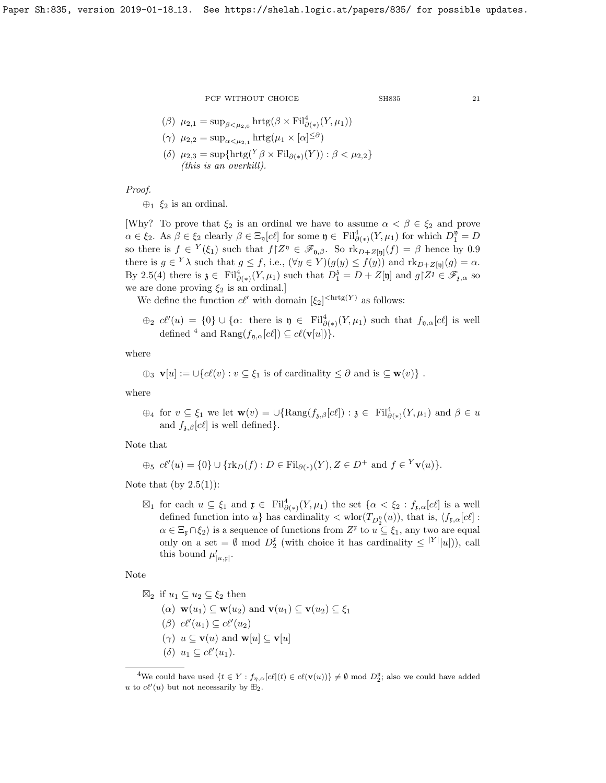$$
_{\rm SH835}
$$

$$
(\beta) \ \mu_{2,1} = \sup_{\beta < \mu_{2,0}} \operatorname{hrtg}(\beta \times \mathrm{Fil}^4_{\partial(*)}(Y, \mu_1))
$$

- ( $\gamma$ )  $\mu_{2,2} = \sup_{\alpha \leq \mu_{2,1}} \text{hrtg}(\mu_1 \times [\alpha]^{\leq \partial})$
- (δ)  $\mu_{2,3} = \sup \{ \text{hrtg}(Y \beta \times \text{Fil}_{\partial(\ast)}(Y)) : \beta \lt \mu_{2,2} \}$ (this is an overkill).

Proof.

 $\oplus_1$   $\xi_2$  is an ordinal.

[Why? To prove that  $\xi_2$  is an ordinal we have to assume  $\alpha < \beta \in \xi_2$  and prove  $\alpha \in \xi_2$ . As  $\beta \in \xi_2$  clearly  $\beta \in \Xi_{\mathfrak{y}}[c\ell]$  for some  $\mathfrak{y} \in \mathrm{Fil}^4_{\partial(\ast)}(Y,\mu_1)$  for which  $D_1^{\mathfrak{y}} = D$ so there is  $f \in {}^Y(\xi_1)$  such that  $f|Z^{\mathfrak{y}} \in \mathscr{F}_{\mathfrak{y},\beta}$ . So  $\text{rk}_{D+Z[\mathfrak{y}]}(f) = \beta$  hence by [0.9](#page-4-1) there is  $g \in {}^Y\lambda$  such that  $g \leq f$ , i.e.,  $(\forall y \in Y)(g(y) \leq f(y))$  and  $\text{rk}_{D+Z[\eta]}(g) = \alpha$ . By [2.5\(](#page-19-0)4) there is  $\mathfrak{z} \in \text{Fil}^4_{\partial(\ast)}(Y,\mu_1)$  such that  $D_1^{\mathfrak{z}} = D + Z[\mathfrak{y}]$  and  $g \nmid Z^{\mathfrak{z}} \in \mathscr{F}_{\mathfrak{z},\alpha}$  so we are done proving  $\xi_2$  is an ordinal.]

We define the function  $c\ell'$  with domain  $[\xi_2]^{<\text{hrtg}(Y)}$  as follows:

$$
\oplus_2
$$
  $c\ell'(u) = \{0\} \cup \{\alpha:$  there is  $\mathfrak{y} \in \mathrm{Fil}^4_{\partial(*)}(Y, \mu_1)$  such that  $f_{\mathfrak{y},\alpha}[c\ell]$  is well defined <sup>4</sup> and  $\mathrm{Rang}(f_{\mathfrak{y},\alpha}[c\ell]) \subseteq c\ell(\mathbf{v}[u])\}$ .

where

$$
\oplus_3 \mathbf{v}[u] := \bigcup \{c\ell(v) : v \subseteq \xi_1 \text{ is of cardinality } \leq \partial \text{ and is } \subseteq \mathbf{w}(v)\}.
$$

where

 $\bigoplus_4$  for  $v \subseteq \xi_1$  we let  $\mathbf{w}(v) = \bigcup \{ \text{Rang}(f_{\mathfrak{z},\beta}[c\ell]) : \mathfrak{z} \in \text{Fil}^4_{\partial(\ast)}(Y,\mu_1) \text{ and } \beta \in u$ and  $f_{\lambda,\beta}[c\ell]$  is well defined.

Note that

$$
\oplus_{5} c\ell'(u) = \{0\} \cup \{ \mathrm{rk}_D(f) : D \in \mathrm{Fil}_{\partial(*)}(Y), Z \in D^+ \text{ and } f \in {}^Y\mathbf{v}(u) \}.
$$

Note that (by  $2.5(1)$ ):

 $\boxtimes_1$  for each  $u \subseteq \xi_1$  and  $\mathfrak{x} \in \mathrm{Fil}^4_{\partial(*)}(Y,\mu_1)$  the set  $\{\alpha < \xi_2 : f_{\mathfrak{x},\alpha}[c\ell]$  is a well defined function into  $u$ } has cardinality  $\langle \text{wlor}(T_{D_2^{\eta}}(u))$ , that is,  $\langle f_{\mathbf{r},\alpha}[c\ell]$ :  $\alpha \in \Xi_{\mathfrak{x}} \cap \xi_2$  is a sequence of functions from  $Z^{\mathfrak{x}}$  to  $u \subseteq \xi_1$ , any two are equal only on a set =  $\emptyset$  mod  $D_2^{\mathfrak{p}}$  (with choice it has cardinality  $\leq |Y| |u|$ )), call this bound  $\mu'_{|u,\mathfrak{x}|}$ .

Note

$$
\mathbb{Z}_2 \text{ if } u_1 \subseteq u_2 \subseteq \xi_2 \text{ then}
$$
  
\n( $\alpha$ )  $\mathbf{w}(u_1) \subseteq \mathbf{w}(u_2)$  and  $\mathbf{v}(u_1) \subseteq \mathbf{v}(u_2) \subseteq \xi_1$   
\n( $\beta$ )  $c\ell'(u_1) \subseteq c\ell'(u_2)$   
\n( $\gamma$ )  $u \subseteq \mathbf{v}(u)$  and  $\mathbf{w}[u] \subseteq \mathbf{v}[u]$   
\n( $\delta$ )  $u_1 \subseteq c\ell'(u_1)$ .

<span id="page-20-0"></span><sup>&</sup>lt;sup>4</sup>We could have used  $\{t \in Y : f_{\eta,\alpha}[c\ell](t) \in c\ell(\mathbf{v}(u))\} \neq \emptyset \text{ mod } D_2^{\mathfrak{y}};$  also we could have added u to  $c\ell'(u)$  but not necessarily by  $\mathbb{H}_2$ .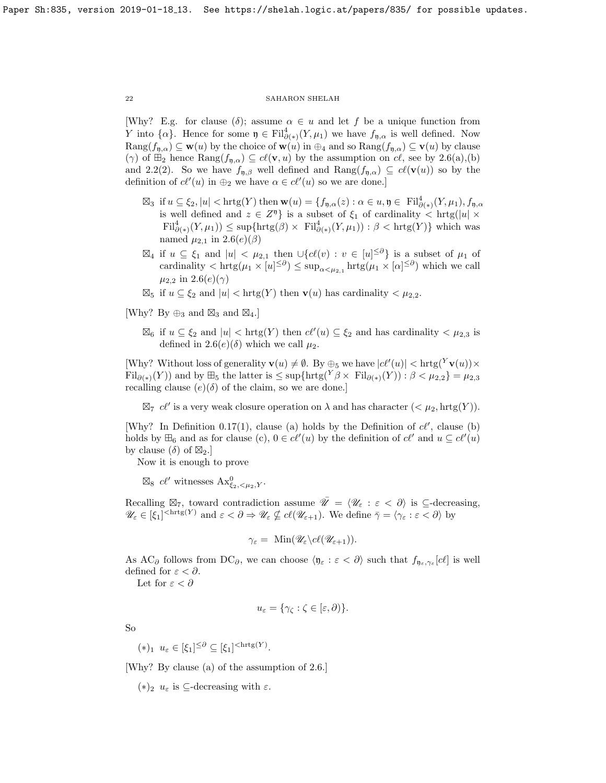[Why? E.g. for clause  $(\delta)$ ; assume  $\alpha \in u$  and let f be a unique function from Y into  $\{\alpha\}$ . Hence for some  $\mathfrak{y} \in \text{Fil}^4_{\partial(*)}(Y,\mu_1)$  we have  $f_{\mathfrak{y},\alpha}$  is well defined. Now  $\text{Rang}(f_{\eta,\alpha}) \subseteq \mathbf{w}(u)$  by the choice of  $\mathbf{w}(u)$  in  $\oplus_4$  and so  $\text{Rang}(f_{\eta,\alpha}) \subseteq \mathbf{v}(u)$  by clause (γ) of  $\mathbb{H}_2$  hence  $\text{Rang}(f_{\mathfrak{n},\alpha}) \subseteq cl(\mathbf{v},u)$  by the assumption on  $cl$ , see by [2.6\(](#page-19-1)a),(b) and [2.2\(](#page-17-1)2). So we have  $f_{n,\beta}$  well defined and  $\text{Rang}(f_{n,\alpha}) \subseteq cl(\mathbf{v}(u))$  so by the definition of  $c\ell'(u)$  in  $\bigoplus_2$  we have  $\alpha \in c\ell'(u)$  so we are done.]

- $\boxtimes_3$  if  $u \subseteq \xi_2, |u| < \text{hrtg}(Y)$  then  $\mathbf{w}(u) = \{f_{\mathfrak{y},\alpha}(z) : \alpha \in u, \mathfrak{y} \in \text{ Fil}_{\partial(\ast)}^4(Y,\mu_1), f_{\mathfrak{y},\alpha} \}$ is well defined and  $z \in Z^{\mathfrak{y}}$  is a subset of  $\xi_1$  of cardinality  $\langle \operatorname{hrtg}(|u| \times$  $\text{Fil}^4_{\partial(*)}(Y,\mu_1)) \leq \text{sup}\{\text{hrtg}(\beta) \times \text{Fil}^4_{\partial(*)}(Y,\mu_1)) : \beta < \text{hrtg}(Y)\}\$  which was named  $\mu_{2,1}$  in  $2.6(e)(\beta)$
- $\boxtimes_4$  if  $u \subseteq \xi_1$  and  $|u| < \mu_{2,1}$  then  $\bigcup \{c\ell(v) : v \in [u]^{\leq \partial}\}\$ is a subset of  $\mu_1$  of cardinality  $\langle \ln \xi | \mu_1 \times [u] \leq \partial \psi \rangle \leq \sup_{\alpha \leq \mu_2, 1} \ln \xi(\mu_1 \times [\alpha] \leq \partial \psi)$  which we call  $\mu_{2,2}$  in  $2.6(e)(\gamma)$
- $\boxtimes_5$  if  $u \subseteq \xi_2$  and  $|u| < \text{hrtg}(Y)$  then  $\mathbf{v}(u)$  has cardinality  $\lt \mu_{2,2}$ .

[Why? By  $\oplus_3$  and  $\boxtimes_3$  and  $\boxtimes_4$ .]

 $\boxtimes_6$  if  $u \subseteq \xi_2$  and  $|u| < \text{hrtg}(Y)$  then  $c\ell'(u) \subseteq \xi_2$  and has cardinality  $\lt \mu_{2,3}$  is defined in  $2.6(e)(\delta)$  which we call  $\mu_2$ .

[Why? Without loss of generality  $\mathbf{v}(u) \neq \emptyset$ . By  $\oplus_5$  we have  $|c\ell'(u)| < \text{hrtg}(Y\mathbf{v}(u)) \times$  $\text{Fil}_{\partial(*)}(Y)$  and by  $\boxplus_5$  the latter is  $\leq \sup\{\text{hrtg}(Y\beta\times \text{Fil}_{\partial(*)}(Y)):\beta<\mu_{2,2}\}=\mu_{2,3}$ recalling clause  $(e)(\delta)$  of the claim, so we are done.]

 $\boxtimes_7$  cl' is a very weak closure operation on  $\lambda$  and has character  $( $\mu_2$ ,  $hrtg(Y)$ ).$ 

[Why? In Definition [0.17\(](#page-5-2)1), clause (a) holds by the Definition of  $c\ell'$ , clause (b) holds by  $\mathbb{H}_6$  and as for clause (c),  $0 \in c\ell'(u)$  by the definition of  $c\ell'$  and  $u \subseteq c\ell'(u)$ by clause  $(\delta)$  of  $\boxtimes_2$ .

Now it is enough to prove

 $\boxtimes_8$  cl' witnesses  $\text{Ax}^0_{\xi_2,\leq \mu_2,Y}$ .

Recalling  $\boxtimes_7$ , toward contradiction assume  $\overline{\mathscr{U}} = \langle \mathscr{U}_{\varepsilon} : \varepsilon < \partial \rangle$  is  $\subseteq$ -decreasing,  $\mathscr{U}_{\varepsilon} \in [\xi_1]^{<\mathrm{hrtg}(Y)}$  and  $\varepsilon < \partial \Rightarrow \mathscr{U}_{\varepsilon} \nsubseteq \mathcal{C}(\mathscr{U}_{\varepsilon+1})$ . We define  $\bar{\gamma} = \langle \gamma_{\varepsilon} : \varepsilon < \partial \rangle$  by

$$
\gamma_{\varepsilon} = \ \mathrm{Min}(\mathscr{U}_{\varepsilon} \backslash cl(\mathscr{U}_{\varepsilon+1})).
$$

As AC<sub> $\partial$ </sub> follows from DC<sub> $\partial$ </sub>, we can choose  $\langle \mathfrak{y}_{\varepsilon} : \varepsilon < \partial \rangle$  such that  $f_{\mathfrak{y}_{\varepsilon},\gamma_{\varepsilon}}[c\ell]$  is well defined for  $\varepsilon < \partial$ .

Let for  $\varepsilon < \partial$ 

$$
u_{\varepsilon} = \{ \gamma_{\zeta} : \zeta \in [\varepsilon, \partial) \}.
$$

So

 $(*)_1 \, u_{\varepsilon} \in [\xi_1]^{\leq \partial} \subseteq [\xi_1]^{<\operatorname{hrtg}(Y)}.$ 

[Why? By clause (a) of the assumption of [2.6.](#page-19-1)]

(\*)<sub>2</sub>  $u_{\varepsilon}$  is ⊂-decreasing with  $\varepsilon$ .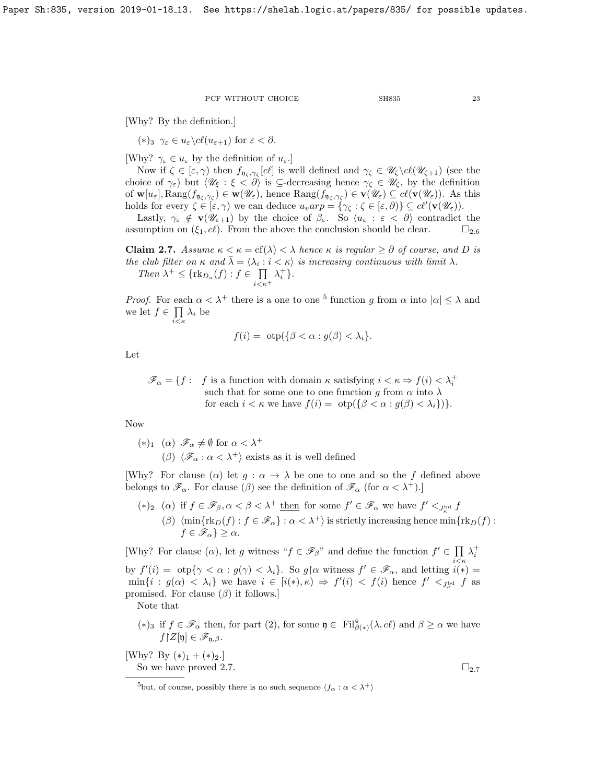[Why? By the definition.]

$$
(*)_3 \ \gamma_{\varepsilon} \in u_{\varepsilon} \backslash c\ell(u_{\varepsilon+1}) \text{ for } \varepsilon < \partial.
$$

[Why?  $\gamma_{\varepsilon} \in u_{\varepsilon}$  by the definition of  $u_{\varepsilon}$ .]

Now if  $\zeta \in [\varepsilon, \gamma)$  then  $f_{\eta_{\zeta}, \gamma_{\zeta}}[cl]$  is well defined and  $\gamma_{\zeta} \in \mathscr{U}_{\zeta} \setminus cl(\mathscr{U}_{\zeta+1})$  (see the choice of  $\gamma_{\varepsilon}$ ) but  $\langle \mathscr{U}_{\xi} : \xi < \partial \rangle$  is  $\subseteq$ -decreasing hence  $\gamma_{\zeta} \in \mathscr{U}_{\zeta}$ , by the definition of  $\mathbf{w}[u_{\varepsilon}], \text{Rang}(f_{\mathfrak{y}_{\zeta},\gamma_{\zeta}}) \in \mathbf{w}(\mathscr{U}_{\varepsilon}),$  hence  $\text{Rang}(f_{\mathfrak{y}_{\zeta},\gamma_{\zeta}}) \in \mathbf{v}(\mathscr{U}_{\varepsilon}) \subseteq cl(\mathbf{v}(\mathscr{U}_{\varepsilon}))$ . As this holds for every  $\zeta \in [\varepsilon, \gamma)$  we can deduce  $u_varp = {\gamma_{\zeta} : \zeta \in [\varepsilon, \partial)} \subseteq cl'(v(\mathscr{U}_{\varepsilon}))$ .

Lastly,  $\gamma_{\varepsilon} \notin \mathbf{v}(\mathscr{U}_{\varepsilon+1})$  by the choice of  $\beta_{\varepsilon}$ . So  $\langle u_{\varepsilon} : \varepsilon < \partial \rangle$  contradict the assumption on  $(\xi_1, c\ell)$ . From the above the conclusion should be clear.  $\square_{2,6}$  $\square_{2,6}$  $\square_{2,6}$ 

<span id="page-22-1"></span>**Claim 2.7.** Assume  $\kappa < \kappa = \text{cf}(\lambda) < \lambda$  hence  $\kappa$  is regular  $\geq \partial$  of course, and D is the club filter on  $\kappa$  and  $\bar{\lambda} = \langle \lambda_i : i \leq \kappa \rangle$  is increasing continuous with limit  $\lambda$ . Then  $\lambda^+ \leq {\{\text{rk}_{D_{\kappa}}(f) : f \in \prod_{\kappa} \mathbb{Z}\}}$  $i<\kappa^+$  $\lambda_i^+$ .

*Proof.* For each  $\alpha < \lambda^+$  there is a one to one <sup>[5](#page-22-0)</sup> function g from  $\alpha$  into  $|\alpha| \leq \lambda$  and we let  $f \in \prod$  $\prod_{i\leq \kappa}\lambda_i$  be

$$
f(i) = \text{otp}(\{\beta < \alpha : g(\beta) < \lambda_i\}).
$$

Let

 $\mathscr{F}_\alpha = \{f : f \text{ is a function with domain } \kappa \text{ satisfying } i < \kappa \Rightarrow f(i) < \lambda_i^+$ such that for some one to one function g from  $\alpha$  into  $\lambda$ for each  $i < \kappa$  we have  $f(i) = \text{otp}(\{\beta < \alpha : g(\beta) < \lambda_i\})\}.$ 

Now

\n- $$
(*)_1
$$
  $(\alpha)$   $\mathscr{F}_\alpha \neq \emptyset$  for  $\alpha < \lambda^+$
\n- $(\beta)$   $\langle \mathscr{F}_\alpha : \alpha < \lambda^+ \rangle$  exists as it is well defined
\n

[Why? For clause ( $\alpha$ ) let  $g : \alpha \to \lambda$  be one to one and so the f defined above belongs to  $\mathscr{F}_{\alpha}$ . For clause ( $\beta$ ) see the definition of  $\mathscr{F}_{\alpha}$  (for  $\alpha < \lambda^{+}$ ).

(\*)<sub>2</sub> (a) if  $f \in \mathscr{F}_{\beta}, \alpha < \beta < \lambda^+$  <u>then</u> for some  $f' \in \mathscr{F}_{\alpha}$  we have  $f' <_{J_{\kappa}^{\text{bd}}} f$ (β)  $\langle \min\{\text{rk}_D(f) : f \in \mathscr{F}_\alpha\} : \alpha < \lambda^+\rangle$  is strictly increasing hence  $\min\{\text{rk}_D(f) : f \in \mathscr{F}_\alpha\}$  $f \in \mathscr{F}_\alpha$  }  $\geq \alpha$ .

[Why? For clause  $(\alpha)$ , let g witness " $f \in \mathscr{F}_{\beta}$ " and define the function  $f' \in \prod_{i} \lambda_i^+$ 

by  $f'(i) = \text{otp}\{\gamma < \alpha : g(\gamma) < \lambda_i\}$ . So  $g \upharpoonright \alpha$  witness  $f' \in \mathscr{F}_{\alpha}$ , and letting  $i(*) =$  $\min\{i : g(\alpha) < \lambda_i\}$  we have  $i \in [i(*), \kappa) \Rightarrow f'(i) < f(i)$  hence  $f' <_{J_{\kappa}}$  f as promised. For clause  $(\beta)$  it follows.]

Note that

(\*) if  $f \in \mathscr{F}_{\alpha}$  then, for part (2), for some  $\mathfrak{y} \in \mathrm{Fil}^4_{\partial(\ast)}(\lambda, c\ell)$  and  $\beta \geq \alpha$  we have  $f[Z[\mathfrak{y}] \in \mathscr{F}_{\mathfrak{n},\beta}.$ 

[Why? By  $(*)_1 + (*)_2$ .] So we have proved [2.7.](#page-22-1)  $\square_{2.7}$  $\square_{2.7}$  $\square_{2.7}$ 

<span id="page-22-0"></span><sup>&</sup>lt;sup>5</sup>but, of course, possibly there is no such sequence  $\langle f_\alpha : \alpha < \lambda^+ \rangle$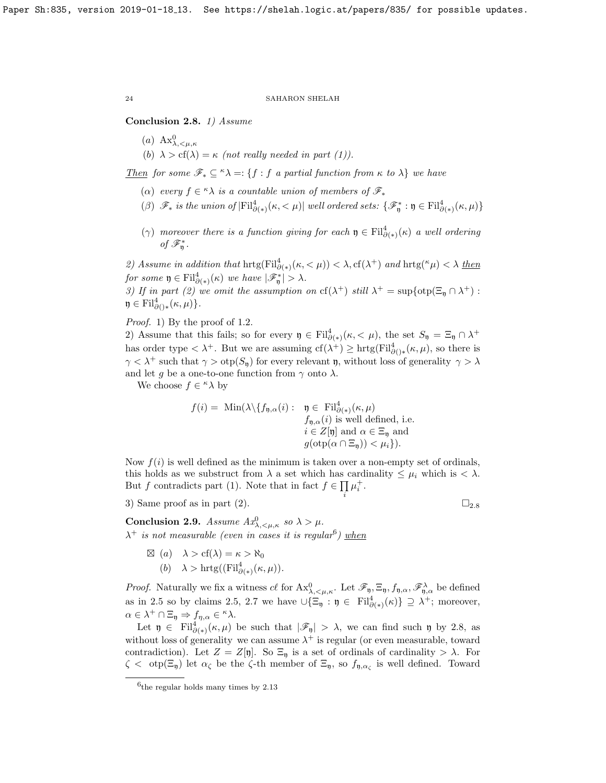## <span id="page-23-0"></span>Conclusion 2.8. 1) Assume

(a)  $\text{Ax}^0_{\lambda, \leq \mu, \kappa}$ (b)  $\lambda > cf(\lambda) = \kappa$  (not really needed in part (1)).

<u>Then</u> for some  $\mathscr{F}_* \subseteq {}^{\kappa} \lambda =: \{f : f \text{ a partial function from } \kappa \text{ to } \lambda\}$  we have

- ( $\alpha$ ) every  $f \in \kappa \lambda$  is a countable union of members of  $\mathscr{F}_*$
- ( $\beta$ )  $\mathscr{F}_*$  is the union of  $|\text{Fil}^4_{\partial(*)}(\kappa,<\mu)|$  well ordered sets:  $\{\mathscr{F}^*_\mathfrak{y} : \mathfrak{y} \in \text{Fil}^4_{\partial(*)}(\kappa,\mu)\}\$
- ( $\gamma$ ) moreover there is a function giving for each  $\mathfrak{y} \in \mathrm{Fil}^4_{\partial(*)}(\kappa)$  a well ordering of  $\mathscr{F}^*_{\mathfrak{y}}$ .

2) Assume in addition that  $\text{hrtg}(\text{Fil}^4_{\partial(*)}(\kappa,<\mu)) < \lambda, \text{cf}(\lambda^+)$  and  $\text{hrtg}(\kappa\mu) < \lambda$  then for some  $\mathfrak{y} \in \mathrm{Fil}^4_{\partial(\ast)}(\kappa)$  we have  $|\mathscr{F}_{\mathfrak{y}}^*| > \lambda$ .

3) If in part (2) we omit the assumption on  $cf(\lambda^+)$  still  $\lambda^+ = \sup\{otpofp(\Xi_{\mathfrak{y}} \cap \lambda^+) :$  $\mathfrak{y} \in \mathrm{Fil}^4_{\partial(\cdot)}*(\kappa,\mu)\}.$ 

Proof. 1) By the proof of [1.2.](#page-7-1)

2) Assume that this fails; so for every  $\mathfrak{y} \in \text{Fil}^4_{\partial(*)}(\kappa, \langle \mu \rangle)$ , the set  $S_{\mathfrak{y}} = \Xi_{\mathfrak{y}} \cap \lambda^+$ has order type  $\langle \lambda^+$ . But we are assuming  $cf(\lambda^+) \geq \text{hrtg}(\text{Fil}^4_{\partial(\cdot)}(\kappa,\mu))$ , so there is  $\gamma < \lambda^+$  such that  $\gamma > \text{otp}(S_0)$  for every relevant **p**, without loss of generality  $\gamma > \lambda$ and let g be a one-to-one function from  $\gamma$  onto  $\lambda$ .

We choose  $f \in \kappa \lambda$  by

$$
f(i) = \text{ Min}(\lambda \setminus \{f_{\mathfrak{y},\alpha}(i): \begin{array}{l} \mathfrak{y} \in \text{Fil}^4_{\partial(*)}(\kappa,\mu) \\ f_{\mathfrak{y},\alpha}(i) \text{ is well defined, i.e.} \\ i \in Z[\mathfrak{y}] \text{ and } \alpha \in \Xi_{\mathfrak{y}} \text{ and} \\ g(\text{otp}(\alpha \cap \Xi_{\mathfrak{y}})) < \mu_i \}). \end{array}
$$

Now  $f(i)$  is well defined as the minimum is taken over a non-empty set of ordinals, this holds as we substruct from  $\lambda$  a set which has cardinality  $\leq \mu_i$  which is  $\langle \lambda \rangle$ . But f contradicts part (1). Note that in fact  $f \in \prod \mu_i^+$ .

i

3) Same proof as in part ([2](#page-23-0)).  $\Box_{2.8}$ 

<span id="page-23-2"></span>Conclusion 2.9. Assume  $Ax_{\lambda,\leq\mu,\kappa}^0$  so  $\lambda > \mu$ .  $\lambda^+$  is not measurable (even in cases it is regular<sup>[6](#page-23-1)</sup>) when

> $\boxtimes$  (a)  $\lambda > cf(\lambda) = \kappa > \aleph_0$ (b)  $\lambda > \text{hrtg}((\text{Fil}^4_{\partial(*)}(\kappa,\mu))).$

*Proof.* Naturally we fix a witness  $c\ell$  for  $Ax^0_{\lambda, \langle \mu, \kappa \rangle}$ . Let  $\mathscr{F}_{\mathfrak{y}}, \Xi_{\mathfrak{y}}, f_{\mathfrak{y}, \alpha}, \mathscr{F}_{\mathfrak{y}, \alpha}^{\lambda}$  be defined as in [2.5](#page-19-0) so by claims [2.5,](#page-19-0) [2.7](#page-22-1) we have  $\cup {\Xi_{\mathfrak{y}}} : \mathfrak{y} \in \mathrm{Fil}^4_{\partial(*)}(\kappa) \} \supseteq \lambda^+$ ; moreover,  $\alpha \in \lambda^+ \cap \Xi_{\mathfrak{y}} \Rightarrow f_{\eta,\alpha} \in \kappa \lambda.$ 

Let  $\mathfrak{y} \in \text{Fil}^4_{\partial(*)}(\kappa,\mu)$  be such that  $|\mathscr{F}_{\mathfrak{y}}| > \lambda$ , we can find such  $\mathfrak{y}$  by [2.8,](#page-23-0) as without loss of generality we can assume  $\lambda^+$  is regular (or even measurable, toward contradiction). Let  $Z = Z[\mathfrak{y}]$ . So  $\Xi_{\mathfrak{y}}$  is a set of ordinals of cardinality  $> \lambda$ . For  $\zeta < \text{otp}(\Xi_{\mathfrak{y}})$  let  $\alpha_{\zeta}$  be the  $\zeta$ -th member of  $\Xi_{\mathfrak{y}},$  so  $f_{\mathfrak{y}, \alpha_{\zeta}}$  is well defined. Toward

<span id="page-23-1"></span><sup>6</sup> the regular holds many times by [2.13](#page-24-0)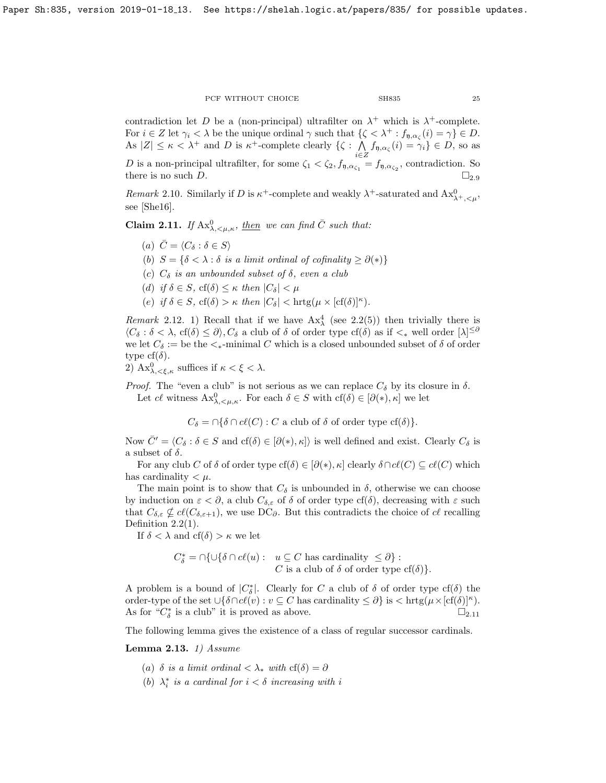contradiction let D be a (non-principal) ultrafilter on  $\lambda^+$  which is  $\lambda^+$ -complete. For  $i \in \mathbb{Z}$  let  $\gamma_i < \lambda$  be the unique ordinal  $\gamma$  such that  $\{\zeta < \lambda^+ : f_{\mathfrak{y}, \alpha_{\zeta}}(i) = \gamma\} \in D$ . As  $|Z| \leq \kappa < \lambda^+$  and D is  $\kappa^+$ -complete clearly  $\{\zeta : \Lambda\}$  $\bigwedge_{i\in Z} f_{\mathfrak{y},\alpha_{\zeta}}(i) = \gamma_i\} \in D$ , so as

D is a non-principal ultrafilter, for some  $\zeta_1 < \zeta_2$ ,  $f_{\theta, \alpha_{\zeta_1}} = f_{\theta, \alpha_{\zeta_2}}$ , contradiction. So there is no such D.  $\square_{2.9}$  $\square_{2.9}$  $\square_{2.9}$ 

Remark 2.10. Similarly if D is  $\kappa^+$ -complete and weakly  $\lambda^+$ -saturated and  $\text{Ax}^0_{\lambda^+,\leq\mu}$ , see [\[She16\]](#page-32-7).

<span id="page-24-1"></span>**Claim 2.11.** If  $Ax_{\lambda, \langle \mu, \kappa \rangle}^0$ , then we can find  $\overline{C}$  such that:

- (a)  $\bar{C} = \langle C_{\delta} : \delta \in S \rangle$
- (b)  $S = \{ \delta < \lambda : \delta \text{ is a limit ordinal of cofinality } \geq \partial(*) \}$
- (c)  $C_{\delta}$  is an unbounded subset of  $\delta$ , even a club
- (d) if  $\delta \in S$ , cf( $\delta$ )  $\leq \kappa$  then  $|C_{\delta}| < \mu$
- (e) if  $\delta \in S$ ,  $cf(\delta) > \kappa$  then  $|C_{\delta}| < \text{hrtg}(\mu \times [cf(\delta)]^{\kappa})$ .

Remark 2.12. 1) Recall that if we have  $Ax_{\lambda}^4$  (see [2.2\(](#page-17-1)5)) then trivially there is  $\langle C_\delta : \delta < \lambda, \operatorname{cf}(\delta) \leq \partial \rangle, C_\delta$  a club of  $\delta$  of order type  $\operatorname{cf}(\delta)$  as if  $\langle \xi \rangle$  well order  $[\lambda]^{\leq \delta}$ we let  $C_{\delta} := \text{be the} \lt_{*}$ -minimal C which is a closed unbounded subset of  $\delta$  of order type cf( $\delta$ ).

2)  $\text{Ax}^0_{\lambda, \leq \xi, \kappa}$  suffices if  $\kappa < \xi < \lambda$ .

*Proof.* The "even a club" is not serious as we can replace  $C_{\delta}$  by its closure in  $\delta$ . Let cl witness  $\mathbf{Ax}^0_{\lambda,\leq\mu,\kappa}$ . For each  $\delta\in S$  with  $cf(\delta)\in[\partial(*),\kappa]$  we let

 $C_{\delta} = \bigcap \{\delta \cap cl(C) : C \text{ a club of } \delta \text{ of order type } cf(\delta) \}.$ 

Now  $\bar{C}' = \langle C_\delta : \delta \in S \text{ and } cf(\delta) \in [\partial(*), \kappa] \rangle$  is well defined and exist. Clearly  $C_\delta$  is a subset of  $\delta$ .

For any club C of  $\delta$  of order type cf( $\delta$ )  $\in$  [ $\partial$ (\*),  $\kappa$ ] clearly  $\delta \cap cl(C) \subseteq cl(C)$  which has cardinality  $\lt \mu$ .

The main point is to show that  $C_{\delta}$  is unbounded in  $\delta$ , otherwise we can choose by induction on  $\varepsilon < \partial$ , a club  $C_{\delta,\varepsilon}$  of  $\delta$  of order type cf( $\delta$ ), decreasing with  $\varepsilon$  such that  $C_{\delta,\varepsilon} \nsubseteq \mathcal{C}(C_{\delta,\varepsilon+1}),$  we use DC $_{\partial}$ . But this contradicts the choice of  $\mathcal{C}$  recalling Definition  $2.2(1)$ .

If  $\delta < \lambda$  and  $cf(\delta) > \kappa$  we let

$$
C_{\delta}^* = \bigcap \{ \cup \{\delta \cap cl(u) : u \subseteq C \text{ has cardinality } \leq \partial \} :
$$
  
*C* is a club of  $\delta$  of order type cf( $\delta$ )*.*

A problem is a bound of  $|C^*_\delta|$ . Clearly for C a club of  $\delta$  of order type cf( $\delta$ ) the order-type of the set  $\bigcup \{ \delta \cap cl(v) : v \subseteq C \text{ has cardinality } \leq \partial \}$  is  $\bigtriangleup \text{hrg}(\mu \times [cf(\delta)]^{\kappa}).$ As for " $C^*_{\delta}$  is a club" it is proved as above.  $\square_{2.11}$  $\square_{2.11}$  $\square_{2.11}$ 

The following lemma gives the existence of a class of regular successor cardinals.

<span id="page-24-0"></span>Lemma 2.13. 1) Assume

- (a)  $\delta$  is a limit ordinal  $\langle \lambda_* \text{ with } cf(\delta) = \partial$
- (b)  $\lambda_i^*$  is a cardinal for  $i < \delta$  increasing with i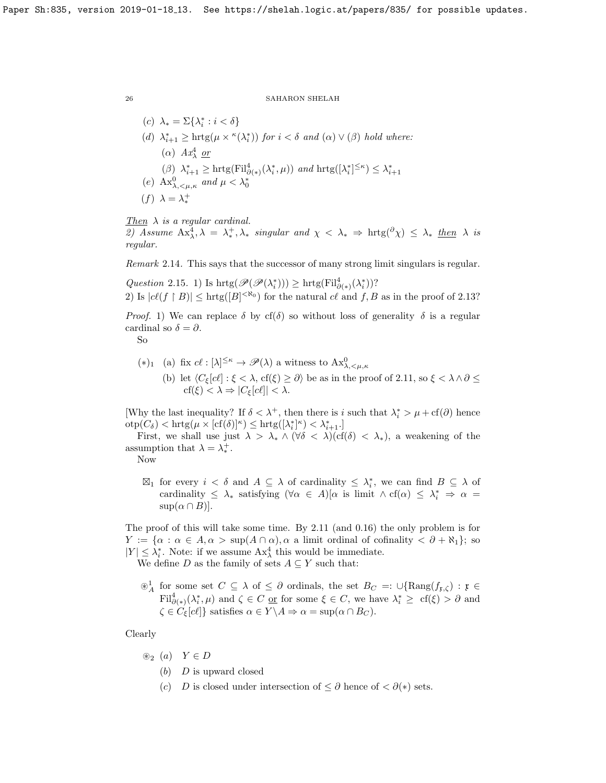(c)  $\lambda_* = \Sigma\{\lambda_i^*: i < \delta\}$ (d)  $\lambda_{i+1}^* \geq \text{hrtg}(\mu \times \kappa(\lambda_i^*))$  for  $i < \delta$  and  $(\alpha) \vee (\beta)$  hold where: ( $\alpha$ )  $Ax_{\lambda}^4$  <u>or</u> ( $\beta$ )  $\lambda_{i+1}^* \geq \text{hrtg}(\text{Fil}_{\partial(\ast)}^4(\lambda_i^*, \mu))$  and  $\text{hrtg}([\lambda_i^*]^{\leq \kappa}) \leq \lambda_{i+1}^*$ (e)  $\text{Ax}_{\lambda, \leq \mu, \kappa}^0$  and  $\mu < \lambda_0^*$ (f)  $\lambda = \lambda_*^+$ 

```
Then \lambda is a regular cardinal.
```
2) Assume  $Ax^4_\lambda, \lambda = \lambda^+_*, \lambda_*$  singular and  $\chi < \lambda_* \Rightarrow \text{hrtg}(\partial \chi) \leq \lambda_*$  then  $\lambda$  is regular.

Remark 2.14. This says that the successor of many strong limit singulars is regular.

Question 2.15. 1) Is  $\mathrm{hrtg}(\mathscr{P}(\mathscr{P}(\lambda_i^*))) \geq \mathrm{hrtg}(\mathrm{Fil}^4_{\partial(\ast)}(\lambda_i^*))$ ? 2) Is  $|c\ell(f \restriction B)| \leq \text{hrtg}(|B|^{< \aleph_0})$  for the natural  $c\ell$  and  $f, B$  as in the proof of [2.13?](#page-24-0)

*Proof.* 1) We can replace  $\delta$  by cf( $\delta$ ) so without loss of generality  $\delta$  is a regular cardinal so  $\delta = \partial$ .

So

- (\*)<sub>1</sub> (a) fix  $c \ell : [\lambda]^{\leq \kappa} \to \mathscr{P}(\lambda)$  a witness to  $Ax^0_{\lambda, \leq \mu, \kappa}$ 
	- (b) let  $\langle C_{\xi}[c\ell] : \xi < \lambda, \text{cf}(\xi) \geq \partial \rangle$  be as in the proof of [2.11,](#page-24-1) so  $\xi < \lambda \wedge \partial \leq \lambda$  $\text{cf}(\xi) < \lambda \Rightarrow |C_{\xi}[c\ell]| < \lambda.$

[Why the last inequality? If  $\delta < \lambda^+$ , then there is i such that  $\lambda_i^* > \mu + \text{cf}(\partial)$  hence  $\mathrm{otp}(C_{\delta}) < \mathrm{hrtg}(\mu \times [\mathrm{cf}(\delta)]^{\kappa}) \leq \mathrm{hrtg}([\lambda_i^*]^{\kappa}) < \lambda_{i+1}^*$ .

First, we shall use just  $\lambda > \lambda_* \wedge (\forall \delta < \lambda)(cf(\delta) < \lambda_*),$  a weakening of the assumption that  $\lambda = \lambda_*^+$ .

Now

 $\boxtimes_1$  for every  $i < \delta$  and  $A \subseteq \lambda$  of cardinality  $\leq \lambda_i^*$ , we can find  $B \subseteq \lambda$  of cardinality  $\leq \lambda_*$  satisfying  $(\forall \alpha \in A)[\alpha \text{ is limit } \wedge \text{cf}(\alpha) \leq \lambda_*^* \Rightarrow \alpha =$  $\sup(\alpha \cap B)$ .

The proof of this will take some time. By [2.11](#page-24-1) (and [0.16\)](#page-5-1) the only problem is for  $Y := {\alpha : \alpha \in A, \alpha > {\rm sup}(A \cap \alpha), \alpha \text{ a limit ordinal of cofinality < \partial + \aleph_1};$  so  $|Y| \leq \lambda_i^*$ . Note: if we assume  $Ax_{\lambda}^4$  this would be immediate.

We define D as the family of sets  $A \subseteq Y$  such that:

 $\otimes^1_A$  for some set  $C \subseteq \lambda$  of  $\leq \partial$  ordinals, the set  $B_C =: \cup {\rm{Rang}}(f_{\mathfrak{x},\zeta}) : \mathfrak{x} \in$  $\text{Fil}^4_{\partial(*)}(\lambda_i^*, \mu)$  and  $\zeta \in C$  or for some  $\xi \in C$ , we have  $\lambda_i^* \geq \text{cf}(\xi) > \partial$  and  $\zeta \in C_{\xi}[c\ell]$ } satisfies  $\alpha \in Y \backslash A \Rightarrow \alpha = \sup(\alpha \cap B_C)$ .

Clearly

- $\circledast_2$  (a)  $Y \in D$ 
	- $(b)$  D is upward closed
	- (c) D is closed under intersection of  $\leq \partial$  hence of  $\leq \partial(*)$  sets.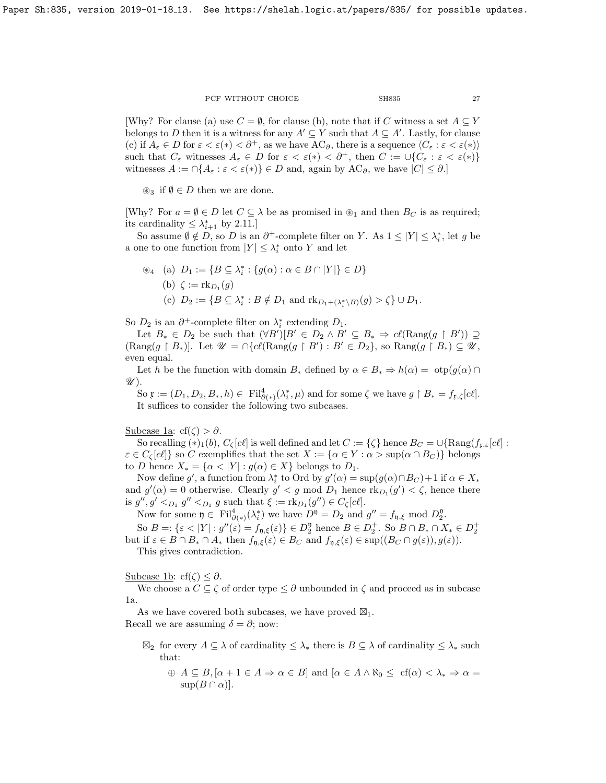[Why? For clause (a) use  $C = \emptyset$ , for clause (b), note that if C witness a set  $A \subseteq Y$ belongs to D then it is a witness for any  $A' \subseteq Y$  such that  $A \subseteq A'$ . Lastly, for clause (c) if  $A_\varepsilon \in D$  for  $\varepsilon < \varepsilon(*) < \partial^+$ , as we have  $AC_\partial$ , there is a sequence  $\langle C_\varepsilon : \varepsilon < \varepsilon(*) \rangle$ such that  $C_{\varepsilon}$  witnesses  $A_{\varepsilon} \in D$  for  $\varepsilon < \varepsilon(*) < \partial^+$ , then  $C := \cup \{C_{\varepsilon} : \varepsilon < \varepsilon(*)\}$ witnesses  $A := \bigcap \{A_\varepsilon : \varepsilon < \varepsilon(*)\} \in D$  and, again by  $AC_\partial$ , we have  $|C| \leq \partial$ .

 $\mathcal{L}_3$  if  $\emptyset \in D$  then we are done.

[Why? For  $a = \emptyset \in D$  let  $C \subseteq \lambda$  be as promised in  $\mathcal{L}_1$  and then  $B_C$  is as required; its cardinality  $\leq \lambda_{i+1}^*$  by [2.11.](#page-24-1)]

So assume  $\emptyset \notin D$ , so D is an  $\partial^+$ -complete filter on Y. As  $1 \leq |Y| \leq \lambda_i^*$ , let g be a one to one function from  $|Y| \leq \lambda_i^*$  onto Y and let

$$
\mathcal{L}_4 \quad \text{(a)} \quad D_1 := \{ B \subseteq \lambda_i^* : \{ g(\alpha) : \alpha \in B \cap |Y| \} \in D \}
$$
\n
$$
\text{(b)} \quad \zeta := \text{rk}_{D_1}(g)
$$
\n
$$
\text{(c)} \quad D_2 := \{ B \subseteq \lambda_i^* : B \notin D_1 \text{ and } \text{rk}_{D_1 + (\lambda_i^* \setminus B)}(g) > \zeta \} \cup D_1.
$$

So  $D_2$  is an  $\partial^+$ -complete filter on  $\lambda_i^*$  extending  $D_1$ .

Let  $B_* \in D_2$  be such that  $(\forall B')[B' \in D_2 \land B' \subseteq B_* \Rightarrow c\ell(\text{Rang}(g \restriction B')) \supseteq$  $(Rang(g \upharpoonright B_*)]$ . Let  $\mathscr{U} = \bigcap \{ cl(Rang(g \upharpoonright B') : B' \in D_2 \}$ , so  $Rang(g \upharpoonright B_*) \subseteq \mathscr{U}$ , even equal.

Let h be the function with domain  $B_*$  defined by  $\alpha \in B_* \Rightarrow h(\alpha) = \text{otp}(g(\alpha) \cap B_*$  $\mathscr{U}$ ).

So  $\mathfrak{x} := (D_1, D_2, B_*, h) \in \text{Fil}^4_{\partial(\ast)}(\lambda_i^*, \mu)$  and for some  $\zeta$  we have  $g \restriction B_* = f_{\mathfrak{x}, \zeta}[c\ell].$ It suffices to consider the following two subcases.

Subcase 1a: cf( $\zeta$ ) >  $\partial$ .

So recalling  $(*)_1(b)$ ,  $C_\zeta[c\ell]$  is well defined and let  $C := {\zeta}$  hence  $B_C = \bigcup {\text{Rang}(f_{\mathfrak{x},\varepsilon}[c\ell] :}$  $\varepsilon \in C_{\zeta}[c\ell]$  so C exemplifies that the set  $X := {\alpha \in Y : \alpha > \sup(\alpha \cap B_C)}$  belongs to D hence  $X_* = {\alpha < |Y| : g(\alpha) \in X}$  belongs to  $D_1$ .

Now define g', a function from  $\lambda_i^*$  to Ord by  $g'(\alpha) = \sup(g(\alpha) \cap B_C) + 1$  if  $\alpha \in X_*$ and  $g'(\alpha) = 0$  otherwise. Clearly  $g' < g$  mod  $D_1$  hence  $\text{rk}_{D_1}(g') < \zeta$ , hence there is  $g'', g' <_{D_1} g'' <_{D_1} g$  such that  $\xi := \text{rk}_{D_1}(g'') \in C_{\zeta}[c\ell].$ 

Now for some  $\mathfrak{y} \in \mathrm{Fil}_{\partial(\ast)}^4(\lambda_i^*)$  we have  $D^{\mathfrak{y}} = D_2$  and  $g'' = f_{\mathfrak{y}, \xi}$  mod  $D_2^{\mathfrak{y}}$ . So  $B =: {\varepsilon < |Y| : g''(\varepsilon) = f_{\mathfrak{y},\xi}(\varepsilon)} \in D_2^{\mathfrak{y}}$  hence  $B \in D_2^+$ . So  $B \cap B_* \cap X_* \in D_2^+$ but if  $\varepsilon \in B \cap B_* \cap A_*$  then  $f_{\mathfrak{n},\xi}(\varepsilon) \in B_C$  and  $f_{\mathfrak{n},\xi}(\varepsilon) \in \text{sup}((B_C \cap g(\varepsilon)), g(\varepsilon)).$ 

This gives contradiction.

Subcase 1b: cf( $\zeta$ )  $\leq \partial$ .

We choose a  $C \subseteq \zeta$  of order type  $\leq \partial$  unbounded in  $\zeta$  and proceed as in subcase 1a.

As we have covered both subcases, we have proved  $\mathbb{Z}_1$ .

Recall we are assuming  $\delta = \partial$ ; now:

- $\boxtimes_2$  for every  $A \subseteq \lambda$  of cardinality  $\leq \lambda_*$  there is  $B \subseteq \lambda$  of cardinality  $\leq \lambda_*$  such that:
	- $\oplus$   $A \subseteq B, [\alpha + 1 \in A \Rightarrow \alpha \in B]$  and  $[\alpha \in A \wedge \aleph_0 \leq cf(\alpha) < \lambda_* \Rightarrow \alpha =$  $\sup(B \cap \alpha)$ .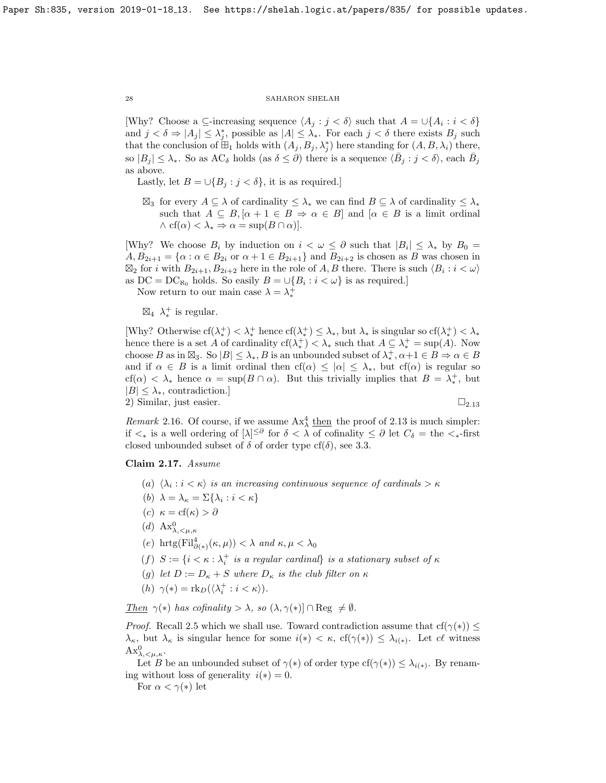[Why? Choose a  $\subseteq$ -increasing sequence  $\langle A_j : j < \delta \rangle$  such that  $A = \bigcup \{A_i : i < \delta\}$ and  $j < \delta \Rightarrow |A_j| \leq \lambda_j^*$ , possible as  $|A| \leq \lambda_*$ . For each  $j < \delta$  there exists  $B_j$  such that the conclusion of  $\mathbb{H}_1$  holds with  $(A_j, B_j, \lambda_j^*)$  here standing for  $(A, B, \lambda_i)$  there, so  $|B_j| \leq \lambda_*$ . So as AC<sub>δ</sub> holds (as  $\delta \leq \partial$ ) there is a sequence  $\langle \bar{B}_j : j < \delta \rangle$ , each  $\bar{B}_j$ as above.

Lastly, let  $B = \bigcup \{B_i : j < \delta\}$ , it is as required.]

 $\boxtimes_3$  for every  $A \subseteq \lambda$  of cardinality  $\leq \lambda_*$  we can find  $B \subseteq \lambda$  of cardinality  $\leq \lambda_*$ such that  $A \subseteq B, [\alpha + 1 \in B \Rightarrow \alpha \in B]$  and  $[\alpha \in B$  is a limit ordinal  $\wedge$  cf( $\alpha$ )  $< \lambda_* \Rightarrow \alpha = \sup(B \cap \alpha)$ .

[Why? We choose  $B_i$  by induction on  $i < \omega \leq \partial$  such that  $|B_i| \leq \lambda_*$  by  $B_0 =$  $A, B_{2i+1} = \{\alpha : \alpha \in B_{2i} \text{ or } \alpha + 1 \in B_{2i+1}\}\$ and  $B_{2i+2}$  is chosen as B was chosen in  $\boxtimes_2$  for i with  $B_{2i+1}, B_{2i+2}$  here in the role of A, B there. There is such  $\langle B_i : i < \omega \rangle$ as  $DC = DC_{\aleph_0}$  holds. So easily  $B = \bigcup \{B_i : i < \omega\}$  is as required.]

Now return to our main case  $\lambda = \lambda_*^+$ 

 $\boxtimes_4$   $\lambda_*^+$  is regular.

[Why? Otherwise  $cf(\lambda^+_*) < \lambda^+_*$  hence  $cf(\lambda^+_*) \leq \lambda_*$ , but  $\lambda_*$  is singular so  $cf(\lambda^+_*) < \lambda_*$ hence there is a set A of cardinality  $cf(\lambda^+_*) < \lambda_*$  such that  $A \subseteq \lambda^+_* = \sup(A)$ . Now choose B as in  $\boxtimes_3$ . So  $|B| \leq \lambda_*, B$  is an unbounded subset of  $\lambda_*^+, \alpha+1 \in B \Rightarrow \alpha \in B$ and if  $\alpha \in B$  is a limit ordinal then  $cf(\alpha) \leq |\alpha| \leq \lambda_{*}$ , but  $cf(\alpha)$  is regular so cf( $\alpha$ ) <  $\lambda_*$  hence  $\alpha = \sup(B \cap \alpha)$ . But this trivially implies that  $B = \lambda_*^+$ , but  $|B| \leq \lambda_{*}$ , contradiction.] 2) Similar, just easier.  $\Box_{2.13}$  $\Box_{2.13}$  $\Box_{2.13}$ 

*Remark* 2.16. Of course, if we assume  $Ax_{\lambda}^4$  then the proof of [2.13](#page-24-0) is much simpler: if  $\lt_*$  is a well ordering of  $[\lambda]^{\leq \partial}$  for  $\delta < \lambda$  of cofinality  $\leq \partial$  let  $C_\delta = \text{the} \lt_{*}$ -first closed unbounded subset of  $\delta$  of order type cf( $\delta$ ), see [3.3.](#page-30-0)

## <span id="page-27-0"></span>Claim 2.17. Assume

- (a)  $\langle \lambda_i : i \lt \kappa \rangle$  is an increasing continuous sequence of cardinals  $> \kappa$
- (b)  $\lambda = \lambda_{\kappa} = \Sigma\{\lambda_i : i < \kappa\}$
- (c)  $\kappa = \text{cf}(\kappa) > \partial$
- (d)  $\mathbf{A}\mathbf{x}_{\lambda,\leq\mu,\kappa}^0$
- (e) hrtg $(\text{Fil}^4_{\partial(*)}(\kappa,\mu)) < \lambda$  and  $\kappa,\mu < \lambda_0$
- (f)  $S := \{ i < \kappa : \lambda_i^+$  is a regular cardinal} is a stationary subset of  $\kappa$
- (g) let  $D := D_{\kappa} + S$  where  $D_{\kappa}$  is the club filter on  $\kappa$
- (*h*)  $\gamma(*) = \text{rk}_D(\langle \lambda_i^+ : i < \kappa \rangle).$

Then  $\gamma(*)$  has cofinality  $>\lambda$ , so  $(\lambda, \gamma(*)] \cap \text{Reg } \neq \emptyset$ .

*Proof.* Recall [2.5](#page-19-0) which we shall use. Toward contradiction assume that  $cf(\gamma(*)) \leq$  $\lambda_{\kappa}$ , but  $\lambda_{\kappa}$  is singular hence for some  $i(*) < \kappa$ , cf( $\gamma(*) \leq \lambda_{i(*)}$ ). Let cl witness  $\text{Ax}^0_{\lambda,\lt,\mu,\kappa}.$ 

Let B be an unbounded subset of  $\gamma(*)$  of order type  $cf(\gamma(*))\leq \lambda_{i(*)}$ . By renaming without loss of generality  $i(*) = 0$ .

For  $\alpha < \gamma(*)$  let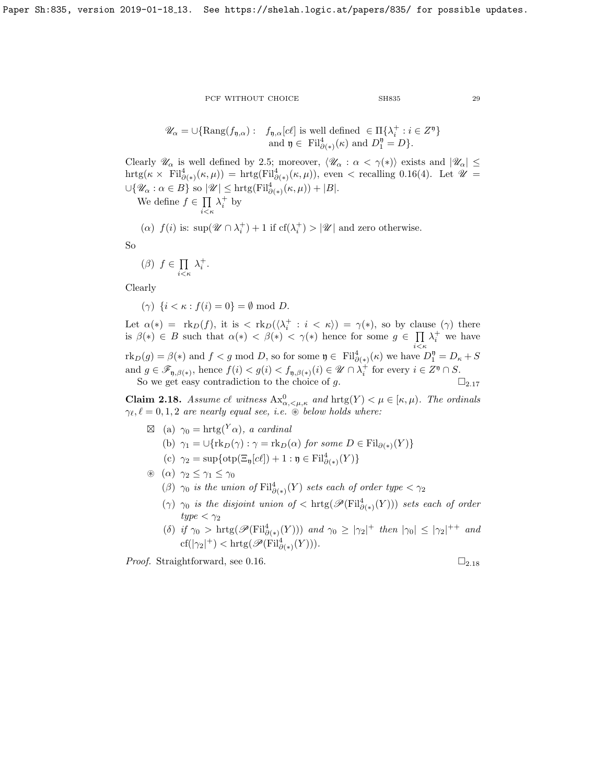$$
\mathscr{U}_{\alpha} = \cup \{ \text{Rang}(f_{\mathfrak{y},\alpha}) : \quad f_{\mathfrak{y},\alpha}[\mathscr{C}] \text{ is well defined } \in \Pi \{ \lambda_i^+ : i \in Z^{\mathfrak{y}} \} \text{ and } \mathfrak{y} \in \text{ Fil}_{\partial(\ast)}^4(\kappa) \text{ and } D_1^{\mathfrak{y}} = D \}.
$$

Clearly  $\mathcal{U}_{\alpha}$  is well defined by [2.5;](#page-19-0) moreover,  $\langle \mathcal{U}_{\alpha} : \alpha < \gamma(*) \rangle$  exists and  $|\mathcal{U}_{\alpha}| \leq$  $\text{hrtg}(\kappa \times \text{Fil}^4_{\partial(*)}(\kappa,\mu)) = \text{hrtg}(\text{Fil}^4_{\partial(*)}(\kappa,\mu)),$  even < recalling [0.16\(](#page-5-1)4). Let  $\mathscr{U} =$  $\cup \{ \mathscr{U}_{\alpha} : \alpha \in B \}$  so  $|\mathscr{U}| \leq \text{hrtg}(\text{Fil}^{4}_{\partial(\ast)}(\kappa,\mu)) + |B|.$ 

We define  $f \in \prod$  $i<\kappa$  $\lambda_i^+$  by

$$
(\alpha)\ \ f(i) \ \text{is:}\ \ \sup(\mathscr{U}\cap \lambda_i^+)+1\ \text{if}\ \text{cf}(\lambda_i^+)>|\mathscr{U}| \ \text{and zero otherwise}.
$$

So

$$
(\beta) \ \ f \in \prod_{i < \kappa} \lambda_i^+.
$$

Clearly

( $\gamma$ )  $\{i < \kappa : f(i) = 0\} = \emptyset \text{ mod } D.$ 

Let  $\alpha(*) = \text{rk}_D(f)$ , it is  $\langle \text{rk}_D(\langle \lambda_i^+ : i \langle \kappa \rangle) \rangle = \gamma(*)$ , so by clause  $(\gamma)$  there is  $\beta(*) \in B$  such that  $\alpha(*) \leq \beta(*) \leq \gamma(*)$  hence for some  $g \in \Pi$  $i<\kappa$  $\lambda_i^+$  we have  $\text{rk}_D(g) = \beta(*)$  and  $f < g \mod D$ , so for some  $\mathfrak{y} \in \text{Fil}^4_{\partial(*)}(\kappa)$  we have  $D_1^{\mathfrak{y}} = D_{\kappa} + S$ and  $g \in \mathscr{F}_{\mathfrak{y}, \beta(*)}$ , hence  $f(i) < g(i) < f_{\mathfrak{y}, \beta(*)}(i) \in \mathscr{U} \cap \lambda_i^+$  for every  $i \in Z^{\mathfrak{y}} \cap S$ . So we get easy contradiction to the choice of g.  $\square_{2.17}$  $\square_{2.17}$  $\square_{2.17}$ 

<span id="page-28-0"></span>**Claim 2.18.** Assume cl witness  $Ax^0_{\alpha,\leq\mu,\kappa}$  and  $hrtg(Y) < \mu \in [\kappa,\mu)$ . The ordinals  $\gamma_{\ell}, \ell = 0, 1, 2$  are nearly equal see, i.e.  $\circledast$  below holds where:

- $\boxtimes$  (a)  $\gamma_0 = \text{hrtg}(Y_\alpha)$ , a cardinal
	- (b)  $\gamma_1 = \bigcup \{ \text{rk}_D(\gamma) : \gamma = \text{rk}_D(\alpha) \text{ for some } D \in \text{Fil}_{\partial(\ast)}(Y) \}$
	- (c)  $\gamma_2 = \sup \{ \text{otp}[\mathcal{C}\mathcal{L}_\mathfrak{y}[\mathcal{C}\ell]) + 1 : \mathfrak{y} \in \text{Fil}^4_{\partial(*)}(Y) \}$
- $\circledast$   $(\alpha)$   $\gamma_2 \leq \gamma_1 \leq \gamma_0$ 
	- ( $\beta$ )  $\gamma_0$  is the union of  $\mathrm{Fil}^4_{\partial(*)}(Y)$  sets each of order type  $\langle \gamma_2 \rangle$
	- $(\gamma)$   $\gamma_0$  is the disjoint union of  $<\text{hrtg}(\mathscr{P}(\text{Fil}^4_{\partial(*)}(Y)))$  sets each of order  $type < \gamma_2$
	- (δ) if  $\gamma_0 > \text{hrtg}(\mathscr{P}(\text{Fil}^4_{\partial(\ast)}(Y)))$  and  $\gamma_0 \geq |\gamma_2|^+$  then  $|\gamma_0| \leq |\gamma_2|^{++}$  and  $\operatorname{cf}(|\gamma_2|^+) < \operatorname{hrtg}(\mathscr{P}(\operatorname{Fil}^4_{\partial(*)}(Y))).$

*Proof.* Straightforward, see [0.16.](#page-5-1)  $\Box$ <sub>2.[18](#page-28-0)</sub>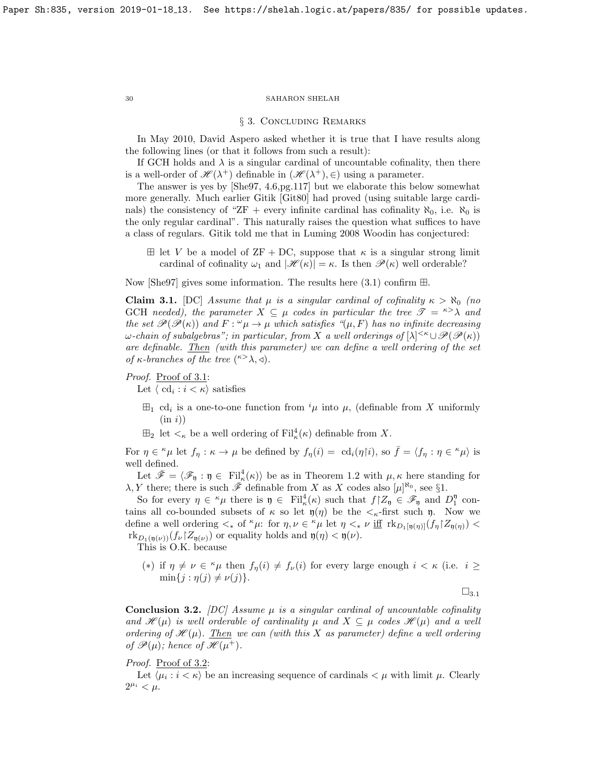#### § 3. Concluding Remarks

In May 2010, David Aspero asked whether it is true that I have results along the following lines (or that it follows from such a result):

If GCH holds and  $\lambda$  is a singular cardinal of uncountable cofinality, then there is a well-order of  $\mathscr{H}(\lambda^+)$  definable in  $(\mathscr{H}(\lambda^+), \in)$  using a parameter.

The answer is yes by [\[She97,](#page-32-1) 4.6,pg.117] but we elaborate this below somewhat more generally. Much earlier Gitik [\[Git80\]](#page-32-14) had proved (using suitable large cardinals) the consistency of "ZF + every infinite cardinal has cofinality  $\aleph_0$ , i.e.  $\aleph_0$  is the only regular cardinal". This naturally raises the question what suffices to have a class of regulars. Gitik told me that in Luming 2008 Woodin has conjectured:

 $\boxplus$  let V be a model of ZF + DC, suppose that  $\kappa$  is a singular strong limit cardinal of cofinality  $\omega_1$  and  $|\mathcal{H}(\kappa)| = \kappa$ . Is then  $\mathcal{P}(\kappa)$  well orderable?

Now [\[She97\]](#page-32-1) gives some information. The results here  $(3.1)$  confirm  $\boxplus$ .

<span id="page-29-1"></span>**Claim 3.1.** [DC] Assume that  $\mu$  is a singular cardinal of cofinality  $\kappa > \aleph_0$  (no GCH needed), the parameter  $X \subseteq \mu$  codes in particular the tree  $\mathscr{T} = \kappa > \lambda$  and the set  $\mathscr{P}(\mathscr{P}(\kappa))$  and  $F: \mathscr{P}(\mu) \to \mu$  which satisfies  $\mathscr{P}(\mu, F)$  has no infinite decreasing  $\omega$ -chain of subalgebras"; in particular, from X a well orderings of  $[\lambda]^{<\kappa} \cup \mathscr{P}(\mathscr{P}(\kappa))$ are definable. Then (with this parameter) we can define a well ordering of the set of  $\kappa$ -branches of the tree  $({}^{\kappa >}\lambda, \triangleleft)$ .

## Proof. Proof of [3.1:](#page-29-1)

Let  $\langle \text{ cd}_i : i < \kappa \rangle$  satisfies

- $\boxplus_1$  cd<sub>i</sub> is a one-to-one function from <sup>i</sup><sub>µ</sub> into <sub>µ</sub>, (definable from X uniformly  $(in i))$
- $\boxplus_2$  let  $\lt_{\kappa}$  be a well ordering of  $\mathrm{Fil}^4_{\kappa}(\kappa)$  definable from X.

For  $\eta \in \kappa \mu$  let  $f_{\eta} : \kappa \to \mu$  be defined by  $f_{\eta}(i) = \text{cd}_i(\eta | i)$ , so  $\bar{f} = \langle f_{\eta} : \eta \in \kappa \mu \rangle$  is well defined.

Let  $\bar{\mathscr{F}} = \langle \mathscr{F}_{\mathfrak{y}} : \mathfrak{y} \in \mathrm{Fil}^4_{\kappa}(\kappa) \rangle$  be as in Theorem [1.2](#page-7-1) with  $\mu, \kappa$  here standing for  $\lambda, Y$  there; there is such  $\bar{\mathscr{F}}$  definable from X as X codes also  $[\mu]^{\aleph_0}$ , see §1.

So for every  $\eta \in \kappa_\mu$  there is  $\eta \in \text{Fil}^4_\kappa(\kappa)$  such that  $f|Z_\eta \in \mathscr{F}_\eta$  and  $D_1^\eta$  contains all co-bounded subsets of  $\kappa$  so let  $\mathfrak{y}(\eta)$  be the  $\lt_{\kappa}$ -first such  $\mathfrak{y}$ . Now we define a well ordering  $\lt_*$  of  $\kappa \mu$ : for  $\eta, \nu \in \kappa \mu$  let  $\eta \lt_* \nu$  iff  $\text{rk}_{D_1[\eta(\eta)]}(f_{\eta} \upharpoonright Z_{\eta(\eta)})$  $\text{rk}_{D_1(\mathfrak{y}(\nu))}(f_{\nu}Z_{\mathfrak{y}(\nu)})$  or equality holds and  $\mathfrak{y}(\eta) < \mathfrak{y}(\nu)$ .

This is O.K. because

(\*) if  $\eta \neq \nu \in \kappa \mu$  then  $f_{\eta}(i) \neq f_{\nu}(i)$  for every large enough  $i < \kappa$  (i.e.  $i \geq$  $\min\{j : \eta(j) \neq \nu(j)\}.$ 

 $\square_{3.1}$  $\square_{3.1}$  $\square_{3.1}$ 

<span id="page-29-2"></span>**Conclusion 3.2.** [DC] Assume  $\mu$  is a singular cardinal of uncountable cofinality and  $\mathscr{H}(\mu)$  is well orderable of cardinality  $\mu$  and  $X \subseteq \mu$  codes  $\mathscr{H}(\mu)$  and a well ordering of  $\mathcal{H}(\mu)$ . Then we can (with this X as parameter) define a well ordering of  $\mathscr{P}(\mu)$ ; hence of  $\mathscr{H}(\mu^+)$ .

## Proof. Proof of [3.2:](#page-29-2)

Let  $\langle \mu_i : i \langle \kappa \rangle$  be an increasing sequence of cardinals  $\langle \mu \rangle$  with limit  $\mu$ . Clearly  $2^{\mu_i} < \mu.$ 

<span id="page-29-0"></span>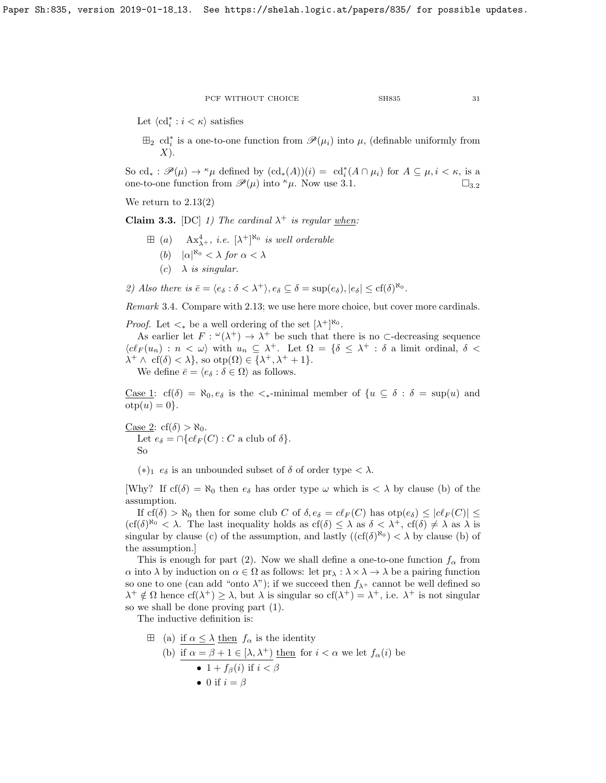Let  $\langle \text{cd}^*_i : i < \kappa \rangle$  satisfies

 $\boxplus_2$  cd<sub>i</sub><sup>\*</sup> is a one-to-one function from  $\mathscr{P}(\mu_i)$  into  $\mu$ , (definable uniformly from  $X$ ).

So cd<sub>\*</sub> :  $\mathscr{P}(\mu) \to \kappa \mu$  defined by  $(\text{cd}_{*}(A))(i) = \text{cd}_{i}^{*}(A \cap \mu_{i})$  for  $A \subseteq \mu, i < \kappa$ , is a one-to-one function from  $\mathscr{P}(\mu)$  into  $\kappa \mu$ . Now use [3.1.](#page-29-1)  $\square_{3.2}$  $\square_{3.2}$  $\square_{3.2}$ 

We return to [2.13\(](#page-24-0)2)

<span id="page-30-0"></span>Claim 3.3. [DC] 1) The cardinal  $\lambda^+$  is regular when:

- $\boxplus$  (a)  $\mathbf{A} \mathbf{x}_{\lambda+}^4$ , *i.e.*  $[\lambda^+]^{\aleph_0}$  *is well orderable* (b)  $|\alpha|^{\aleph_0} < \lambda$  for  $\alpha < \lambda$ 
	- (c)  $\lambda$  is singular.

2) Also there is  $\bar{e} = \langle e_{\delta} : \delta \langle \lambda^+ \rangle, e_{\delta} \subseteq \delta = \sup(e_{\delta}), |e_{\delta}| \leq \text{cf}(\delta)^{\aleph_0}.$ 

<span id="page-30-1"></span>Remark 3.4. Compare with [2.13;](#page-24-0) we use here more choice, but cover more cardinals.

*Proof.* Let  $\lt_*$  be a well ordering of the set  $[\lambda^+]^{\aleph_0}$ .

As earlier let  $F: \omega(\lambda^+) \to \lambda^+$  be such that there is no ⊂-decreasing sequence  $\langle c\ell_F(u_n) : n < \omega \rangle$  with  $u_n \subseteq \lambda^+$ . Let  $\Omega = {\delta \leq \lambda^+ : \delta \text{ a limit ordinal, } \delta < \delta}$  $\lambda^+ \wedge cf(\delta) < \lambda\},$  so  $otp(\Omega) \in {\lambda^+, \lambda^+ + 1}.$ 

We define  $\bar{e} = \langle e_{\delta} : \delta \in \Omega \rangle$  as follows.

Case 1: cf( $\delta$ ) =  $\aleph_0, e_{\delta}$  is the  $\lt_{\ast}$ -minimal member of  $\{u \subseteq \delta : \delta = \sup(u) \text{ and }$  $otp(u) = 0$ .

Case 2:  $cf(\delta) > \aleph_0$ . Let  $e_{\delta} = \bigcap \{c\ell_F (C) : C \text{ a club of } \delta\}.$ So

(∗)<sub>1</sub>  $e<sub>δ</sub>$  is an unbounded subset of  $δ$  of order type  $\lt λ$ .

[Why? If cf( $\delta$ ) =  $\aleph_0$  then  $e_{\delta}$  has order type  $\omega$  which is  $\lt \lambda$  by clause (b) of the assumption.

If  $cf(\delta) > \aleph_0$  then for some club C of  $\delta, e_\delta = c\ell_F (C)$  has  $otp(e_\delta) \leq |c\ell_F (C)| \leq$  $(cf(\delta)^{\aleph_0} < \lambda$ . The last inequality holds as  $cf(\delta) \leq \lambda$  as  $\delta < \lambda^+$ ,  $cf(\delta) \neq \lambda$  as  $\lambda$  is singular by clause (c) of the assumption, and lastly  $((cf( $\delta)^{\aleph_0}$ ) <  $\lambda$  by clause (b) of$ the assumption.]

This is enough for part (2). Now we shall define a one-to-one function  $f_{\alpha}$  from  $\alpha$  into  $\lambda$  by induction on  $\alpha \in \Omega$  as follows: let  $\text{pr}_{\lambda} : \lambda \times \lambda \to \lambda$  be a pairing function so one to one (can add "onto  $\lambda$ "); if we succeed then  $f_{\lambda^+}$  cannot be well defined so  $\lambda^+ \notin \Omega$  hence  $cf(\lambda^+) \geq \lambda$ , but  $\lambda$  is singular so  $cf(\lambda^+) = \lambda^+$ , i.e.  $\lambda^+$  is not singular so we shall be done proving part (1).

The inductive definition is:

 $\boxplus$  (a) if  $\alpha \leq \lambda$  then  $f_{\alpha}$  is the identity (b) if  $\alpha=\beta+1\in[\lambda,\lambda^+)$  <u>then</u> for  $i<\alpha$  we let  $f_\alpha(i)$  be • 1 +  $f_\beta(i)$  if  $i < \beta$ • 0 if  $i = \beta$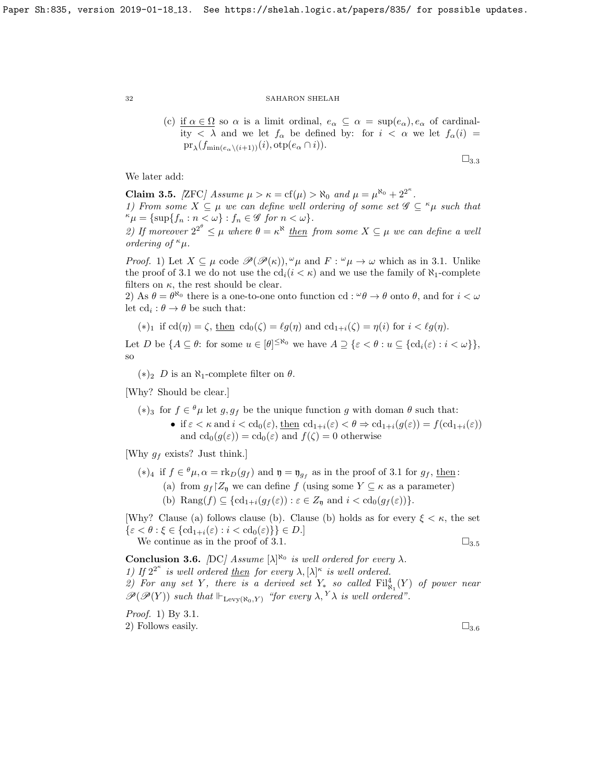(c) if  $\alpha \in \Omega$  so  $\alpha$  is a limit ordinal,  $e_{\alpha} \subseteq \alpha = \sup(e_{\alpha})$ ,  $e_{\alpha}$  of cardinality  $\langle \lambda \rangle$  and we let  $f_{\alpha}$  be defined by: for  $i \langle \alpha \rangle$  we let  $f_{\alpha}(i) =$  $\mathrm{pr}_{\lambda}(f_{\min(e_{\alpha}\setminus (i+1))}(i), \mathrm{otp}(e_{\alpha}\cap i)).$ 

We later add:

<span id="page-31-1"></span>Claim 3.5. [ZFC] Assume  $\mu > \kappa = \text{cf}(\mu) > \aleph_0$  and  $\mu = \mu^{\aleph_0} + 2^{2^{\kappa}}$ .

1) From some  $X \subseteq \mu$  we can define well ordering of some set  $\mathscr{G} \subseteq \kappa_{\mu}$  such that  $\kappa \mu = {\sup\{f_n : n < \omega\}} : f_n \in \mathscr{G}$  for  $n < \omega\}.$ 

2) If moreover  $2^{2^{\theta}} \leq \mu$  where  $\theta = \kappa^8$  then from some  $X \subseteq \mu$  we can define a well ordering of  $\kappa_{\mu}$ .

*Proof.* 1) Let  $X \subseteq \mu$  code  $\mathscr{P}(\mathscr{P}(\kappa)), \mathscr{P}\mu$  and  $F : \mathscr{P}\mu \to \omega$  which as in [3.1.](#page-29-1) Unlike the proof of [3.1](#page-29-1) we do not use the  $\text{cd}_i(i \lt \kappa)$  and we use the family of  $\aleph_1$ -complete filters on  $\kappa$ , the rest should be clear.

2) As  $\theta = \theta^{\aleph_0}$  there is a one-to-one onto function cd:  $\theta \to \theta$  onto  $\theta$ , and for  $i < \omega$ let  $\mathrm{cd}_i : \theta \to \theta$  be such that:

(\*)<sub>1</sub> if 
$$
cd(\eta) = \zeta
$$
, then  $cd_0(\zeta) = \ell g(\eta)$  and  $cd_{1+i}(\zeta) = \eta(i)$  for  $i < \ell g(\eta)$ .

Let D be  $\{A \subseteq \theta: \text{ for some } u \in [\theta]^{\leq \aleph_0} \text{ we have } A \supseteq \{\varepsilon < \theta: u \subseteq \{\text{cd}_i(\varepsilon): i < \omega\}\},\$ so

 $(*)_2$  D is an N<sub>1</sub>-complete filter on θ.

[Why? Should be clear.]

(\*)<sub>3</sub> for *f* ∈  $^{\theta}$ μ let *g*, *g<sub>f</sub>* be the unique function *g* with doman  $^{\theta}$  such that: • if  $\varepsilon < \kappa$  and  $i < \text{cd}_0(\varepsilon)$ , then  $\text{cd}_{1+i}(\varepsilon) < \theta \Rightarrow \text{cd}_{1+i}(g(\varepsilon)) = f(\text{cd}_{1+i}(\varepsilon))$ and  $cd_0(g(\varepsilon)) = cd_0(\varepsilon)$  and  $f(\zeta) = 0$  otherwise

[Why  $q_f$  exists? Just think.]

- (\*)<sub>4</sub> if  $f \in {}^{\theta}\mu$ ,  $\alpha = \text{rk}_D(g_f)$  and  $\mathfrak{y} = \mathfrak{y}_{g_f}$  as in the proof of [3.1](#page-29-1) for  $g_f$ , then:
	- (a) from  $g_f$   $Z_p$  we can define f (using some  $Y \subseteq \kappa$  as a parameter)
	- (b) Rang $(f) \subseteq \{ cd_{1+i}(g_f(\varepsilon)) : \varepsilon \in Z_{\mathfrak{y}} \text{ and } i < cd_0(g_f(\varepsilon)) \}.$

[Why? Clause (a) follows clause (b). Clause (b) holds as for every  $\xi < \kappa$ , the set  $\{\varepsilon < \theta : \xi \in \{\mathrm{cd}_{1+i}(\varepsilon) : i < \mathrm{cd}_0(\varepsilon)\}\}\in D.$ We continue as in the proof of [3.1.](#page-29-1)  $\square_{3.5}$  $\square_{3.5}$  $\square_{3.5}$ 

<span id="page-31-0"></span>**Conclusion 3.6.** [DC] Assume  $[\lambda]^{\aleph_0}$  is well ordered for every  $\lambda$ . 1) If  $2^{2^{\kappa}}$  is well ordered then for every  $\lambda$ ,  $[\lambda]^{\kappa}$  is well ordered.

2) For any set Y, there is a derived set  $Y_*$  so called  $\mathrm{Fil}_{\aleph_1}^4(Y)$  of power near

 $\mathscr{P}(\mathscr{P}(Y))$  such that  $\Vdash_{\text{Levv}(\aleph_0, Y)}$  "for every  $\lambda, Y\lambda$  is well ordered".

Proof. 1) By [3.1.](#page-29-1) 2) Follows easily.  $\Box_{3.6}$  $\Box_{3.6}$  $\Box_{3.6}$ 

 $\square_{3.3}$  $\square_{3.3}$  $\square_{3.3}$